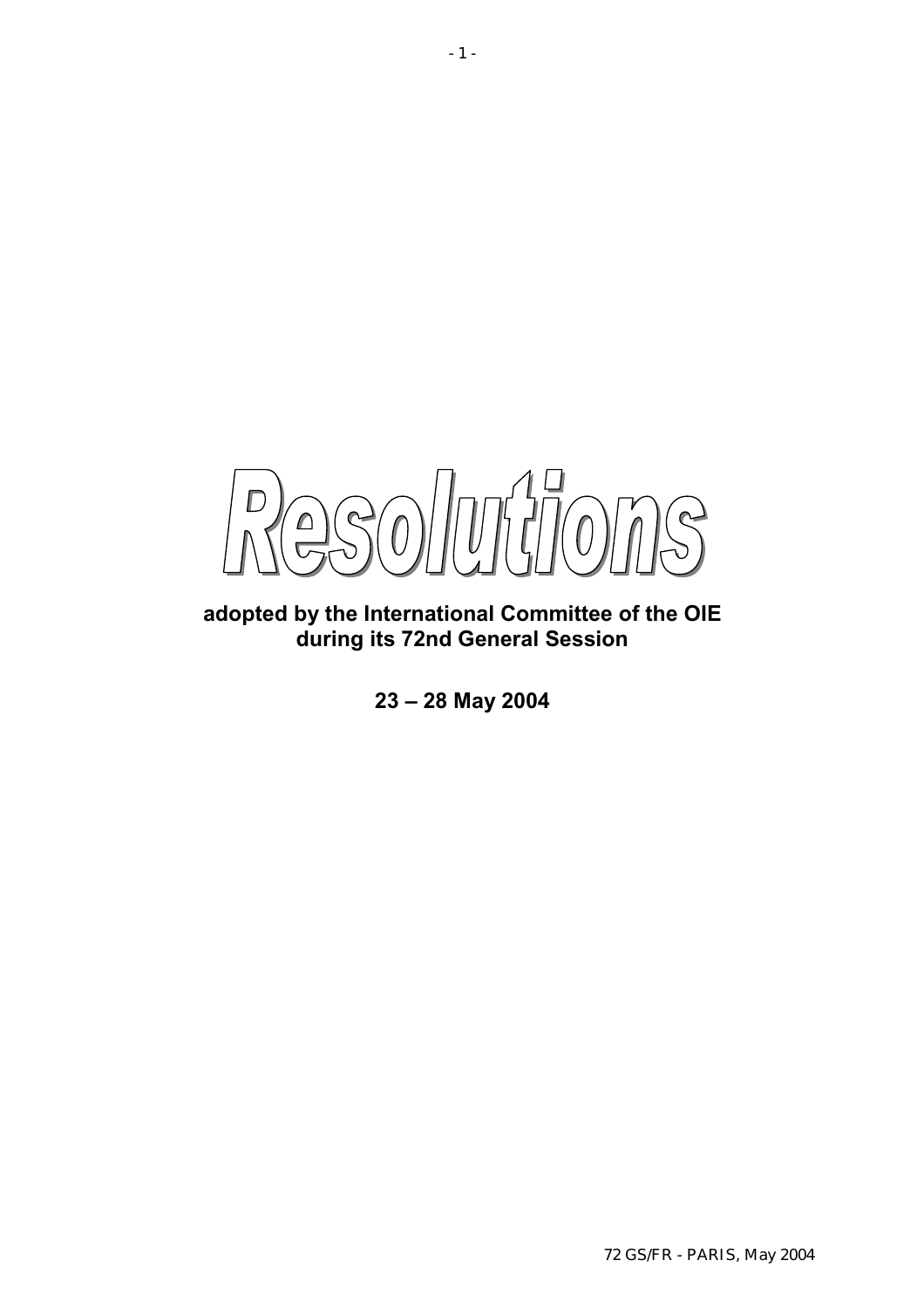$\sqrt{U}$  $\mathcal{P}$  $\mathbf{C}$  $\left( 0\right)$  $\bigcap$ 

**adopted by the International Committee of the OIE during its 72nd General Session** 

**23 – 28 May 2004**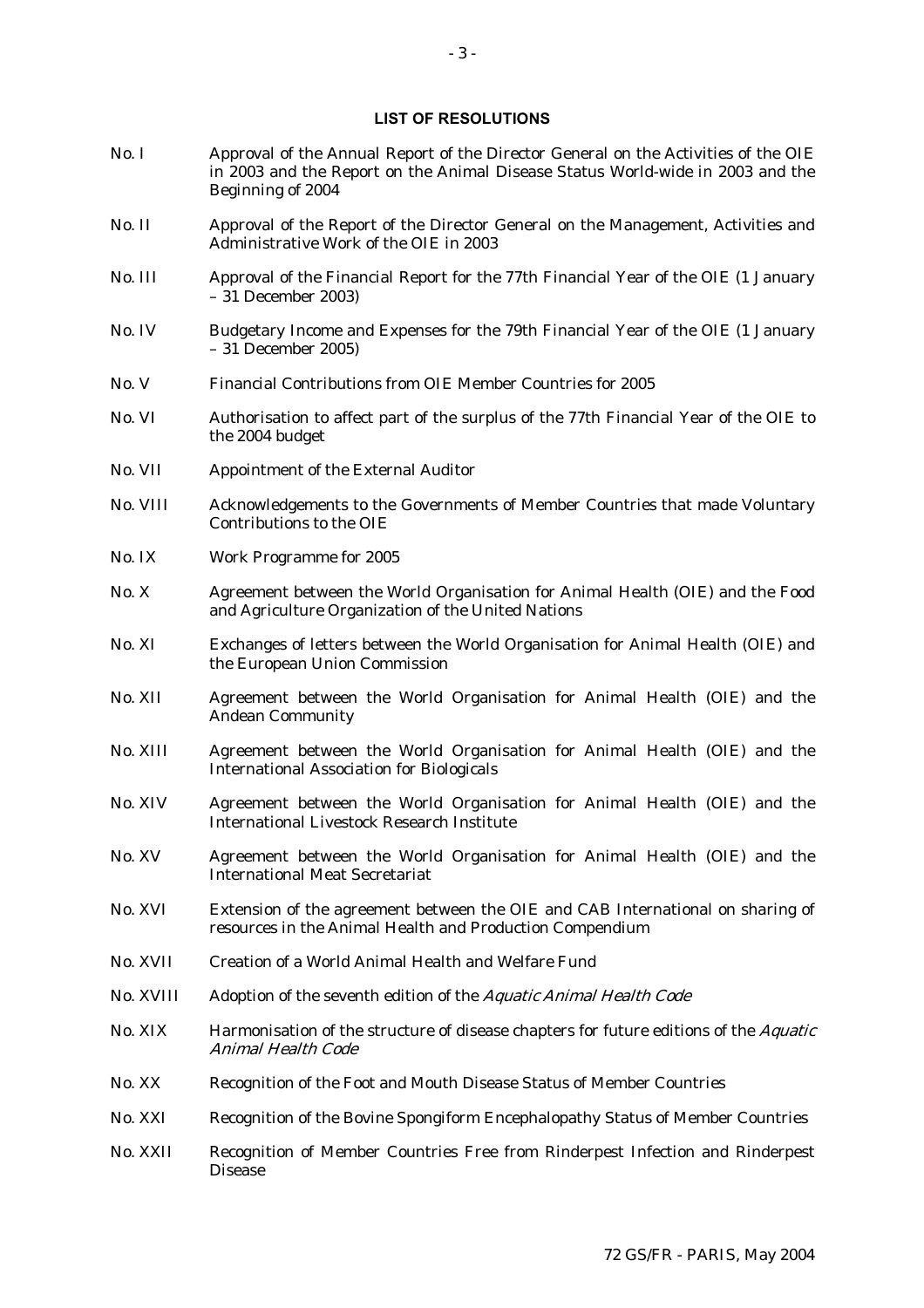#### **LIST OF RESOLUTIONS**

- No. I Approval of the Annual Report of the Director General on the Activities of the OIE in 2003 and the Report on the Animal Disease Status World-wide in 2003 and the Beginning of 2004
- No. II Approval of the Report of the Director General on the Management, Activities and Administrative Work of the OIE in 2003
- No. III Approval of the Financial Report for the 77th Financial Year of the OIE (1 January – 31 December 2003)
- No. IV Budgetary Income and Expenses for the 79th Financial Year of the OIE (1 January – 31 December 2005)
- No. V Financial Contributions from OIE Member Countries for 2005
- No. VI Authorisation to affect part of the surplus of the 77th Financial Year of the OIE to the 2004 budget
- No. VII Appointment of the External Auditor
- No. VIII Acknowledgements to the Governments of Member Countries that made Voluntary Contributions to the OIE
- No. IX Work Programme for 2005
- No. X Agreement between the World Organisation for Animal Health (OIE) and the Food and Agriculture Organization of the United Nations
- No. XI Exchanges of letters between the World Organisation for Animal Health (OIE) and the European Union Commission
- No. XII Agreement between the World Organisation for Animal Health (OIE) and the Andean Community
- No. XIII Agreement between the World Organisation for Animal Health (OIE) and the International Association for Biologicals
- No. XIV Agreement between the World Organisation for Animal Health (OIE) and the International Livestock Research Institute
- No. XV Agreement between the World Organisation for Animal Health (OIE) and the International Meat Secretariat
- No. XVI Extension of the agreement between the OIE and CAB International on sharing of resources in the Animal Health and Production Compendium
- No. XVII Creation of a World Animal Health and Welfare Fund
- No. XVIII Adoption of the seventh edition of the Aquatic Animal Health Code
- No. XIX Harmonisation of the structure of disease chapters for future editions of the Aquatic Animal Health Code
- No. XX Recognition of the Foot and Mouth Disease Status of Member Countries
- No. XXI Recognition of the Bovine Spongiform Encephalopathy Status of Member Countries
- No. XXII Recognition of Member Countries Free from Rinderpest Infection and Rinderpest Disease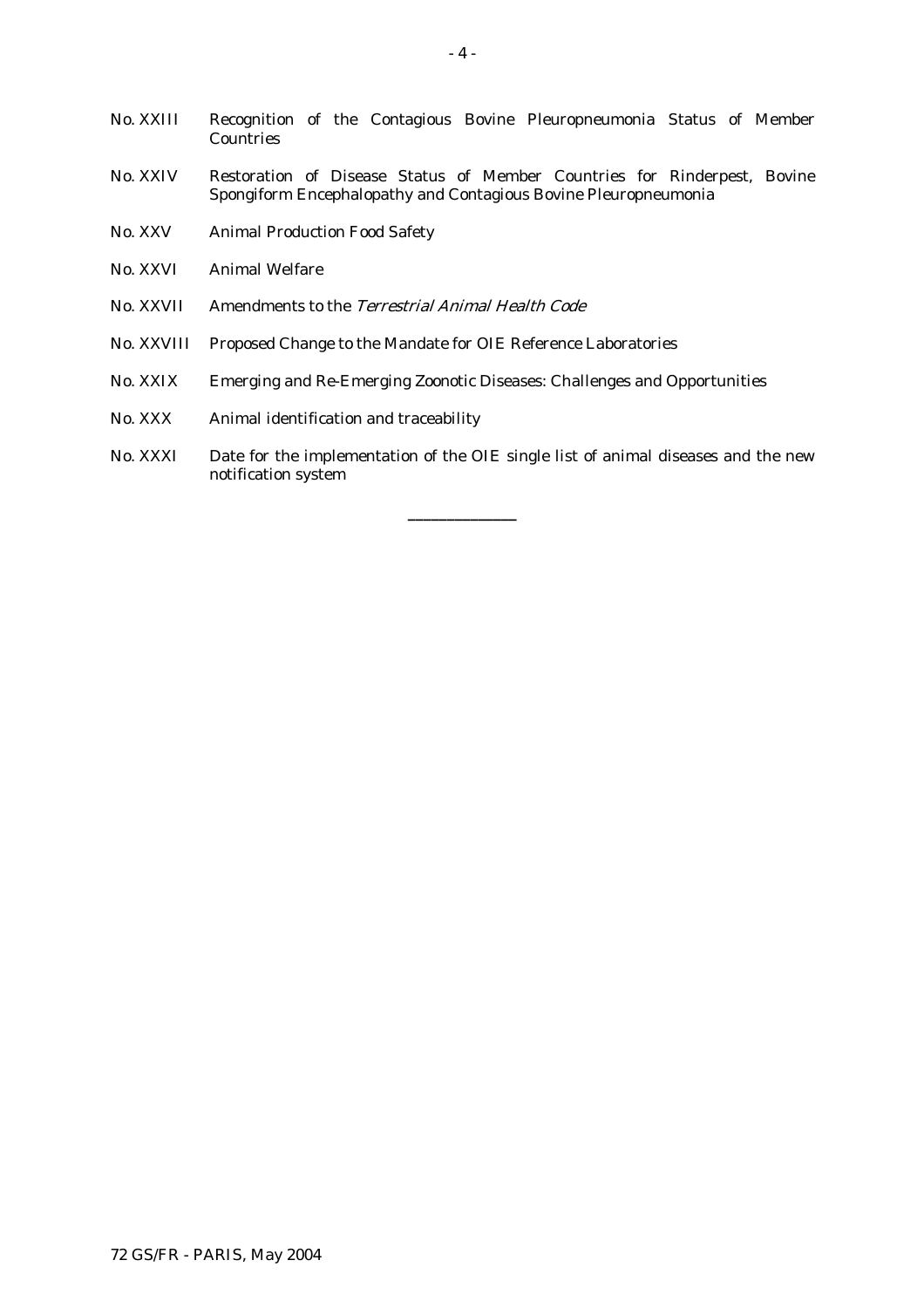- No. XXIII Recognition of the Contagious Bovine Pleuropneumonia Status of Member **Countries**
- No. XXIV Restoration of Disease Status of Member Countries for Rinderpest, Bovine Spongiform Encephalopathy and Contagious Bovine Pleuropneumonia
- No. XXV Animal Production Food Safety
- No. XXVI Animal Welfare
- No. XXVII Amendments to the Terrestrial Animal Health Code
- No. XXVIII Proposed Change to the Mandate for OIE Reference Laboratories
- No. XXIX Emerging and Re-Emerging Zoonotic Diseases: Challenges and Opportunities
- No. XXX Animal identification and traceability
- No. XXXI Date for the implementation of the OIE single list of animal diseases and the new notification system

**\_\_\_\_\_\_\_\_\_\_\_\_\_\_**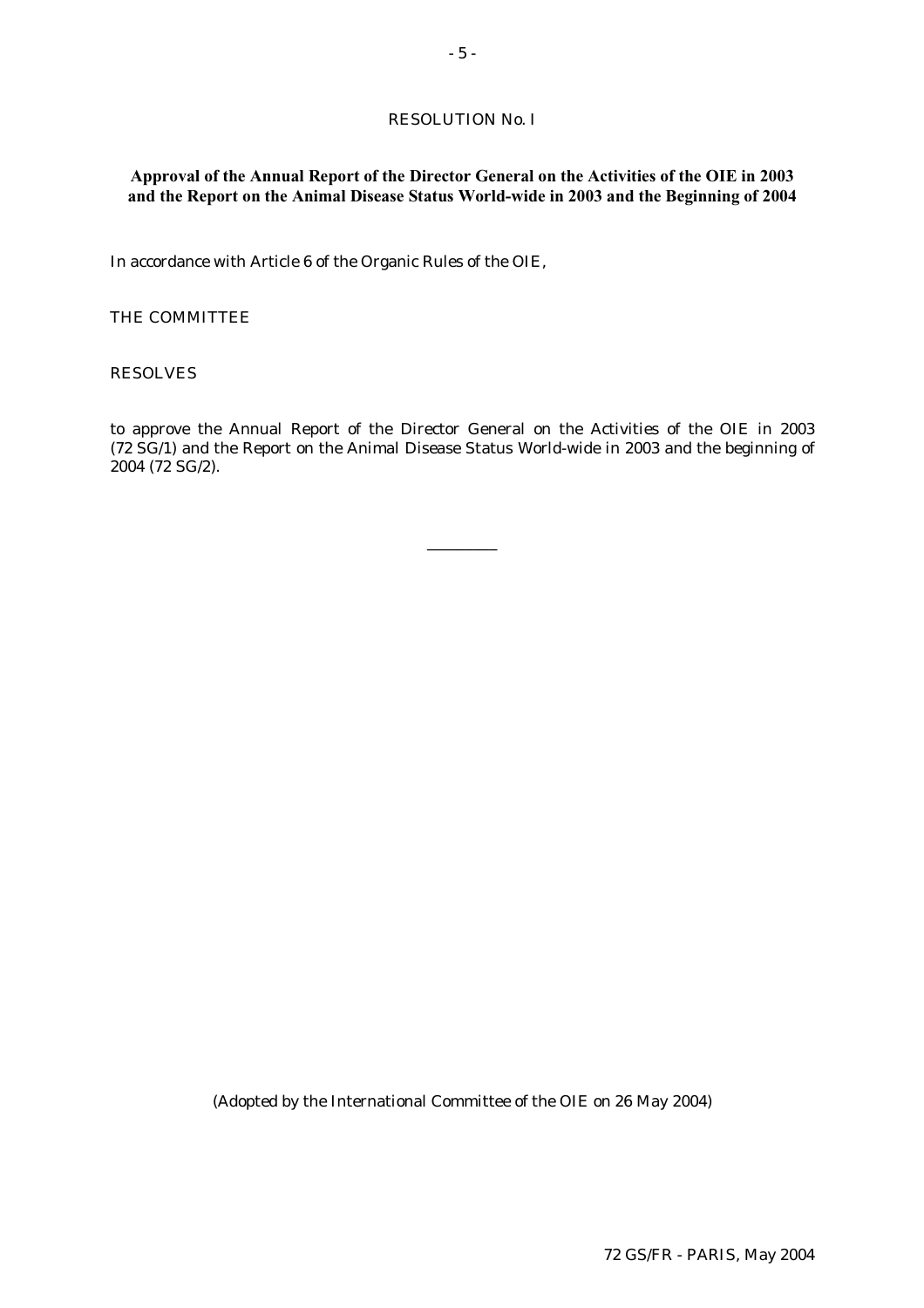# RESOLUTION No. I

# **Approval of the Annual Report of the Director General on the Activities of the OIE in 2003 and the Report on the Animal Disease Status World-wide in 2003 and the Beginning of 2004**

In accordance with Article 6 of the Organic Rules of the OIE,

### THE COMMITTEE

#### RESOLVES

to approve the Annual Report of the Director General on the Activities of the OIE in 2003 (72 SG/1) and the Report on the Animal Disease Status World-wide in 2003 and the beginning of 2004 (72 SG/2).

\_\_\_\_\_\_\_\_\_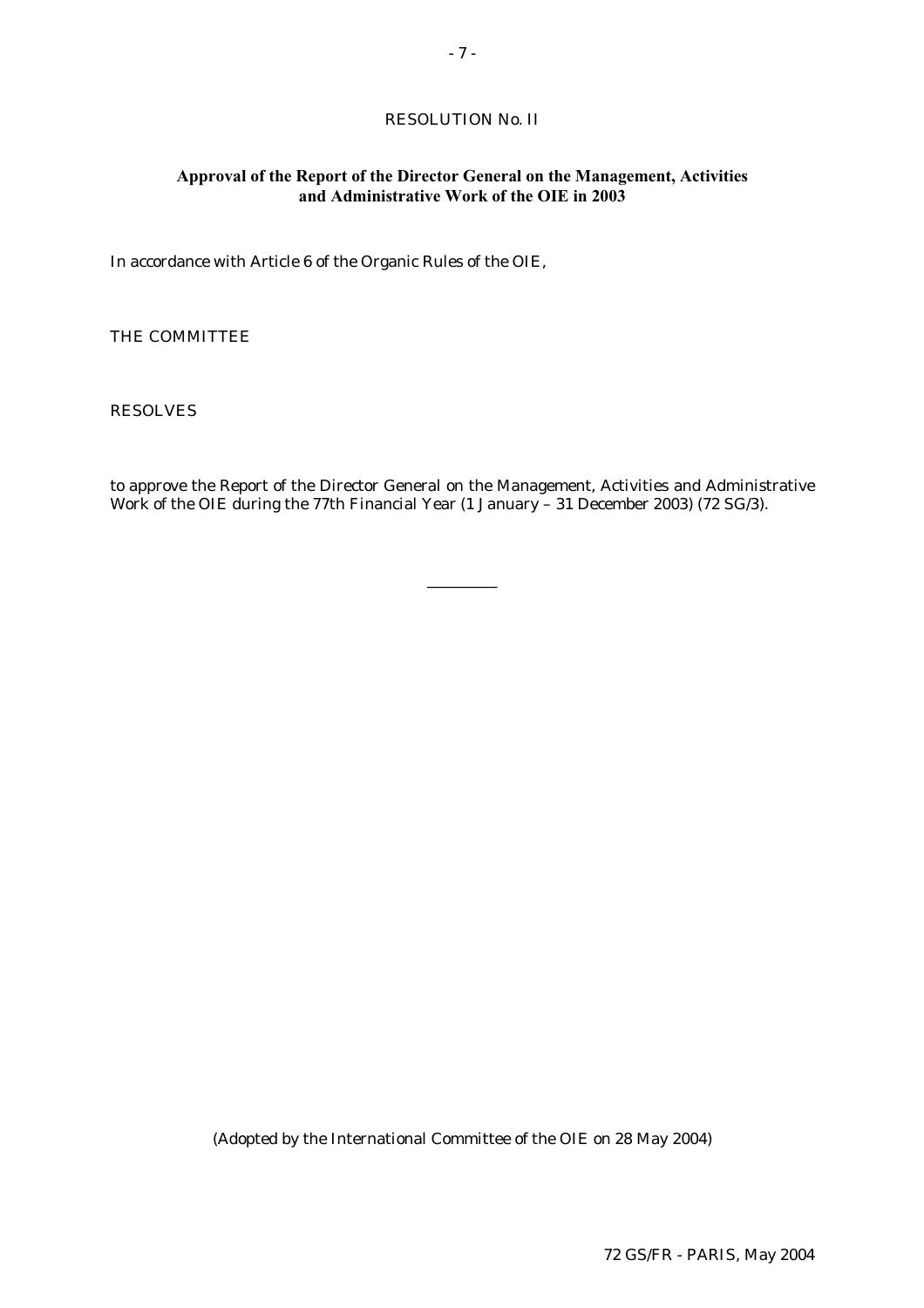# RESOLUTION No. II

# **Approval of the Report of the Director General on the Management, Activities and Administrative Work of the OIE in 2003**

In accordance with Article 6 of the Organic Rules of the OIE,

THE COMMITTEE

RESOLVES

to approve the Report of the Director General on the Management, Activities and Administrative Work of the OIE during the 77th Financial Year (1 January – 31 December 2003) (72 SG/3).

\_\_\_\_\_\_\_\_\_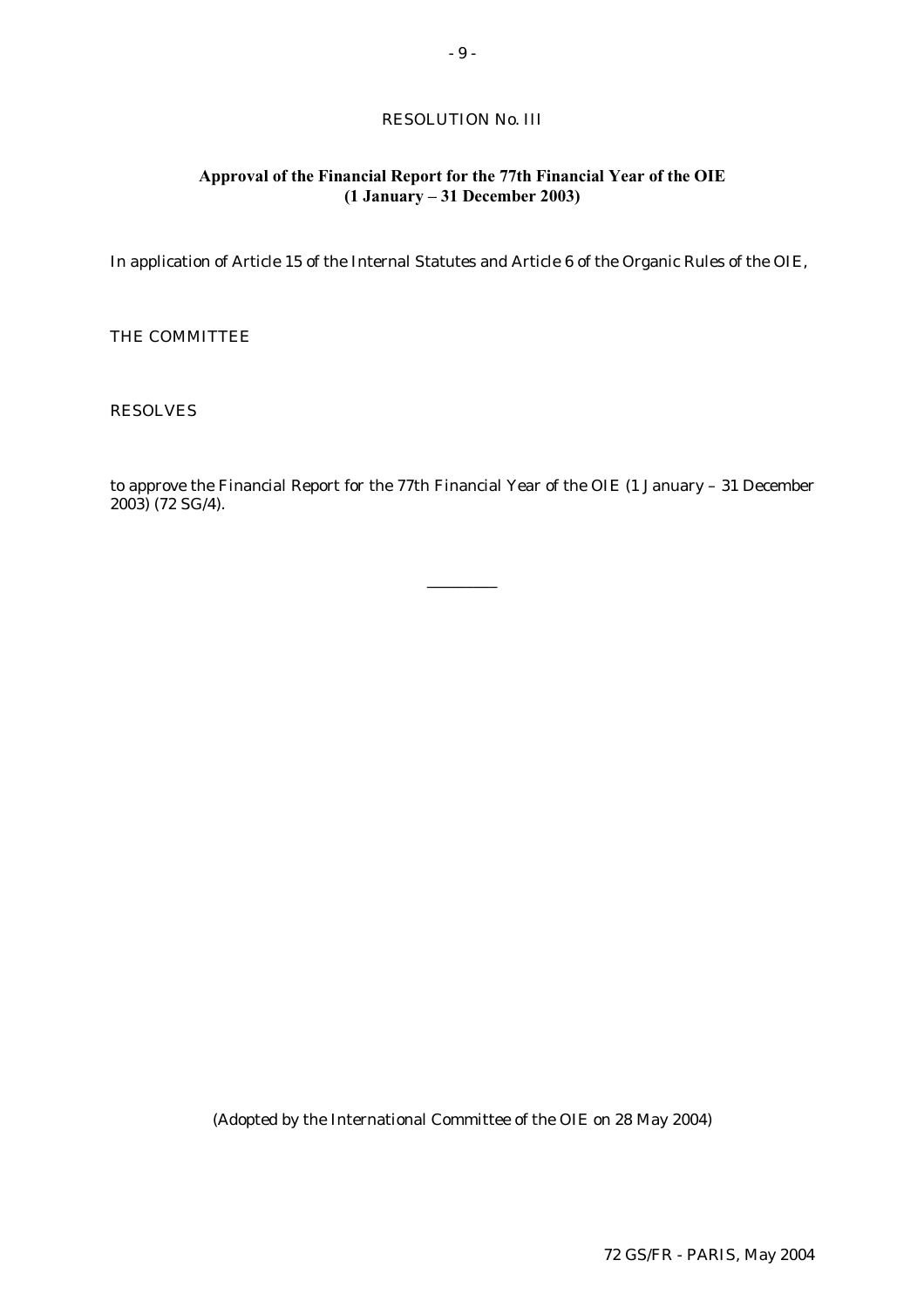# RESOLUTION No. III

# **Approval of the Financial Report for the 77th Financial Year of the OIE (1 January – 31 December 2003)**

In application of Article 15 of the Internal Statutes and Article 6 of the Organic Rules of the OIE,

THE COMMITTEE

RESOLVES

to approve the Financial Report for the 77th Financial Year of the OIE (1 January – 31 December 2003) (72 SG/4).

\_\_\_\_\_\_\_\_\_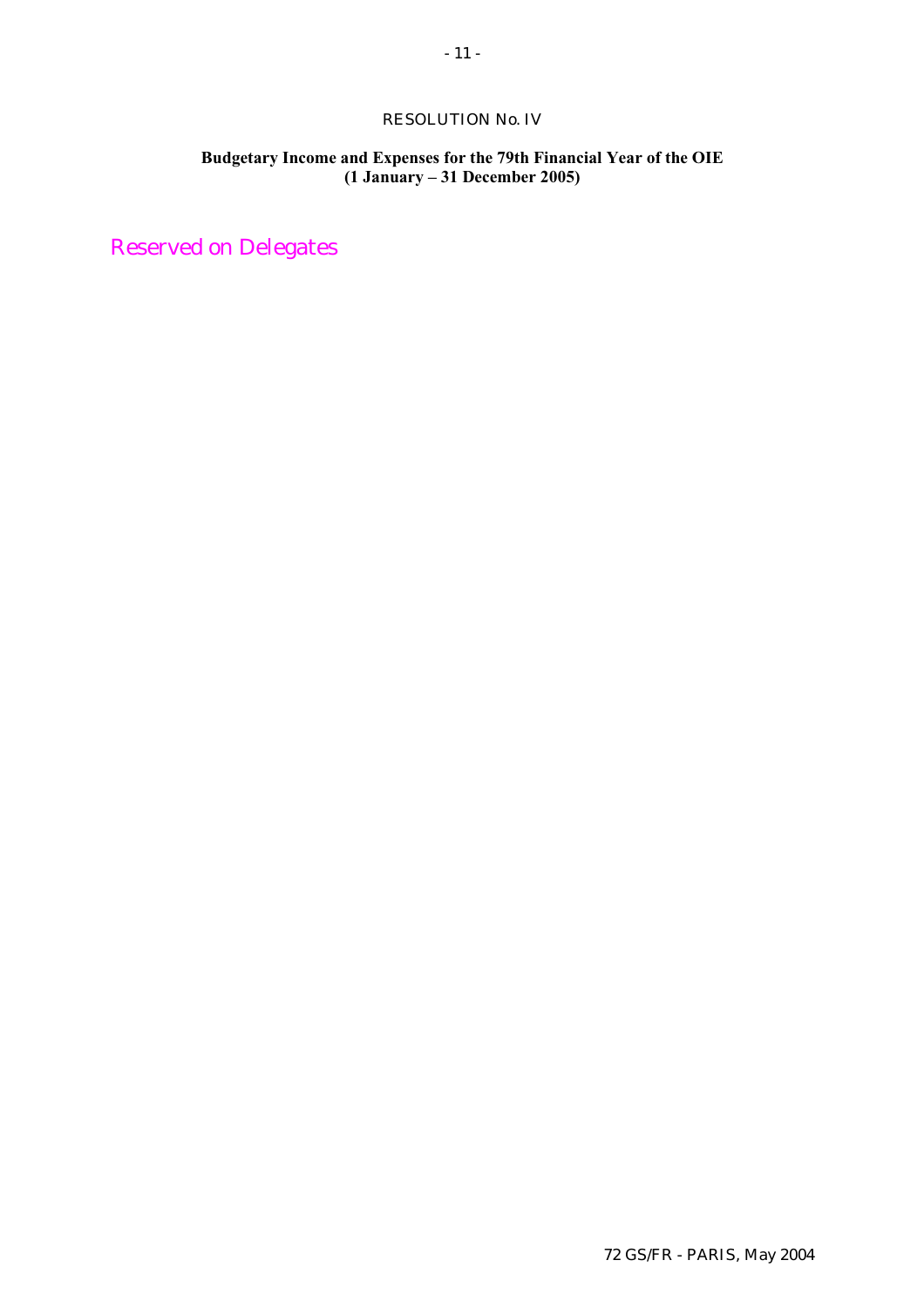# RESOLUTION No. IV

# **Budgetary Income and Expenses for the 79th Financial Year of the OIE (1 January – 31 December 2005)**

Reserved on Delegates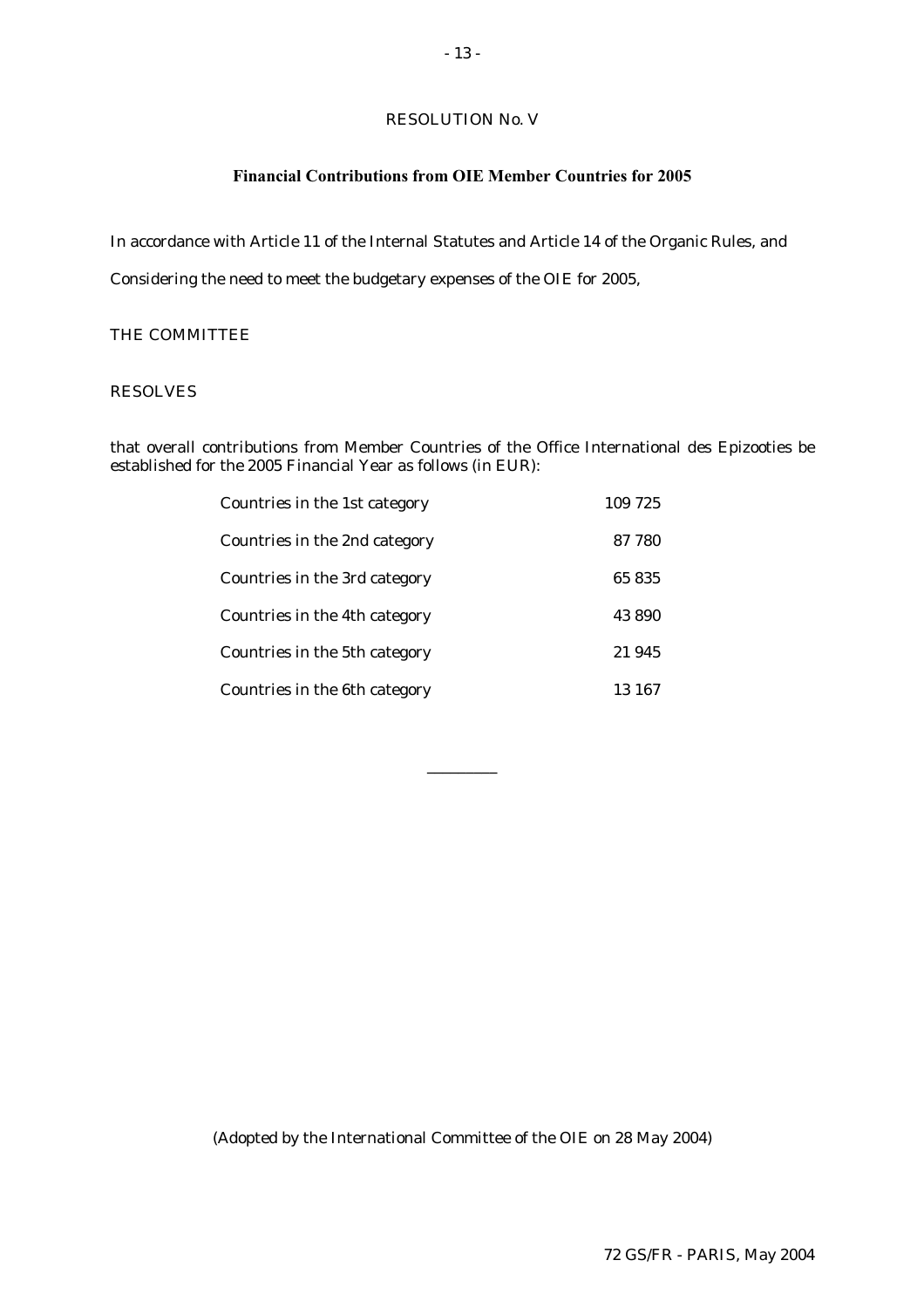# RESOLUTION No. V

# **Financial Contributions from OIE Member Countries for 2005**

In accordance with Article 11 of the Internal Statutes and Article 14 of the Organic Rules, and

Considering the need to meet the budgetary expenses of the OIE for 2005,

# THE COMMITTEE

# RESOLVES

that overall contributions from Member Countries of the Office International des Epizooties be established for the 2005 Financial Year as follows (in EUR):

| Countries in the 1st category | 109 725 |
|-------------------------------|---------|
| Countries in the 2nd category | 87 780  |
| Countries in the 3rd category | 65835   |
| Countries in the 4th category | 43890   |
| Countries in the 5th category | 21945   |
| Countries in the 6th category | 13 167  |

\_\_\_\_\_\_\_\_\_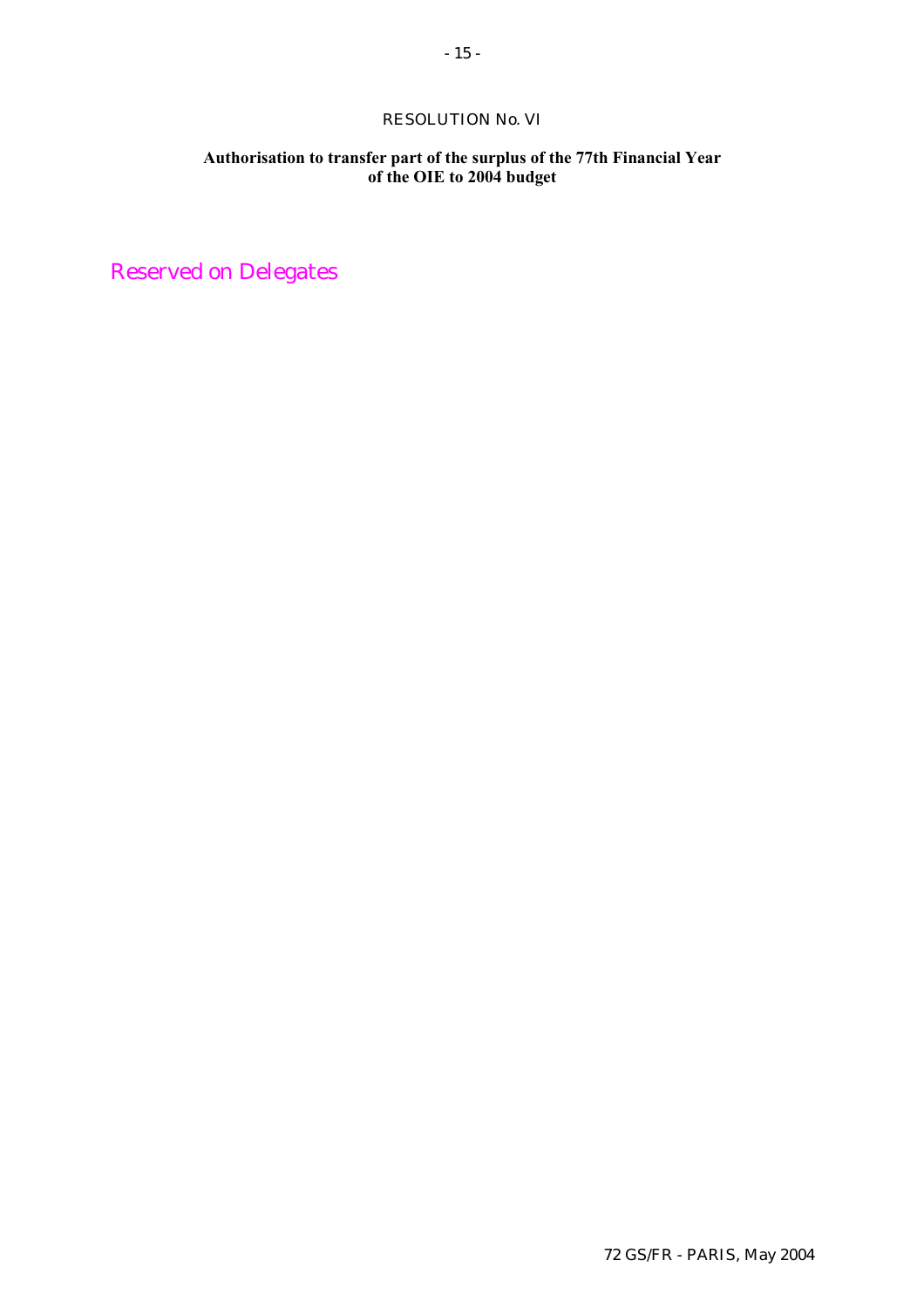# RESOLUTION No. VI

# **Authorisation to transfer part of the surplus of the 77th Financial Year of the OIE to 2004 budget**

Reserved on Delegates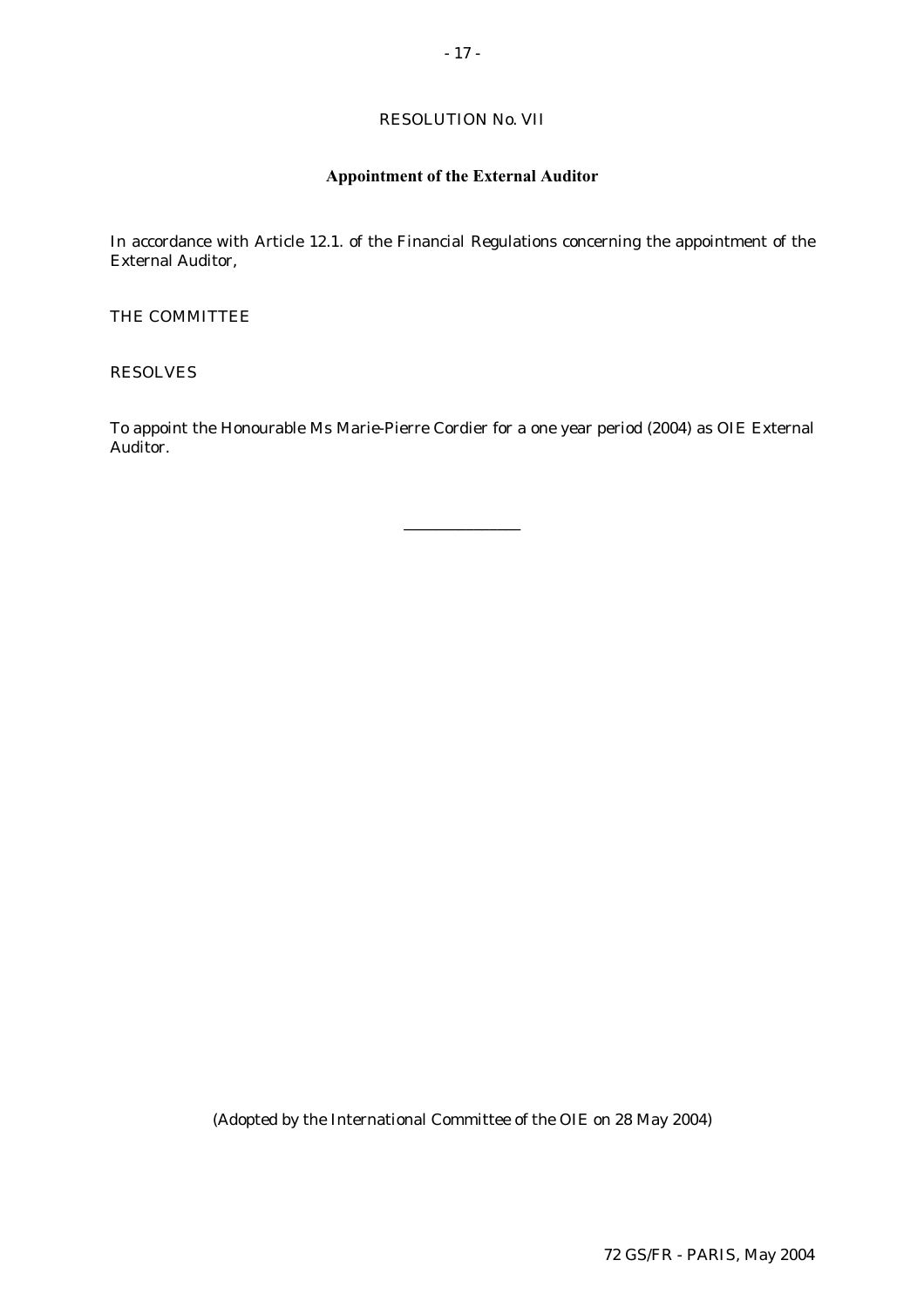# RESOLUTION No. VII

# **Appointment of the External Auditor**

In accordance with Article 12.1. of the Financial Regulations concerning the appointment of the External Auditor,

THE COMMITTEE

RESOLVES

To appoint the Honourable Ms Marie-Pierre Cordier for a one year period (2004) as OIE External Auditor.

\_\_\_\_\_\_\_\_\_\_\_\_\_\_\_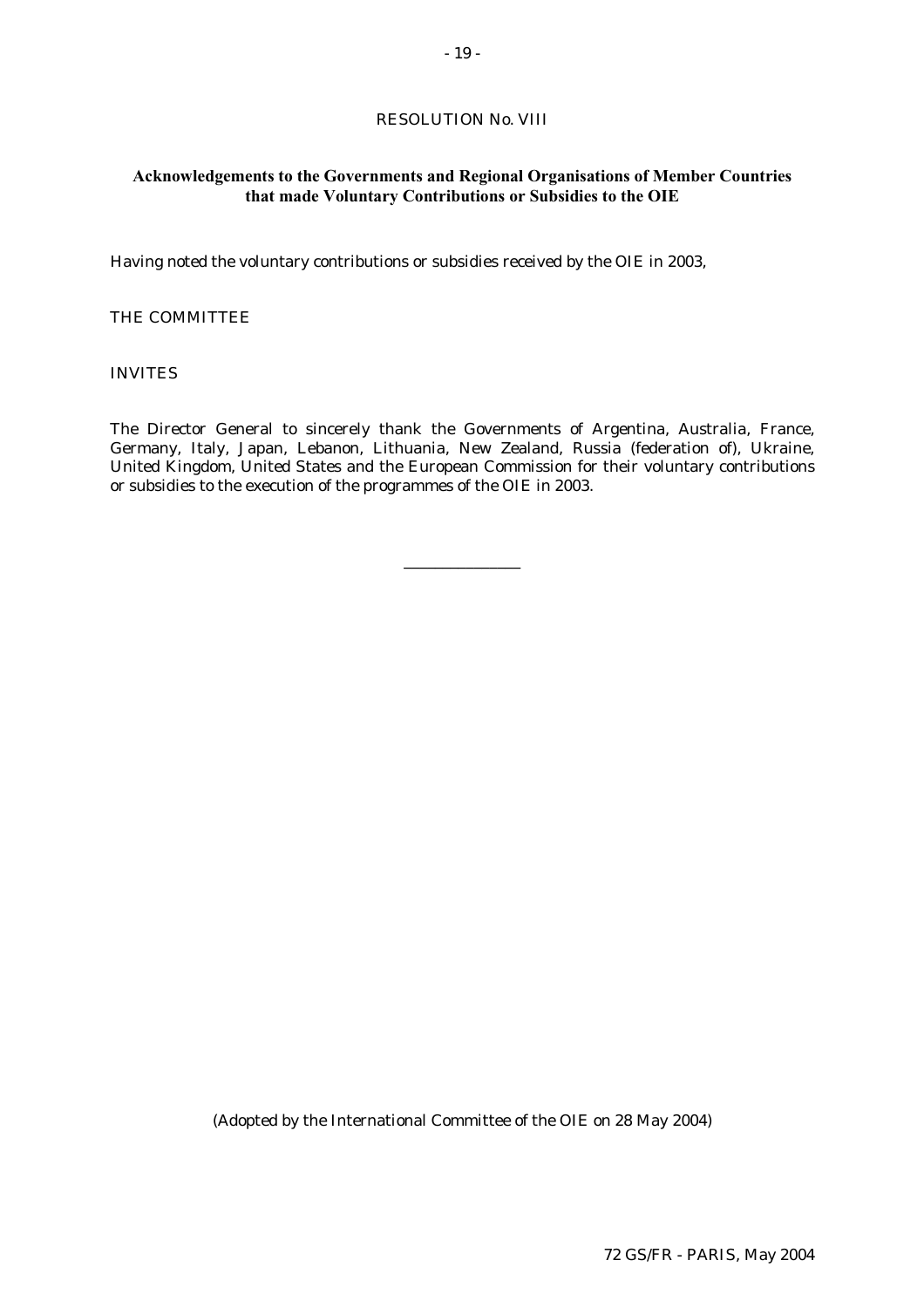# RESOLUTION No. VIII

# **Acknowledgements to the Governments and Regional Organisations of Member Countries that made Voluntary Contributions or Subsidies to the OIE**

Having noted the voluntary contributions or subsidies received by the OIE in 2003,

# THE COMMITTEE

INVITES

The Director General to sincerely thank the Governments of Argentina, Australia, France, Germany, Italy, Japan, Lebanon, Lithuania, New Zealand, Russia (federation of), Ukraine, United Kingdom, United States and the European Commission for their voluntary contributions or subsidies to the execution of the programmes of the OIE in 2003.

\_\_\_\_\_\_\_\_\_\_\_\_\_\_\_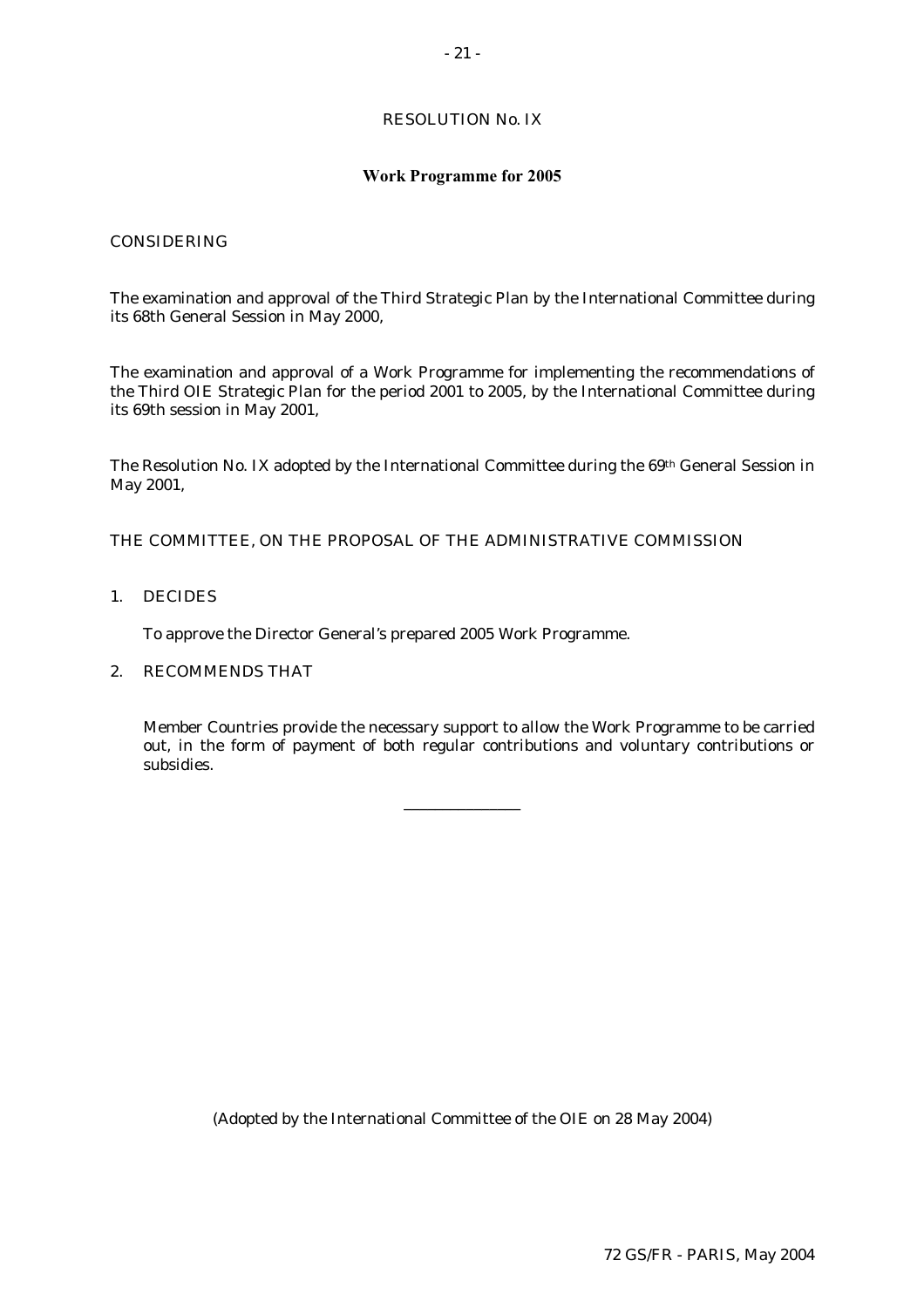# RESOLUTION No. IX

#### **Work Programme for 2005**

# CONSIDERING

The examination and approval of the Third Strategic Plan by the International Committee during its 68th General Session in May 2000,

The examination and approval of a Work Programme for implementing the recommendations of the Third OIE Strategic Plan for the period 2001 to 2005, by the International Committee during its 69th session in May 2001,

The Resolution No. IX adopted by the International Committee during the 69th General Session in May 2001,

THE COMMITTEE, ON THE PROPOSAL OF THE ADMINISTRATIVE COMMISSION

1. DECIDES

To approve the Director General's prepared 2005 Work Programme.

# 2. RECOMMENDS THAT

 Member Countries provide the necessary support to allow the Work Programme to be carried out, in the form of payment of both regular contributions and voluntary contributions or subsidies.

\_\_\_\_\_\_\_\_\_\_\_\_\_\_\_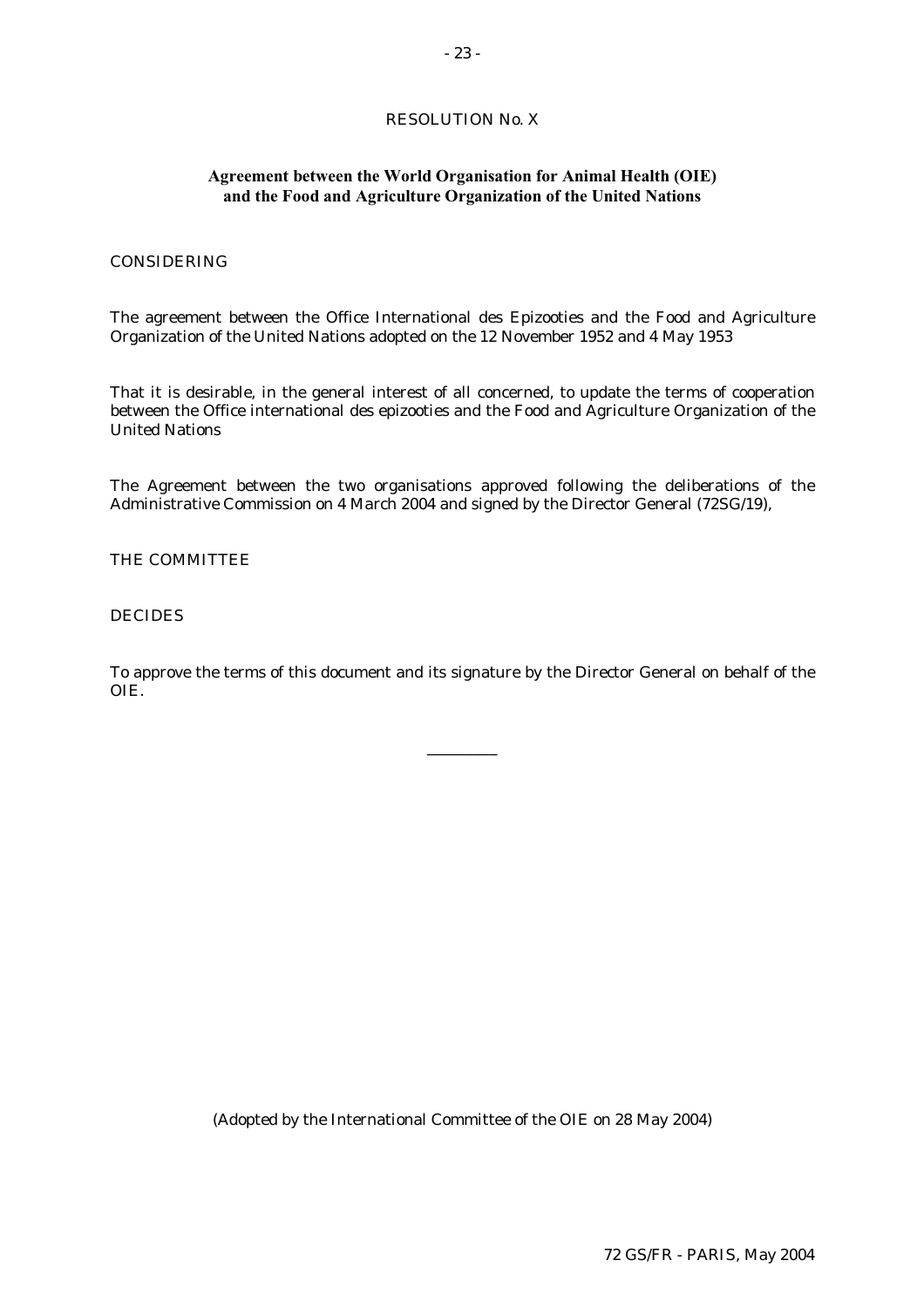# RESOLUTION No. X

# **Agreement between the World Organisation for Animal Health (OIE) and the Food and Agriculture Organization of the United Nations**

# CONSIDERING

The agreement between the Office International des Epizooties and the Food and Agriculture Organization of the United Nations adopted on the 12 November 1952 and 4 May 1953

That it is desirable, in the general interest of all concerned, to update the terms of cooperation between the Office international des epizooties and the Food and Agriculture Organization of the United Nations

The Agreement between the two organisations approved following the deliberations of the Administrative Commission on 4 March 2004 and signed by the Director General (72SG/19),

### THE COMMITTEE

#### **DECIDES**

To approve the terms of this document and its signature by the Director General on behalf of the OIE.

\_\_\_\_\_\_\_\_\_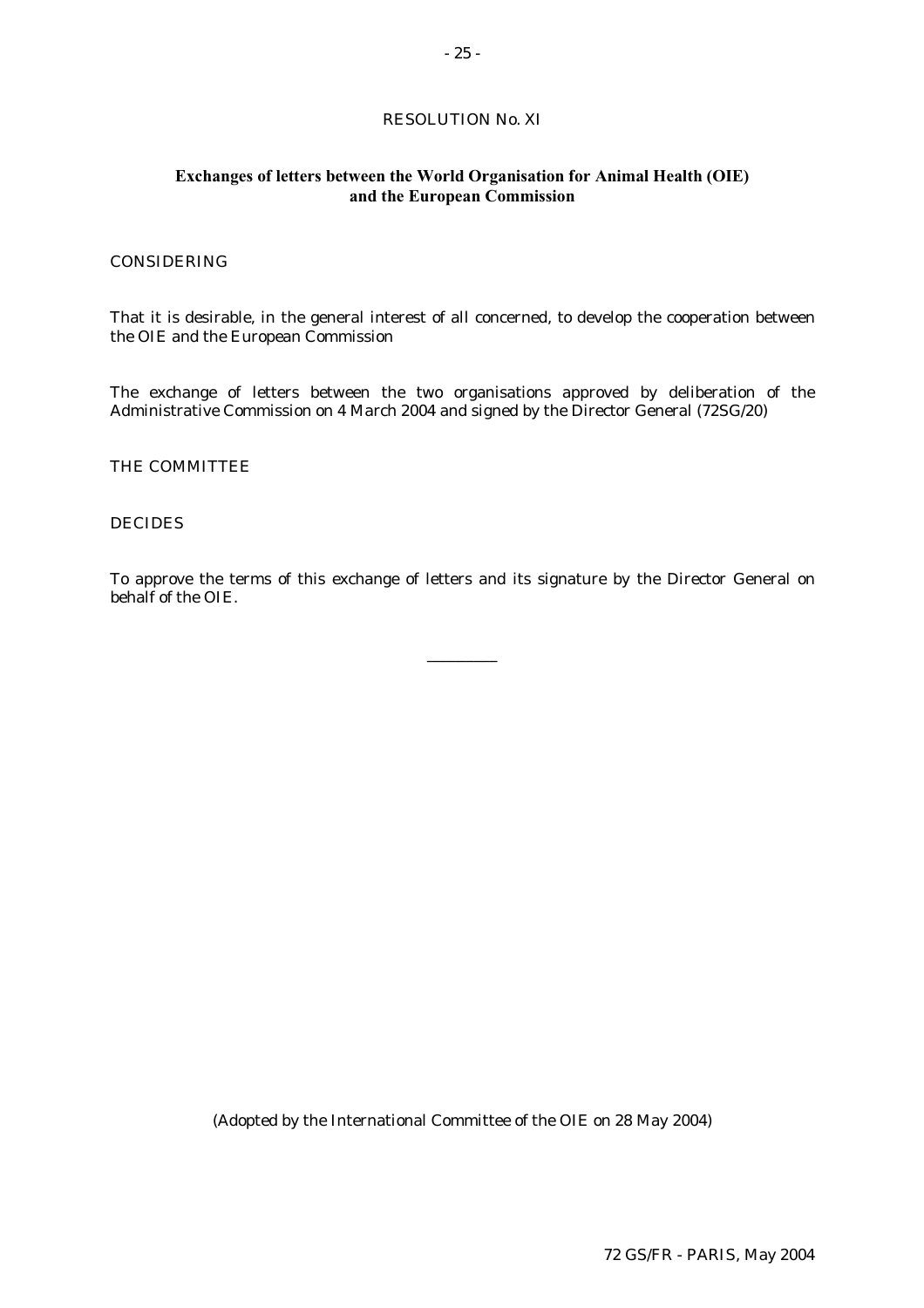# RESOLUTION No. XI

# **Exchanges of letters between the World Organisation for Animal Health (OIE) and the European Commission**

### CONSIDERING

That it is desirable, in the general interest of all concerned, to develop the cooperation between the OIE and the European Commission

The exchange of letters between the two organisations approved by deliberation of the Administrative Commission on 4 March 2004 and signed by the Director General (72SG/20)

#### THE COMMITTEE

# DECIDES

To approve the terms of this exchange of letters and its signature by the Director General on behalf of the OIE.

\_\_\_\_\_\_\_\_\_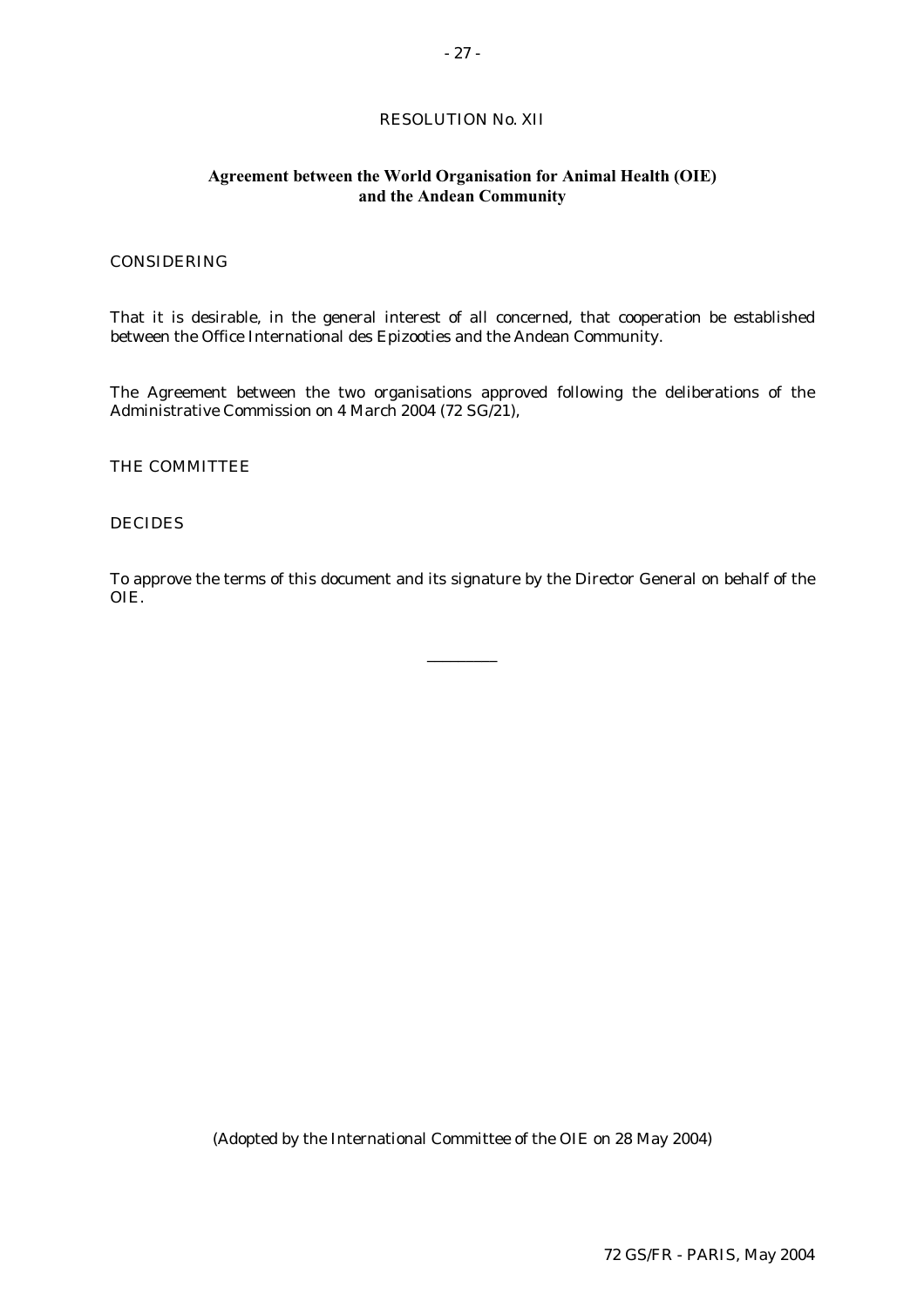# RESOLUTION No. XII

# **Agreement between the World Organisation for Animal Health (OIE) and the Andean Community**

### CONSIDERING

That it is desirable, in the general interest of all concerned, that cooperation be established between the Office International des Epizooties and the Andean Community.

The Agreement between the two organisations approved following the deliberations of the Administrative Commission on 4 March 2004 (72 SG/21),

THE COMMITTEE

# DECIDES

To approve the terms of this document and its signature by the Director General on behalf of the OIE.

\_\_\_\_\_\_\_\_\_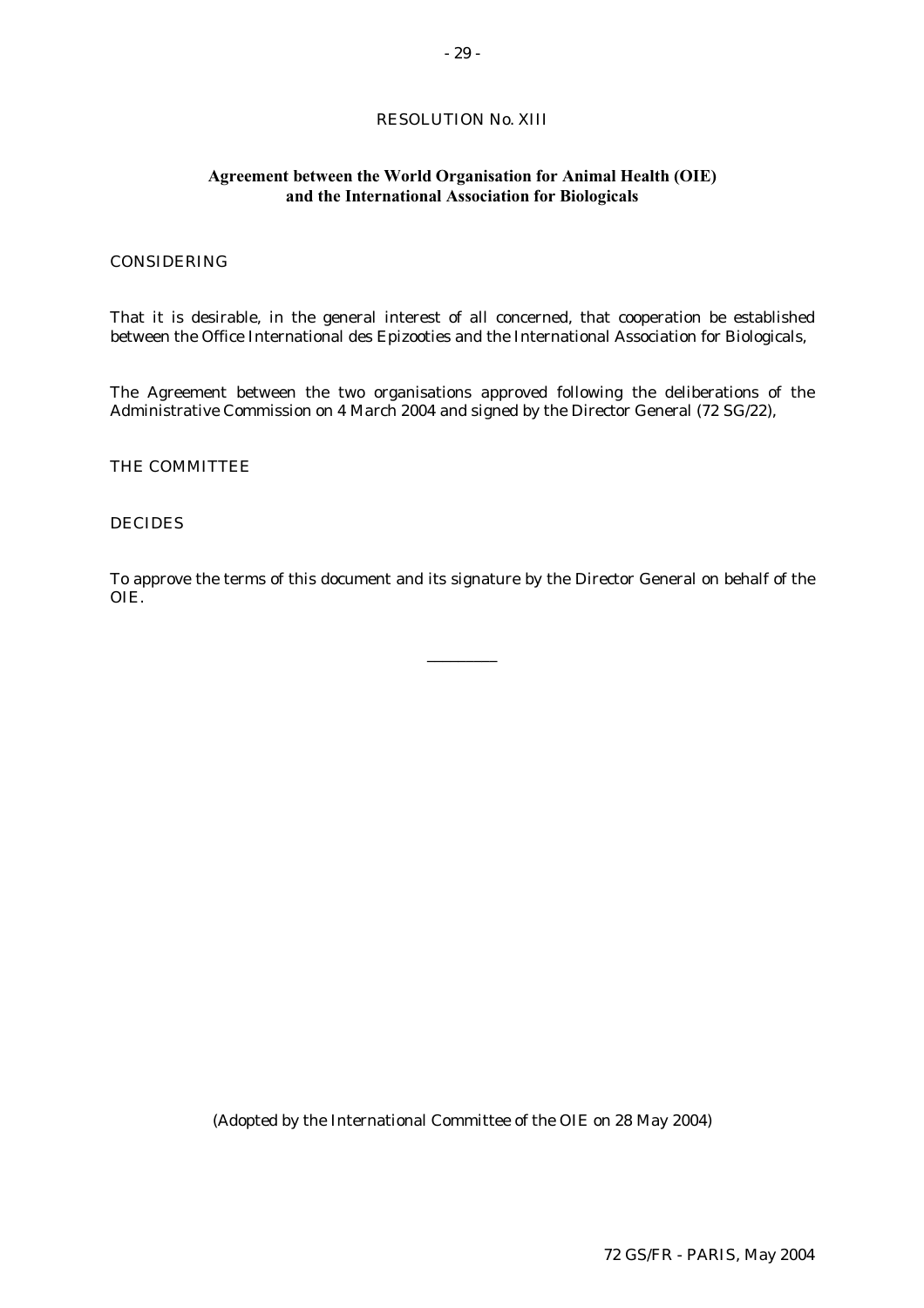# RESOLUTION No. XIII

# **Agreement between the World Organisation for Animal Health (OIE) and the International Association for Biologicals**

### CONSIDERING

That it is desirable, in the general interest of all concerned, that cooperation be established between the Office International des Epizooties and the International Association for Biologicals,

The Agreement between the two organisations approved following the deliberations of the Administrative Commission on 4 March 2004 and signed by the Director General (72 SG/22),

#### THE COMMITTEE

# DECIDES

To approve the terms of this document and its signature by the Director General on behalf of the OIE.

\_\_\_\_\_\_\_\_\_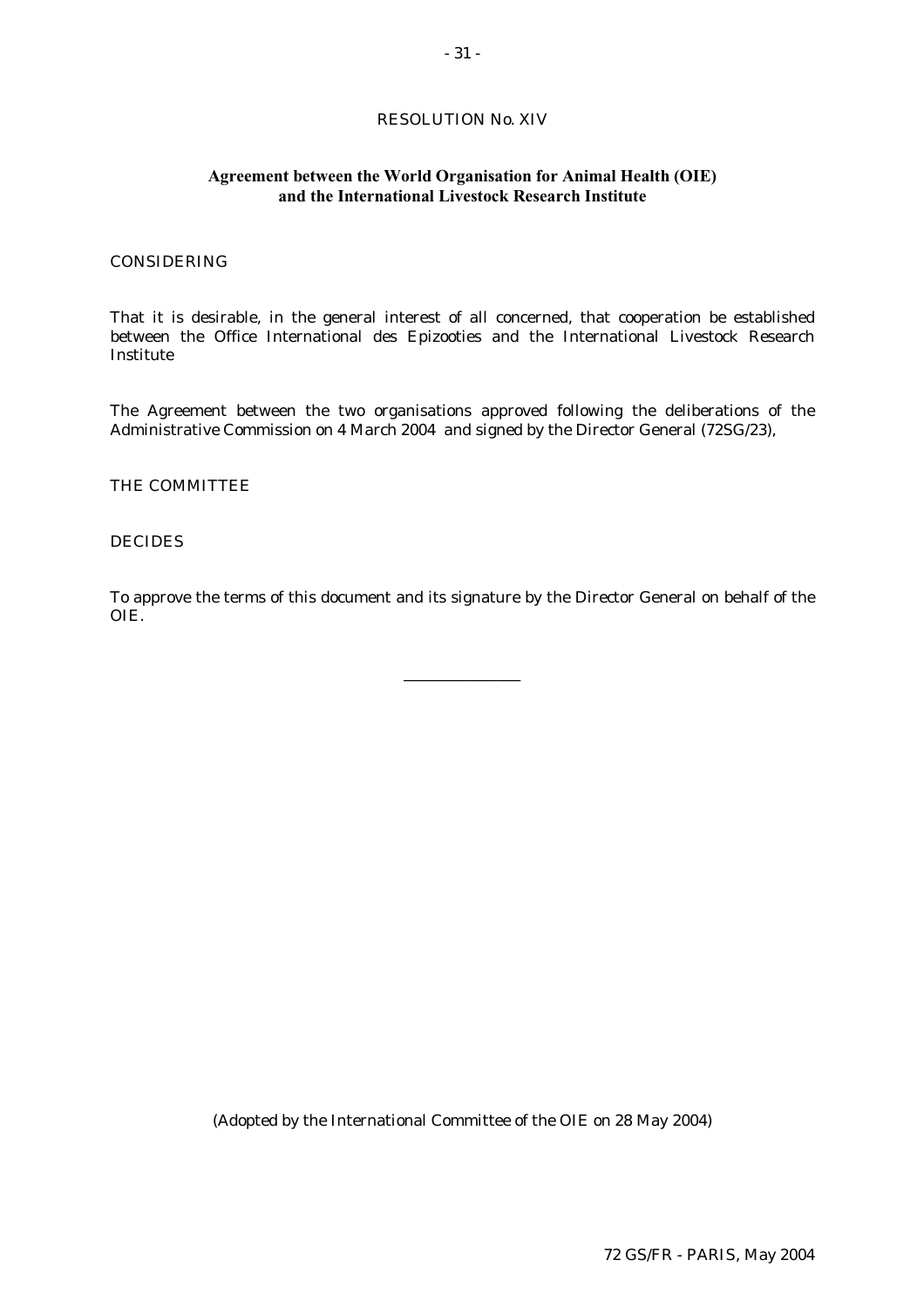# RESOLUTION No. XIV

# **Agreement between the World Organisation for Animal Health (OIE) and the International Livestock Research Institute**

### CONSIDERING

That it is desirable, in the general interest of all concerned, that cooperation be established between the Office International des Epizooties and the International Livestock Research Institute

The Agreement between the two organisations approved following the deliberations of the Administrative Commission on 4 March 2004 and signed by the Director General (72SG/23),

# THE COMMITTEE

#### DECIDES

To approve the terms of this document and its signature by the Director General on behalf of the OIE.

\_\_\_\_\_\_\_\_\_\_\_\_\_\_\_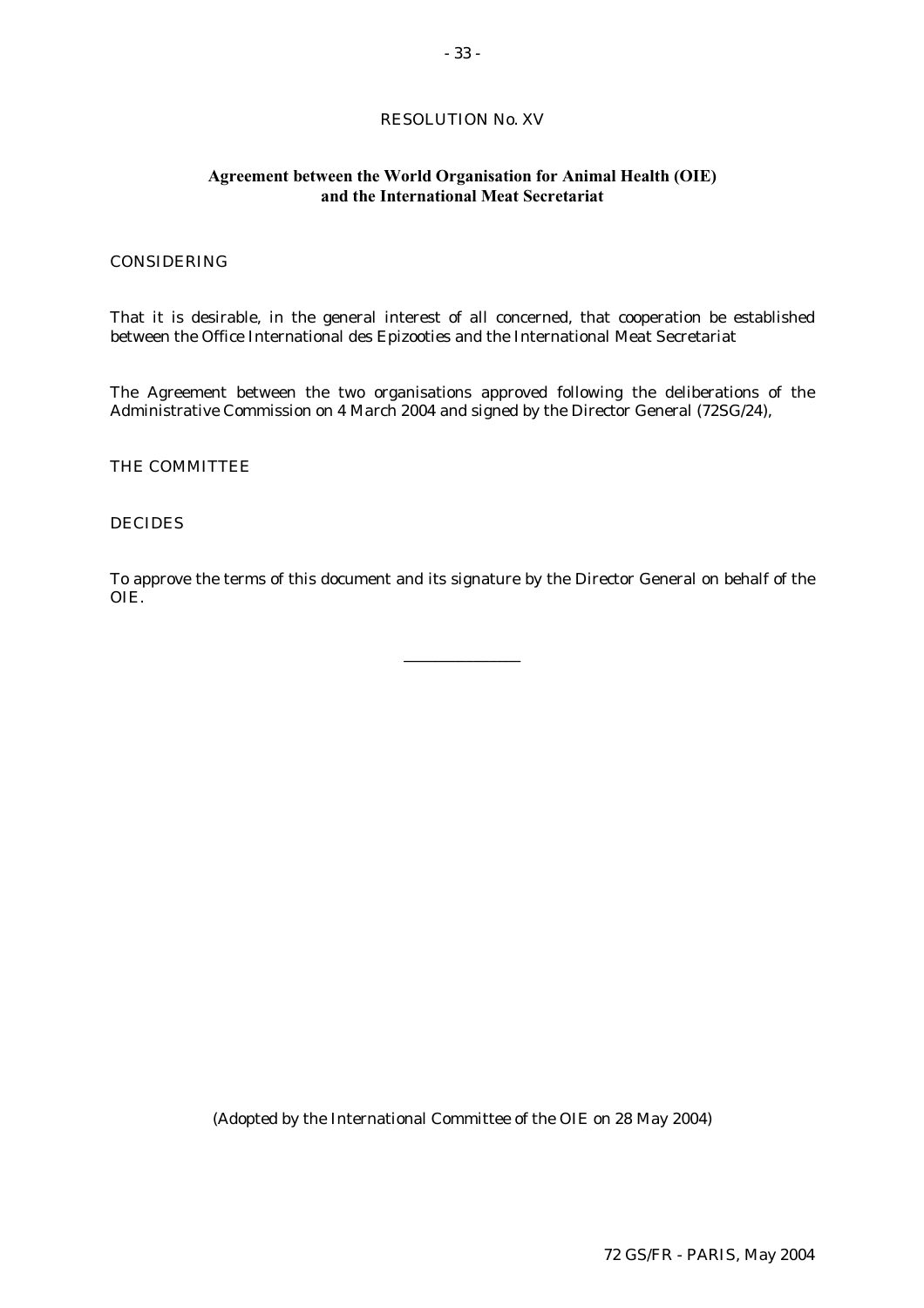# RESOLUTION No. XV

# **Agreement between the World Organisation for Animal Health (OIE) and the International Meat Secretariat**

### CONSIDERING

That it is desirable, in the general interest of all concerned, that cooperation be established between the Office International des Epizooties and the International Meat Secretariat

The Agreement between the two organisations approved following the deliberations of the Administrative Commission on 4 March 2004 and signed by the Director General (72SG/24),

THE COMMITTEE

# DECIDES

To approve the terms of this document and its signature by the Director General on behalf of the OIE.

\_\_\_\_\_\_\_\_\_\_\_\_\_\_\_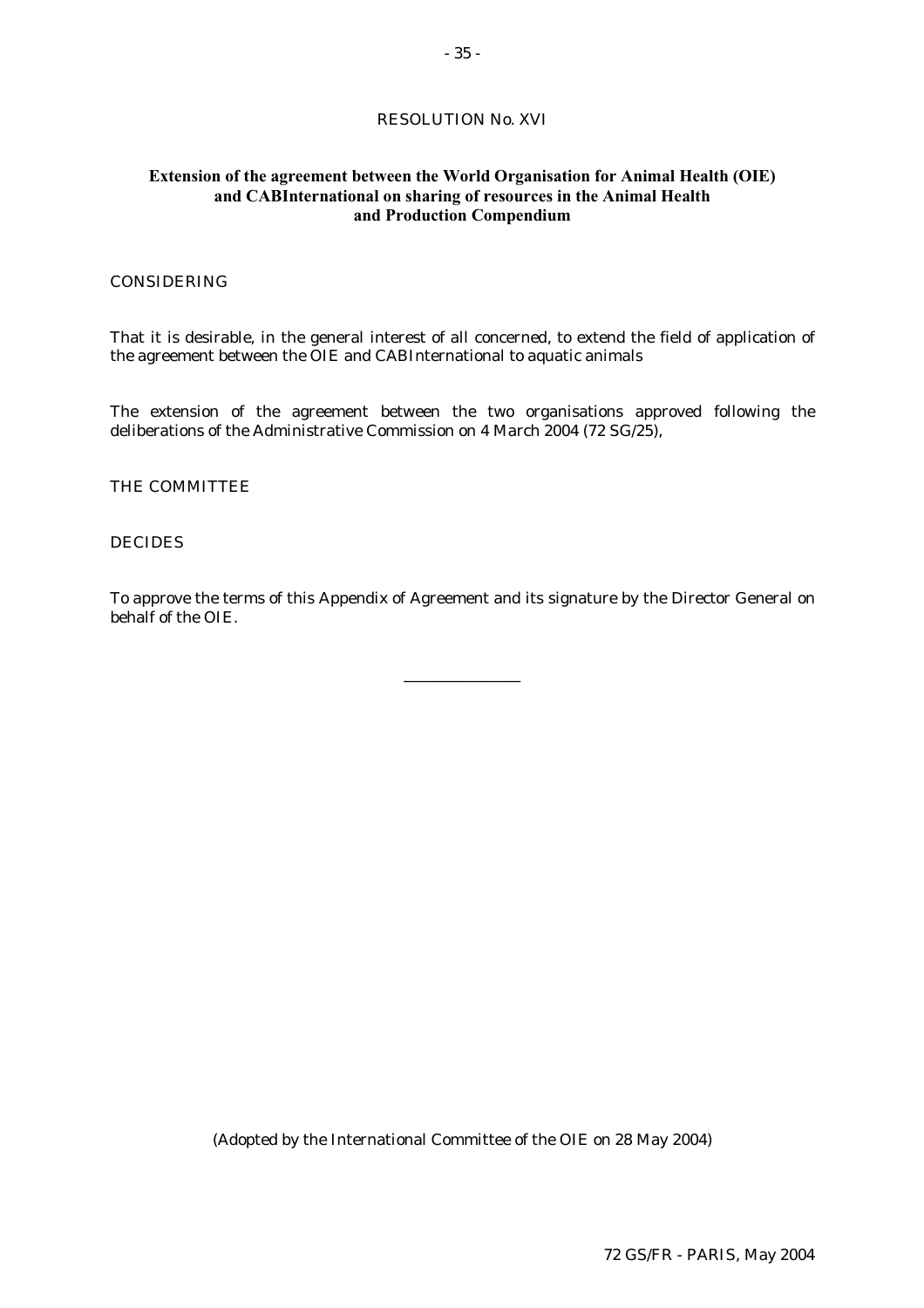- 35 -

# RESOLUTION No. XVI

# **Extension of the agreement between the World Organisation for Animal Health (OIE) and CABInternational on sharing of resources in the Animal Health and Production Compendium**

# **CONSIDERING**

That it is desirable, in the general interest of all concerned, to extend the field of application of the agreement between the OIE and CABInternational to aquatic animals

The extension of the agreement between the two organisations approved following the deliberations of the Administrative Commission on 4 March 2004 (72 SG/25),

### THE COMMITTEE

### DECIDES

To approve the terms of this Appendix of Agreement and its signature by the Director General on behalf of the OIE.

\_\_\_\_\_\_\_\_\_\_\_\_\_\_\_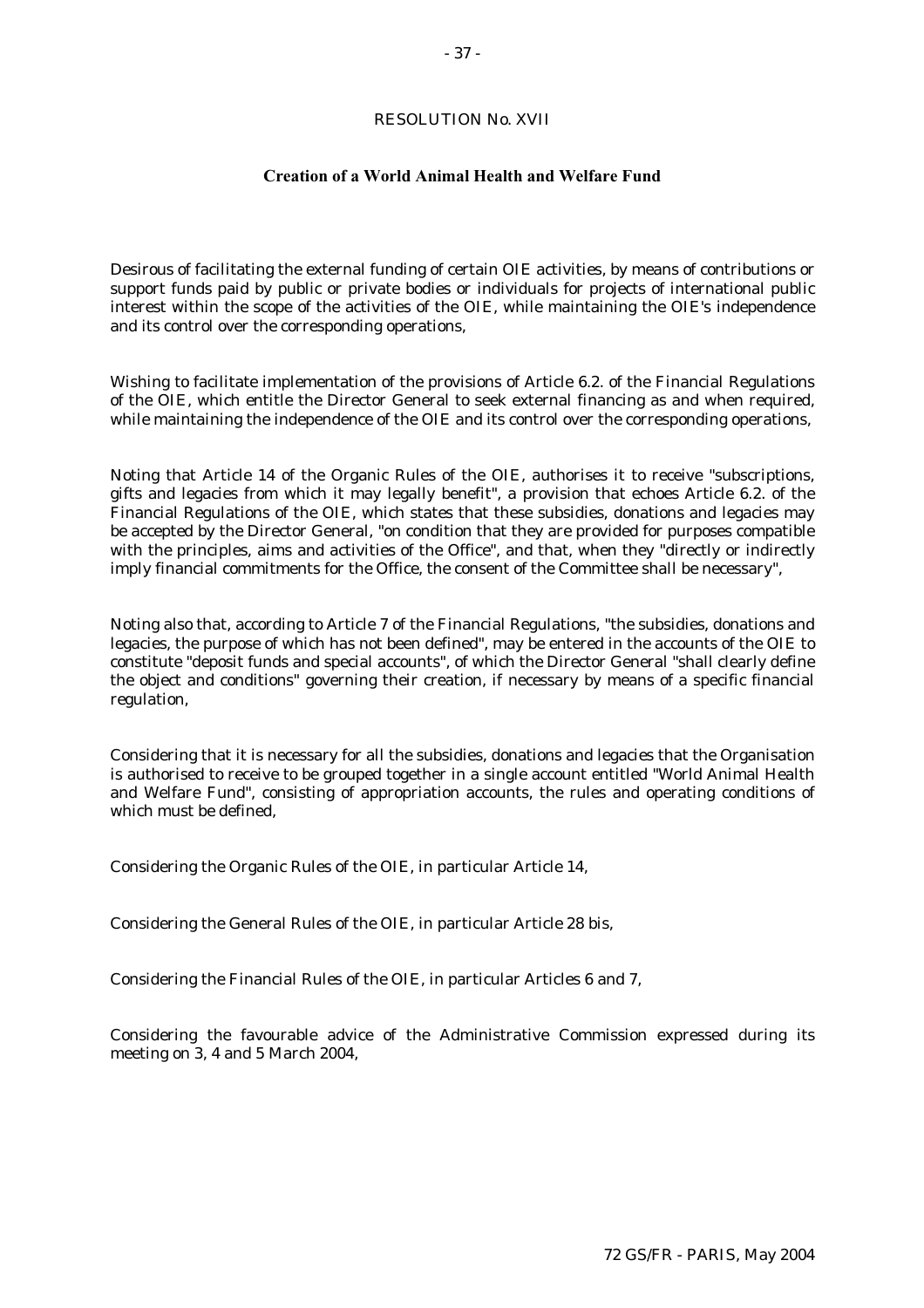# RESOLUTION No. XVII

### **Creation of a World Animal Health and Welfare Fund**

Desirous of facilitating the external funding of certain OIE activities, by means of contributions or support funds paid by public or private bodies or individuals for projects of international public interest within the scope of the activities of the OIE, while maintaining the OIE's independence and its control over the corresponding operations,

Wishing to facilitate implementation of the provisions of Article 6.2. of the Financial Regulations of the OIE, which entitle the Director General to seek external financing as and when required, while maintaining the independence of the OIE and its control over the corresponding operations,

Noting that Article 14 of the Organic Rules of the OIE, authorises it to receive "subscriptions, gifts and legacies from which it may legally benefit", a provision that echoes Article 6.2. of the Financial Regulations of the OIE, which states that these subsidies, donations and legacies may be accepted by the Director General, "on condition that they are provided for purposes compatible with the principles, aims and activities of the Office", and that, when they "directly or indirectly imply financial commitments for the Office, the consent of the Committee shall be necessary",

Noting also that, according to Article 7 of the Financial Regulations, "the subsidies, donations and legacies, the purpose of which has not been defined", may be entered in the accounts of the OIE to constitute "deposit funds and special accounts", of which the Director General "shall clearly define the object and conditions" governing their creation, if necessary by means of a specific financial regulation,

Considering that it is necessary for all the subsidies, donations and legacies that the Organisation is authorised to receive to be grouped together in a single account entitled "World Animal Health and Welfare Fund", consisting of appropriation accounts, the rules and operating conditions of which must be defined,

Considering the Organic Rules of the OIE, in particular Article 14,

Considering the General Rules of the OIE, in particular Article 28 bis,

Considering the Financial Rules of the OIE, in particular Articles 6 and 7,

Considering the favourable advice of the Administrative Commission expressed during its meeting on 3, 4 and 5 March 2004,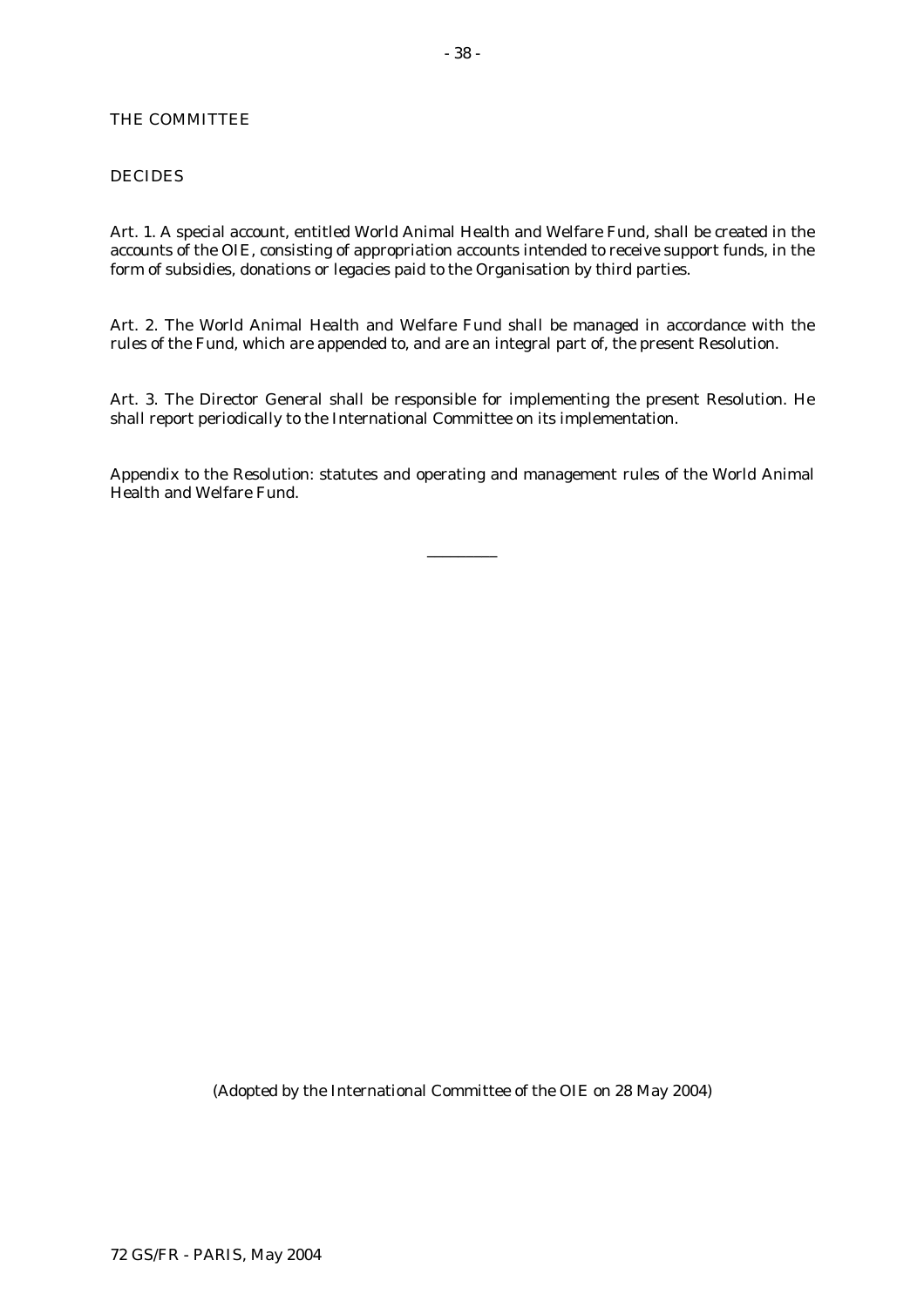# THE COMMITTEE

### DECIDES

Art. 1. A special account, entitled World Animal Health and Welfare Fund, shall be created in the accounts of the OIE, consisting of appropriation accounts intended to receive support funds, in the form of subsidies, donations or legacies paid to the Organisation by third parties.

Art. 2. The World Animal Health and Welfare Fund shall be managed in accordance with the rules of the Fund, which are appended to, and are an integral part of, the present Resolution.

Art. 3. The Director General shall be responsible for implementing the present Resolution. He shall report periodically to the International Committee on its implementation.

Appendix to the Resolution: statutes and operating and management rules of the World Animal Health and Welfare Fund.

\_\_\_\_\_\_\_\_\_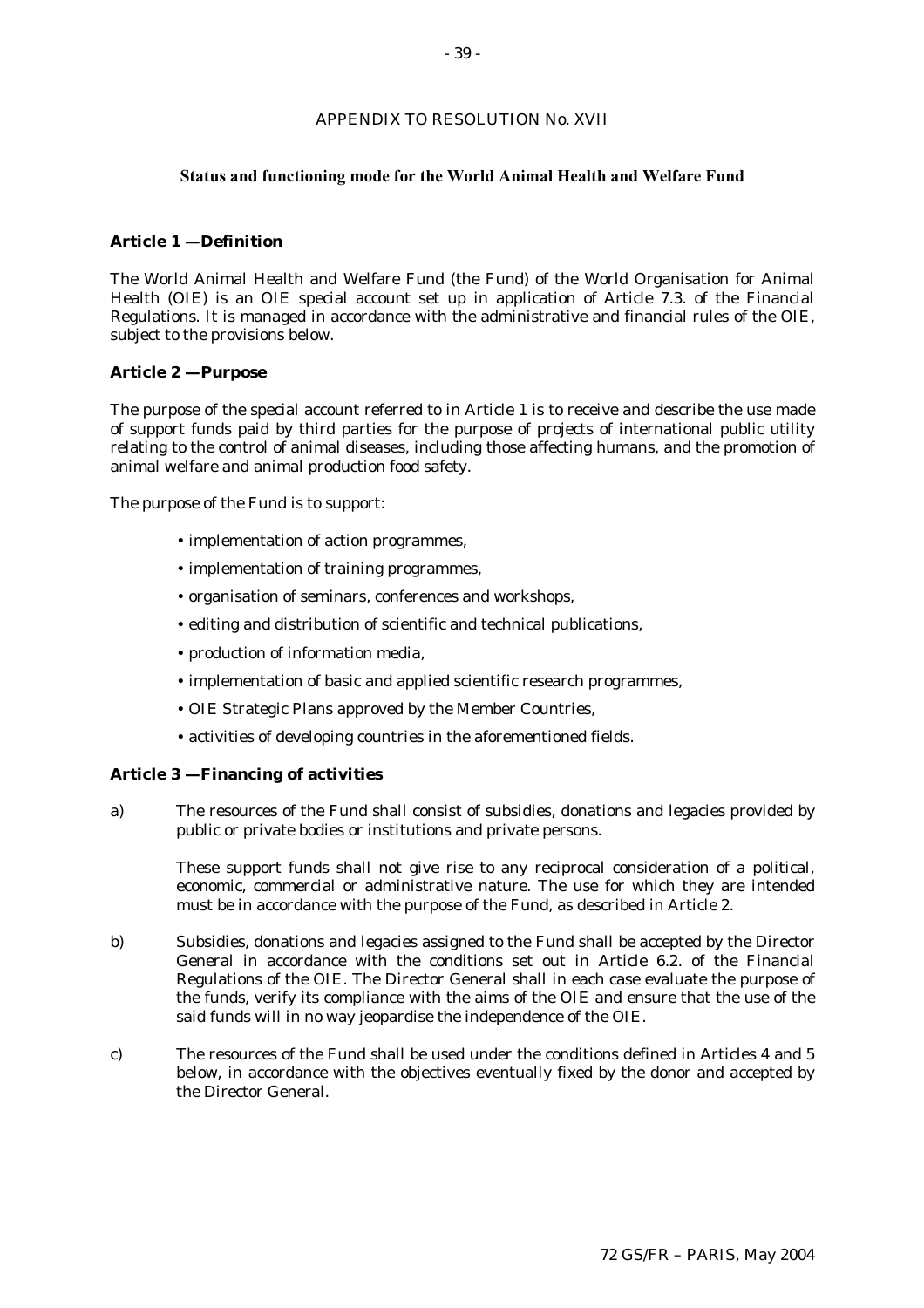#### APPENDIX TO RESOLUTION No. XVII

#### **Status and functioning mode for the World Animal Health and Welfare Fund**

#### **Article 1 — Definition**

The World Animal Health and Welfare Fund (the Fund) of the World Organisation for Animal Health (OIE) is an OIE special account set up in application of Article 7.3. of the Financial Regulations. It is managed in accordance with the administrative and financial rules of the OIE, subject to the provisions below.

#### **Article 2 — Purpose**

The purpose of the special account referred to in Article 1 is to receive and describe the use made of support funds paid by third parties for the purpose of projects of international public utility relating to the control of animal diseases, including those affecting humans, and the promotion of animal welfare and animal production food safety.

The purpose of the Fund is to support:

- ! implementation of action programmes,
- ! implementation of training programmes,
- ! organisation of seminars, conferences and workshops,
- ! editing and distribution of scientific and technical publications,
- ! production of information media,
- ! implementation of basic and applied scientific research programmes,
- ! OIE Strategic Plans approved by the Member Countries,
- ! activities of developing countries in the aforementioned fields.

#### **Article 3 — Financing of activities**

a) The resources of the Fund shall consist of subsidies, donations and legacies provided by public or private bodies or institutions and private persons.

These support funds shall not give rise to any reciprocal consideration of a political, economic, commercial or administrative nature. The use for which they are intended must be in accordance with the purpose of the Fund, as described in Article 2.

- b) Subsidies, donations and legacies assigned to the Fund shall be accepted by the Director General in accordance with the conditions set out in Article 6.2. of the Financial Regulations of the OIE. The Director General shall in each case evaluate the purpose of the funds, verify its compliance with the aims of the OIE and ensure that the use of the said funds will in no way jeopardise the independence of the OIE.
- c) The resources of the Fund shall be used under the conditions defined in Articles 4 and 5 below, in accordance with the objectives eventually fixed by the donor and accepted by the Director General.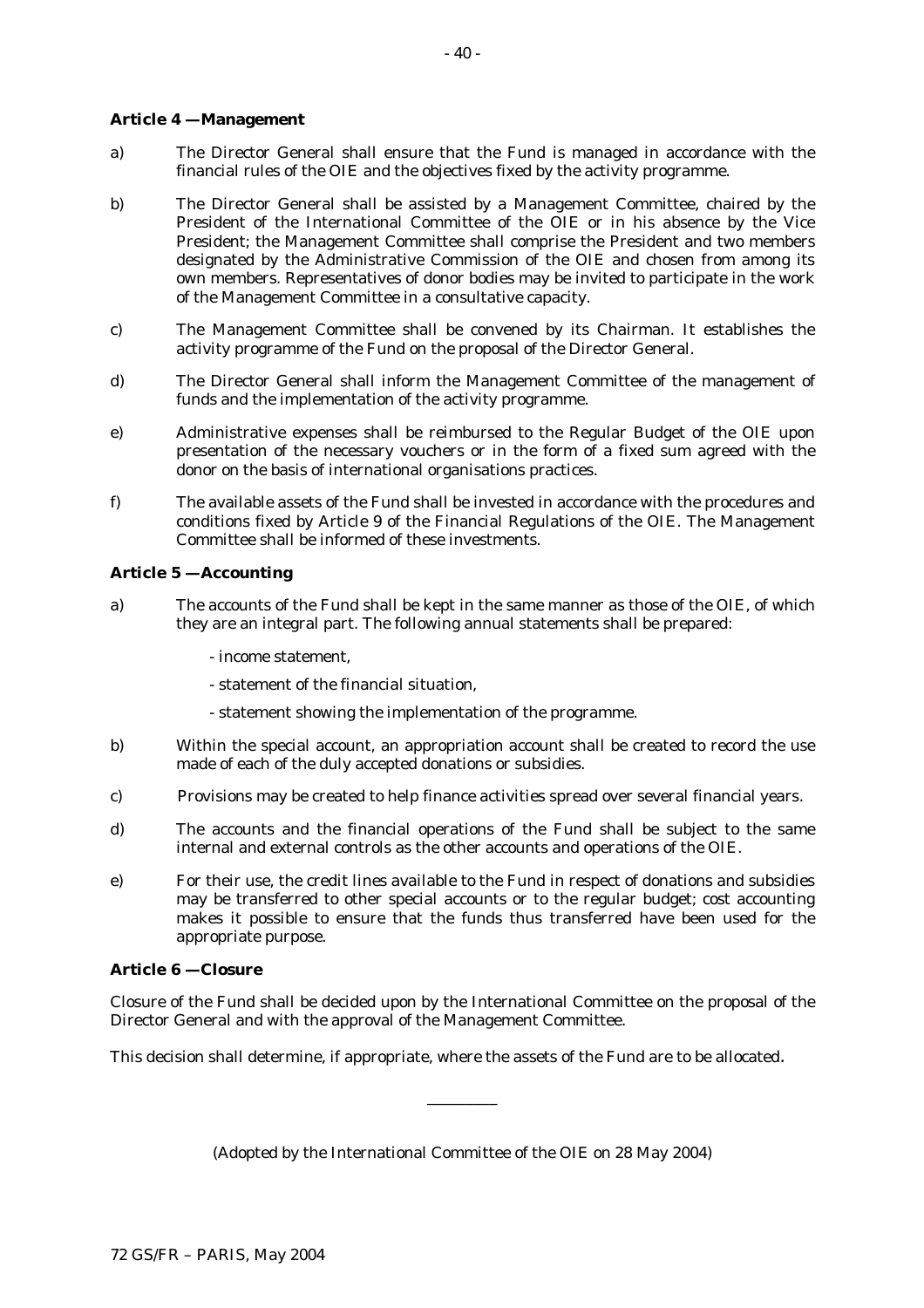### **Article 4 — Management**

- a) The Director General shall ensure that the Fund is managed in accordance with the financial rules of the OIE and the objectives fixed by the activity programme.
- b) The Director General shall be assisted by a Management Committee, chaired by the President of the International Committee of the OIE or in his absence by the Vice President; the Management Committee shall comprise the President and two members designated by the Administrative Commission of the OIE and chosen from among its own members. Representatives of donor bodies may be invited to participate in the work of the Management Committee in a consultative capacity.
- c) The Management Committee shall be convened by its Chairman. It establishes the activity programme of the Fund on the proposal of the Director General.
- d) The Director General shall inform the Management Committee of the management of funds and the implementation of the activity programme.
- e) Administrative expenses shall be reimbursed to the Regular Budget of the OIE upon presentation of the necessary vouchers or in the form of a fixed sum agreed with the donor on the basis of international organisations practices.
- f) The available assets of the Fund shall be invested in accordance with the procedures and conditions fixed by Article 9 of the Financial Regulations of the OIE. The Management Committee shall be informed of these investments.

### **Article 5 — Accounting**

- a) The accounts of the Fund shall be kept in the same manner as those of the OIE, of which they are an integral part. The following annual statements shall be prepared:
	- income statement,
	- statement of the financial situation,
	- statement showing the implementation of the programme.
- b) Within the special account, an appropriation account shall be created to record the use made of each of the duly accepted donations or subsidies.
- c) Provisions may be created to help finance activities spread over several financial years.
- d) The accounts and the financial operations of the Fund shall be subject to the same internal and external controls as the other accounts and operations of the OIE.
- e) For their use, the credit lines available to the Fund in respect of donations and subsidies may be transferred to other special accounts or to the regular budget; cost accounting makes it possible to ensure that the funds thus transferred have been used for the appropriate purpose.

#### **Article 6 — Closure**

Closure of the Fund shall be decided upon by the International Committee on the proposal of the Director General and with the approval of the Management Committee.

This decision shall determine, if appropriate, where the assets of the Fund are to be allocated.

(Adopted by the International Committee of the OIE on 28 May 2004)

\_\_\_\_\_\_\_\_\_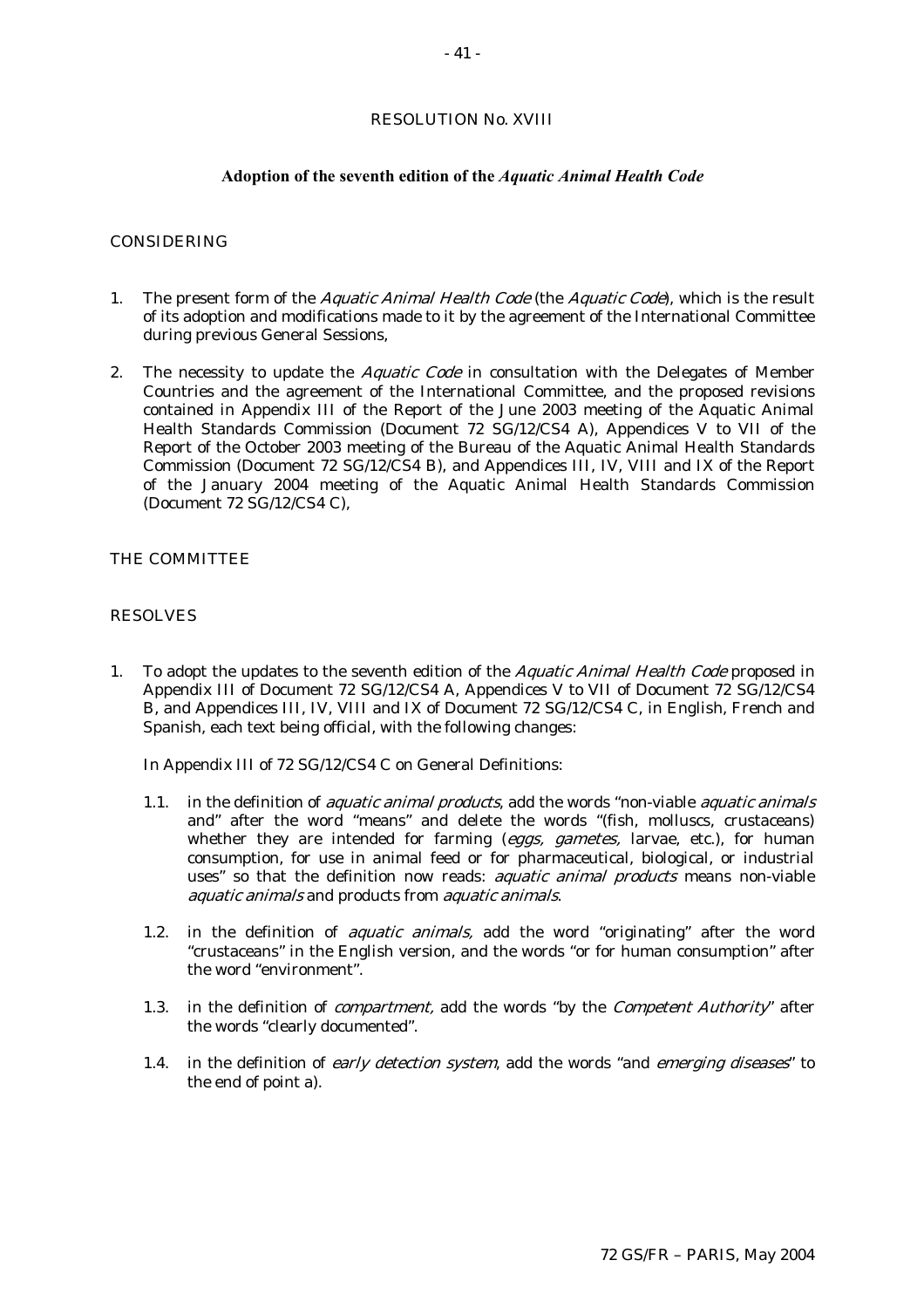### **Adoption of the seventh edition of the** *Aquatic Animal Health Code*

#### CONSIDERING

- 1. The present form of the *Aquatic Animal Health Code* (the *Aquatic Code*), which is the result of its adoption and modifications made to it by the agreement of the International Committee during previous General Sessions,
- 2. The necessity to update the *Aquatic Code* in consultation with the Delegates of Member Countries and the agreement of the International Committee, and the proposed revisions contained in Appendix III of the Report of the June 2003 meeting of the Aquatic Animal Health Standards Commission (Document 72 SG/12/CS4 A), Appendices V to VII of the Report of the October 2003 meeting of the Bureau of the Aquatic Animal Health Standards Commission (Document 72 SG/12/CS4 B), and Appendices III, IV, VIII and IX of the Report of the January 2004 meeting of the Aquatic Animal Health Standards Commission (Document 72 SG/12/CS4 C),

# THE COMMITTEE

#### RESOLVES

1. To adopt the updates to the seventh edition of the *Aquatic Animal Health Code* proposed in Appendix III of Document 72 SG/12/CS4 A, Appendices V to VII of Document 72 SG/12/CS4 B, and Appendices III, IV, VIII and IX of Document 72 SG/12/CS4 C, in English, French and Spanish, each text being official, with the following changes:

In Appendix III of 72 SG/12/CS4 C on General Definitions:

- 1.1. in the definition of *aquatic animal products*, add the words "non-viable *aquatic animals*" and" after the word "means" and delete the words "(fish, molluscs, crustaceans) whether they are intended for farming (eggs, gametes, larvae, etc.), for human consumption, for use in animal feed or for pharmaceutical, biological, or industrial uses" so that the definition now reads: *aquatic animal products* means non-viable aquatic animals and products from aquatic animals.
- 1.2. in the definition of *aquatic animals*, add the word "originating" after the word "crustaceans" in the English version, and the words "or for human consumption" after the word "environment".
- 1.3. in the definition of *compartment*, add the words "by the *Competent Authority*" after the words "clearly documented".
- 1.4. in the definition of early detection system, add the words "and emerging diseases" to the end of point a).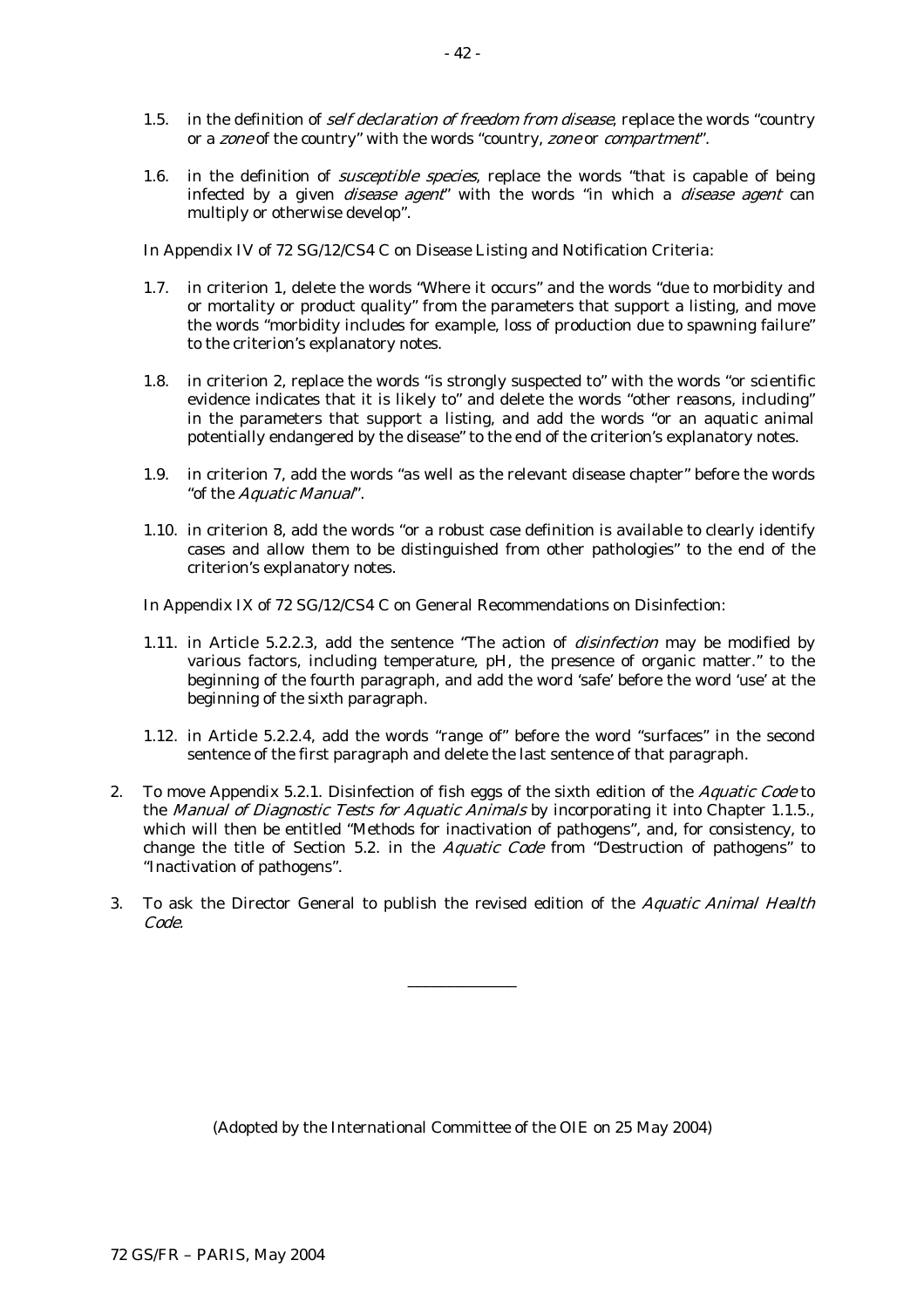- 1.5. in the definition of *self declaration of freedom from disease*, replace the words "country or a zone of the country" with the words "country, zone or compartment".
- 1.6. in the definition of *susceptible species*, replace the words "that is capable of being infected by a given *disease agent*" with the words "in which a *disease agent* can multiply or otherwise develop".

In Appendix IV of 72 SG/12/CS4 C on Disease Listing and Notification Criteria:

- 1.7. in criterion 1, delete the words "Where it occurs" and the words "due to morbidity and or mortality or product quality" from the parameters that support a listing, and move the words "morbidity includes for example, loss of production due to spawning failure" to the criterion's explanatory notes.
- 1.8. in criterion 2, replace the words "is strongly suspected to" with the words "or scientific evidence indicates that it is likely to" and delete the words "other reasons, including" in the parameters that support a listing, and add the words "or an aquatic animal potentially endangered by the disease" to the end of the criterion's explanatory notes.
- 1.9. in criterion 7, add the words "as well as the relevant disease chapter" before the words "of the Aquatic Manual".
- 1.10. in criterion 8, add the words "or a robust case definition is available to clearly identify cases and allow them to be distinguished from other pathologies" to the end of the criterion's explanatory notes.

In Appendix IX of 72 SG/12/CS4 C on General Recommendations on Disinfection:

- 1.11. in Article 5.2.2.3, add the sentence "The action of disinfection may be modified by various factors, including temperature, pH, the presence of organic matter." to the beginning of the fourth paragraph, and add the word 'safe' before the word 'use' at the beginning of the sixth paragraph.
- 1.12. in Article 5.2.2.4, add the words "range of" before the word "surfaces" in the second sentence of the first paragraph and delete the last sentence of that paragraph.
- 2. To move Appendix 5.2.1. Disinfection of fish eggs of the sixth edition of the Aquatic Code to the Manual of Diagnostic Tests for Aquatic Animals by incorporating it into Chapter 1.1.5., which will then be entitled "Methods for inactivation of pathogens", and, for consistency, to change the title of Section 5.2. in the *Aquatic Code* from "Destruction of pathogens" to "Inactivation of pathogens".
- 3. To ask the Director General to publish the revised edition of the Aquatic Animal Health Code.

\_\_\_\_\_\_\_\_\_\_\_\_\_\_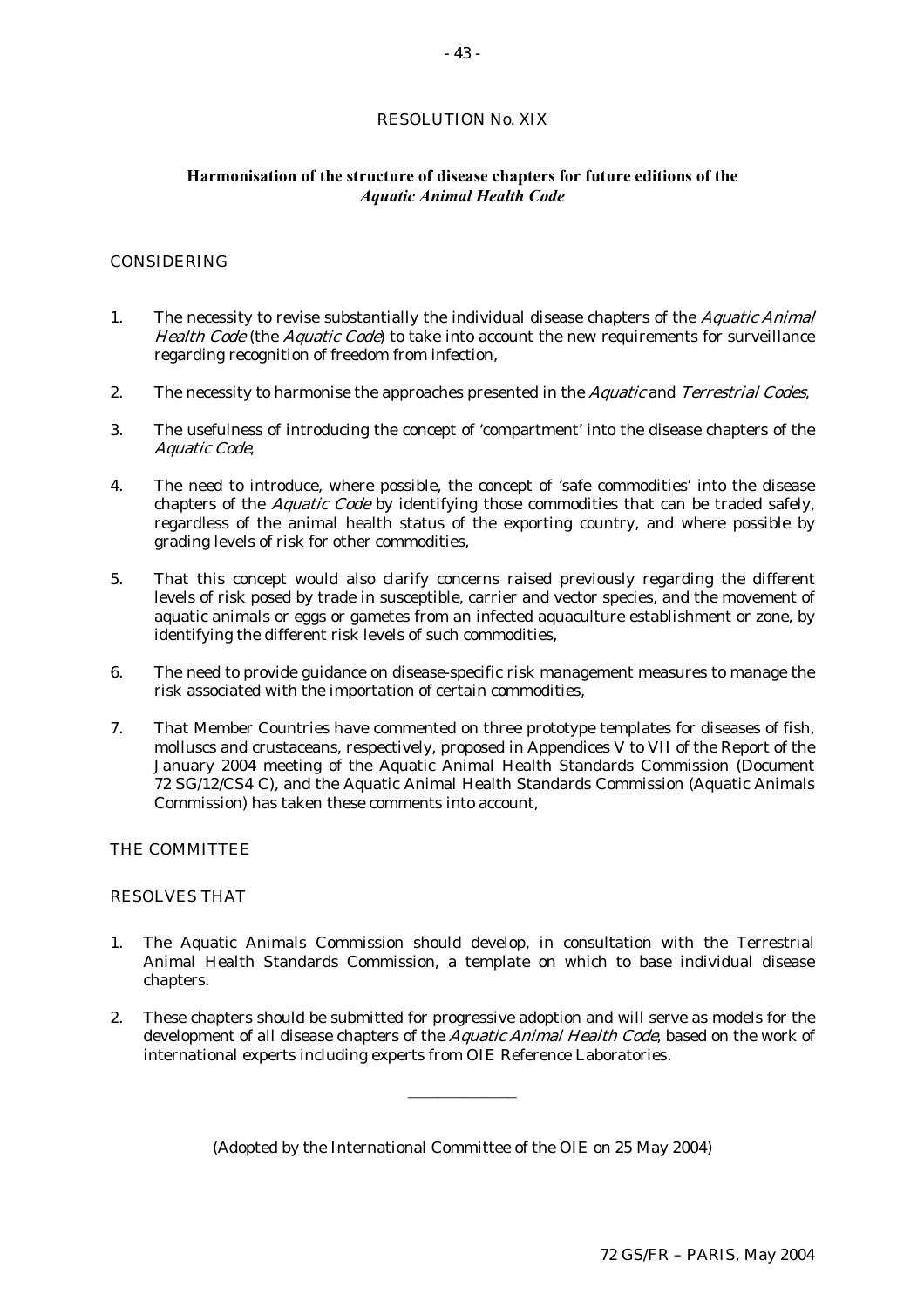# RESOLUTION No. XIX

# **Harmonisation of the structure of disease chapters for future editions of the**  *Aquatic Animal Health Code*

#### CONSIDERING

- 1. The necessity to revise substantially the individual disease chapters of the *Aquatic Animal* Health Code (the Aquatic Code) to take into account the new requirements for surveillance regarding recognition of freedom from infection,
- 2. The necessity to harmonise the approaches presented in the *Aquatic* and *Terrestrial Codes*,
- 3. The usefulness of introducing the concept of 'compartment' into the disease chapters of the Aquatic Code,
- 4. The need to introduce, where possible, the concept of 'safe commodities' into the disease chapters of the *Aquatic Code* by identifying those commodities that can be traded safely, regardless of the animal health status of the exporting country, and where possible by grading levels of risk for other commodities,
- 5. That this concept would also clarify concerns raised previously regarding the different levels of risk posed by trade in susceptible, carrier and vector species, and the movement of aquatic animals or eggs or gametes from an infected aquaculture establishment or zone, by identifying the different risk levels of such commodities,
- 6. The need to provide guidance on disease-specific risk management measures to manage the risk associated with the importation of certain commodities,
- 7. That Member Countries have commented on three prototype templates for diseases of fish, molluscs and crustaceans, respectively, proposed in Appendices V to VII of the Report of the January 2004 meeting of the Aquatic Animal Health Standards Commission (Document 72 SG/12/CS4 C), and the Aquatic Animal Health Standards Commission (Aquatic Animals Commission) has taken these comments into account,

#### THE COMMITTEE

### RESOLVES THAT

- 1. The Aquatic Animals Commission should develop, in consultation with the Terrestrial Animal Health Standards Commission, a template on which to base individual disease chapters.
- 2. These chapters should be submitted for progressive adoption and will serve as models for the development of all disease chapters of the Aquatic Animal Health Code, based on the work of international experts including experts from OIE Reference Laboratories.

 $\overline{\phantom{a}}$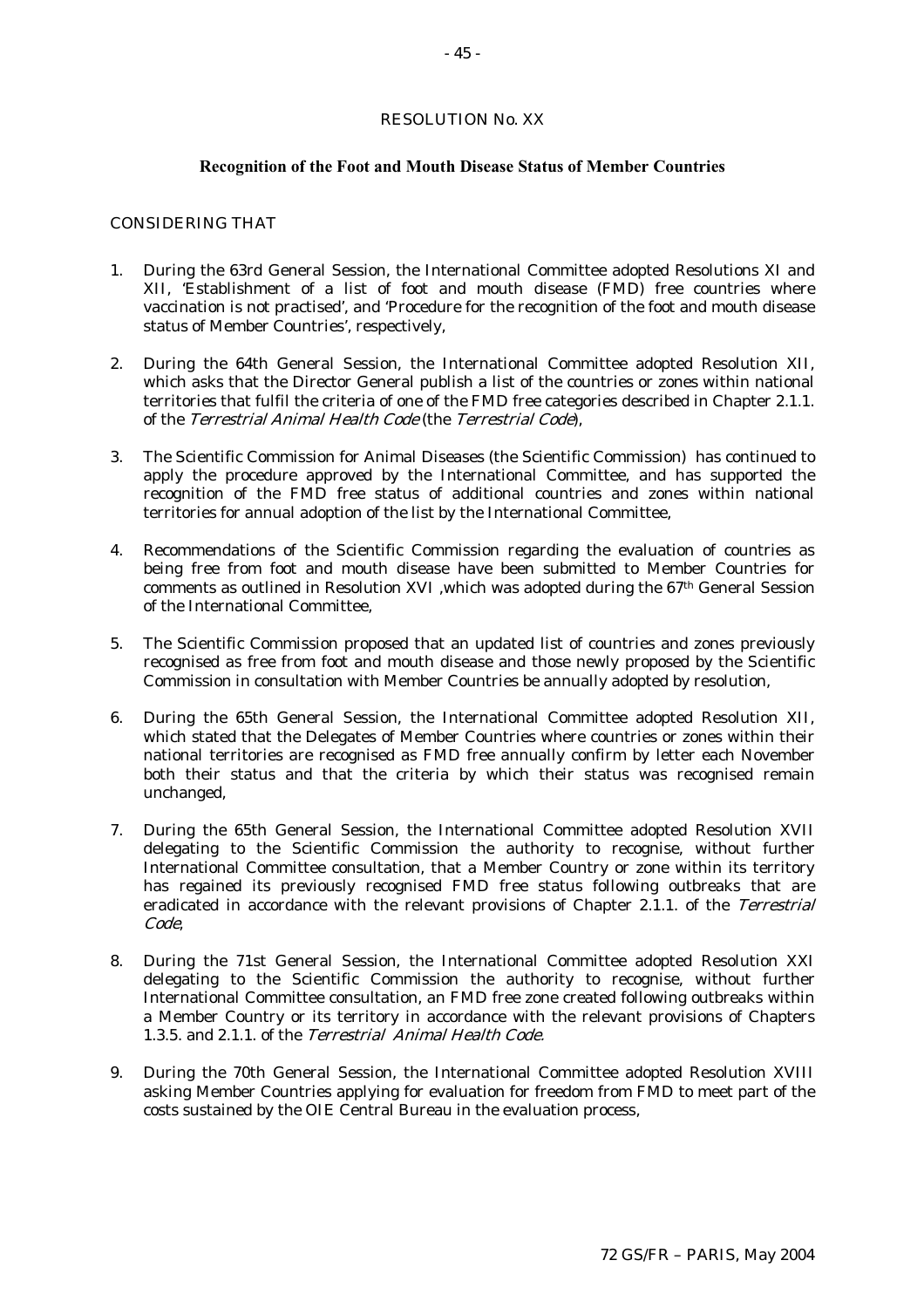#### RESOLUTION No. XX

#### **Recognition of the Foot and Mouth Disease Status of Member Countries**

#### CONSIDERING THAT

- 1. During the 63rd General Session, the International Committee adopted Resolutions XI and XII, 'Establishment of a list of foot and mouth disease (FMD) free countries where vaccination is not practised', and 'Procedure for the recognition of the foot and mouth disease status of Member Countries', respectively,
- 2. During the 64th General Session, the International Committee adopted Resolution XII, which asks that the Director General publish a list of the countries or zones within national territories that fulfil the criteria of one of the FMD free categories described in Chapter 2.1.1. of the Terrestrial Animal Health Code (the Terrestrial Code),
- 3. The Scientific Commission for Animal Diseases (the Scientific Commission) has continued to apply the procedure approved by the International Committee, and has supported the recognition of the FMD free status of additional countries and zones within national territories for annual adoption of the list by the International Committee,
- 4. Recommendations of the Scientific Commission regarding the evaluation of countries as being free from foot and mouth disease have been submitted to Member Countries for comments as outlined in Resolution XVI ,which was adopted during the 67th General Session of the International Committee,
- 5. The Scientific Commission proposed that an updated list of countries and zones previously recognised as free from foot and mouth disease and those newly proposed by the Scientific Commission in consultation with Member Countries be annually adopted by resolution,
- 6. During the 65th General Session, the International Committee adopted Resolution XII, which stated that the Delegates of Member Countries where countries or zones within their national territories are recognised as FMD free annually confirm by letter each November both their status and that the criteria by which their status was recognised remain unchanged,
- 7. During the 65th General Session, the International Committee adopted Resolution XVII delegating to the Scientific Commission the authority to recognise, without further International Committee consultation, that a Member Country or zone within its territory has regained its previously recognised FMD free status following outbreaks that are eradicated in accordance with the relevant provisions of Chapter 2.1.1. of the Terrestrial Code,
- 8. During the 71st General Session, the International Committee adopted Resolution XXI delegating to the Scientific Commission the authority to recognise, without further International Committee consultation, an FMD free zone created following outbreaks within a Member Country or its territory in accordance with the relevant provisions of Chapters 1.3.5. and 2.1.1. of the Terrestrial Animal Health Code.
- 9. During the 70th General Session, the International Committee adopted Resolution XVIII asking Member Countries applying for evaluation for freedom from FMD to meet part of the costs sustained by the OIE Central Bureau in the evaluation process,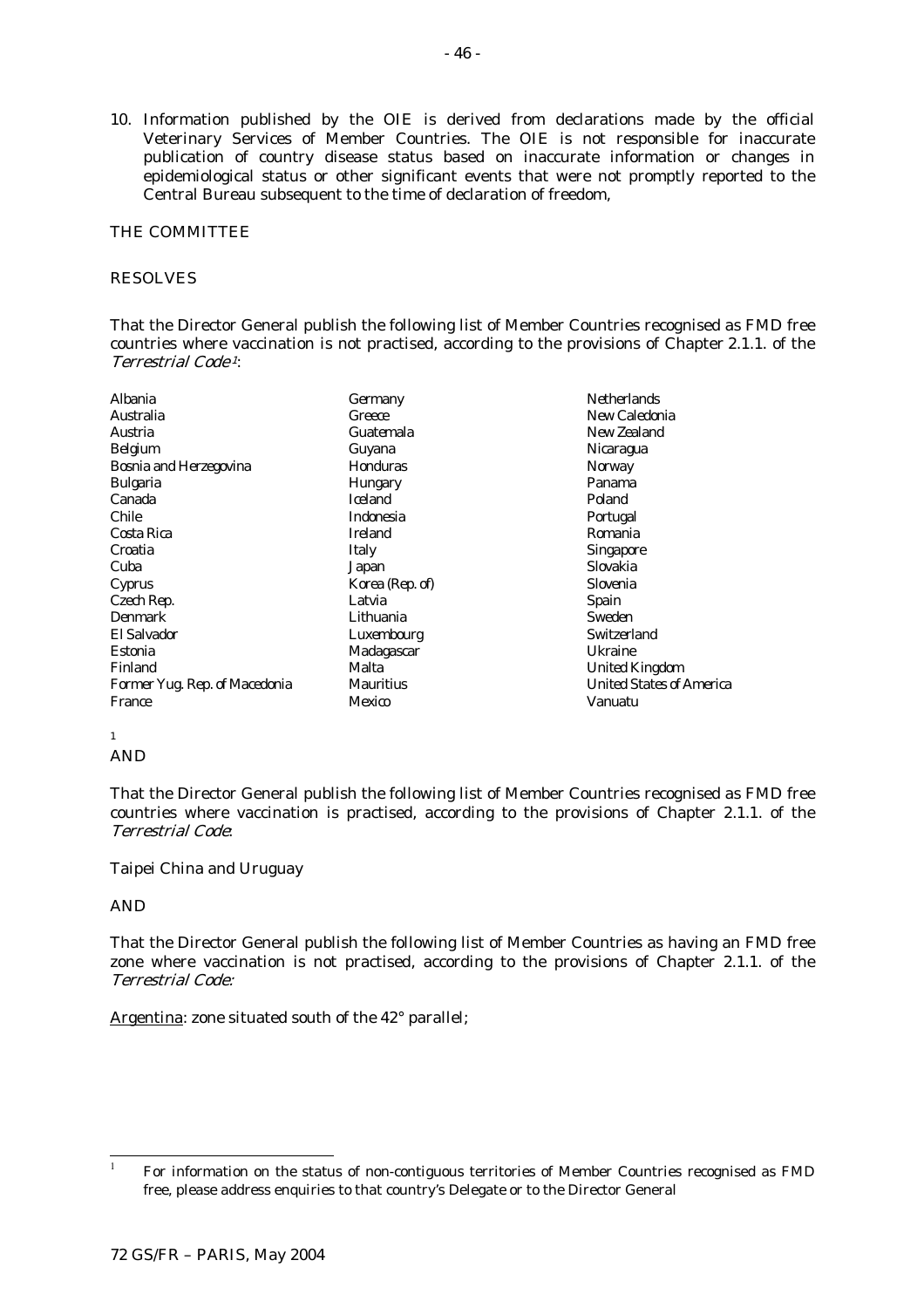10. Information published by the OIE is derived from declarations made by the official Veterinary Services of Member Countries. The OIE is not responsible for inaccurate publication of country disease status based on inaccurate information or changes in epidemiological status or other significant events that were not promptly reported to the Central Bureau subsequent to the time of declaration of freedom,

### THE COMMITTEE

### RESOLVES

That the Director General publish the following list of Member Countries recognised as FMD free countries where vaccination is not practised, according to the provisions of Chapter 2.1.1. of the Terrestrial Code 1:

| Albania                       | Germany          | <b>Netherlands</b>              |
|-------------------------------|------------------|---------------------------------|
| Australia                     | Greece           | New Caledonia                   |
| Austria                       | Guatemala        | New Zealand                     |
| <b>Belgium</b>                | Guyana           | Nicaragua                       |
| <b>Bosnia and Herzegovina</b> | Honduras         | <b>Norway</b>                   |
| <b>Bulgaria</b>               | <b>Hungary</b>   | Panama                          |
| Canada                        | <b>Iceland</b>   | Poland                          |
| <b>Chile</b>                  | <b>Indonesia</b> | Portugal                        |
| Costa Rica                    | <b>Ireland</b>   | Romania                         |
| Croatia                       | Italy            | <b>Singapore</b>                |
| Cuba                          | Japan            | Slovakia                        |
| Cyprus                        | Korea (Rep. of)  | Slovenia                        |
| Czech Rep.                    | Latvia           | <b>Spain</b>                    |
| <b>Denmark</b>                | Lithuania        | <b>Sweden</b>                   |
| El Salvador                   | Luxembourg       | <b>Switzerland</b>              |
| Estonia                       | Madagascar       | Ukraine                         |
| Finland                       | Malta            | <b>United Kingdom</b>           |
| Former Yug. Rep. of Macedonia | Mauritius        | <b>United States of America</b> |
| France                        | Mexico           | Vanuatu                         |

# 1

AND

That the Director General publish the following list of Member Countries recognised as FMD free countries where vaccination is practised, according to the provisions of Chapter 2.1.1. of the Terrestrial Code:

#### Taipei China and Uruguay

#### AND

 $\overline{1}$ 

That the Director General publish the following list of Member Countries as having an FMD free zone where vaccination is not practised, according to the provisions of Chapter 2.1.1. of the Terrestrial Code:

Argentina: zone situated south of the 42° parallel;

<sup>1</sup> For information on the status of non-contiguous territories of Member Countries recognised as FMD free, please address enquiries to that country's Delegate or to the Director General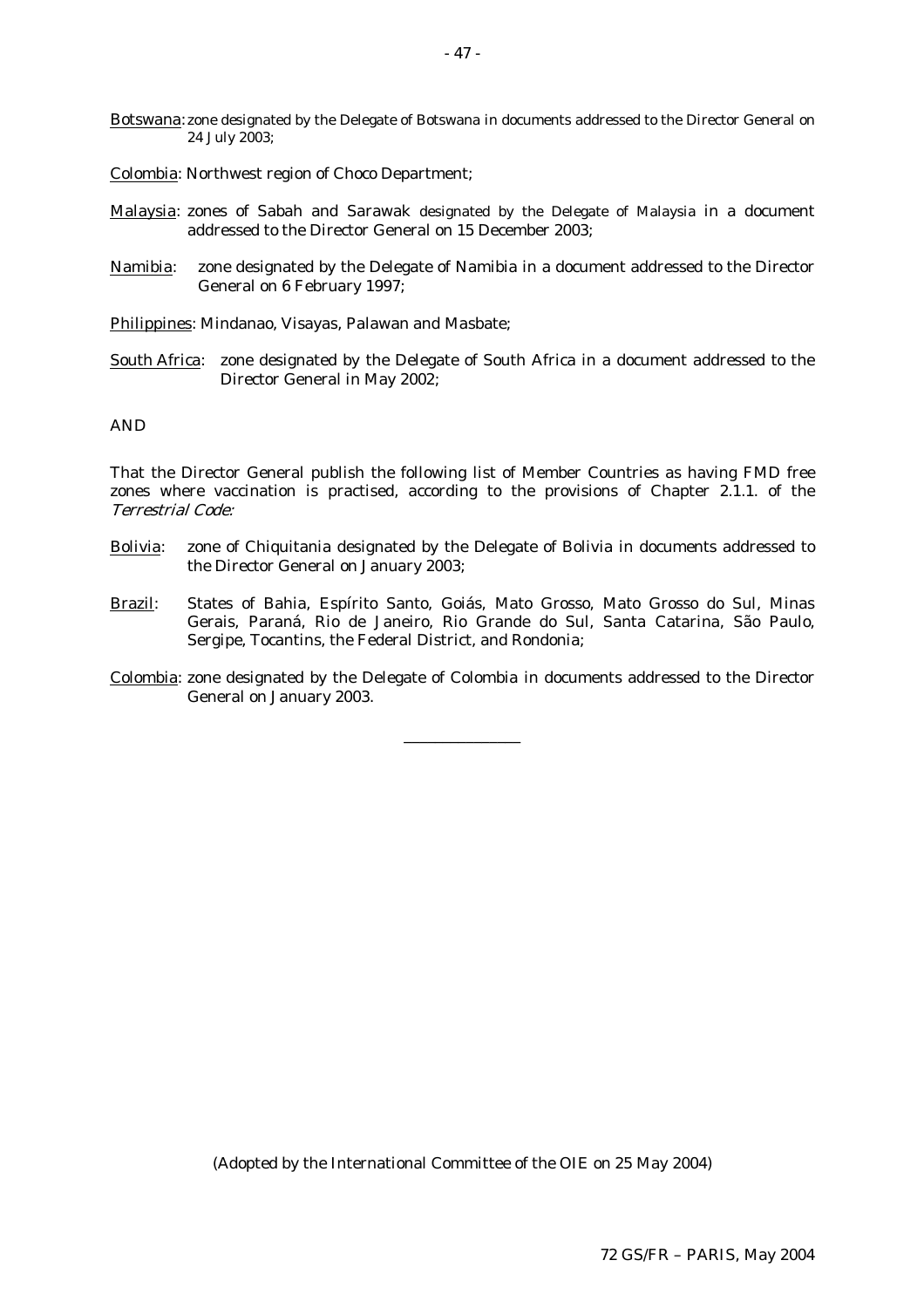Botswana: zone designated by the Delegate of Botswana in documents addressed to the Director General on 24 July 2003;

Colombia: Northwest region of Choco Department;

- Malaysia: zones of Sabah and Sarawak designated by the Delegate of Malaysia in a document addressed to the Director General on 15 December 2003;
- Namibia: zone designated by the Delegate of Namibia in a document addressed to the Director General on 6 February 1997;

Philippines: Mindanao, Visayas, Palawan and Masbate;

South Africa: zone designated by the Delegate of South Africa in a document addressed to the Director General in May 2002;

AND

That the Director General publish the following list of Member Countries as having FMD free zones where vaccination is practised, according to the provisions of Chapter 2.1.1. of the Terrestrial Code:

- Bolivia: zone of Chiquitania designated by the Delegate of Bolivia in documents addressed to the Director General on January 2003;
- Brazil: States of Bahia, Espírito Santo, Goiás, Mato Grosso, Mato Grosso do Sul, Minas Gerais, Paraná, Rio de Janeiro, Rio Grande do Sul, Santa Catarina, São Paulo, Sergipe, Tocantins, the Federal District, and Rondonia;
- Colombia: zone designated by the Delegate of Colombia in documents addressed to the Director General on January 2003.

\_\_\_\_\_\_\_\_\_\_\_\_\_\_\_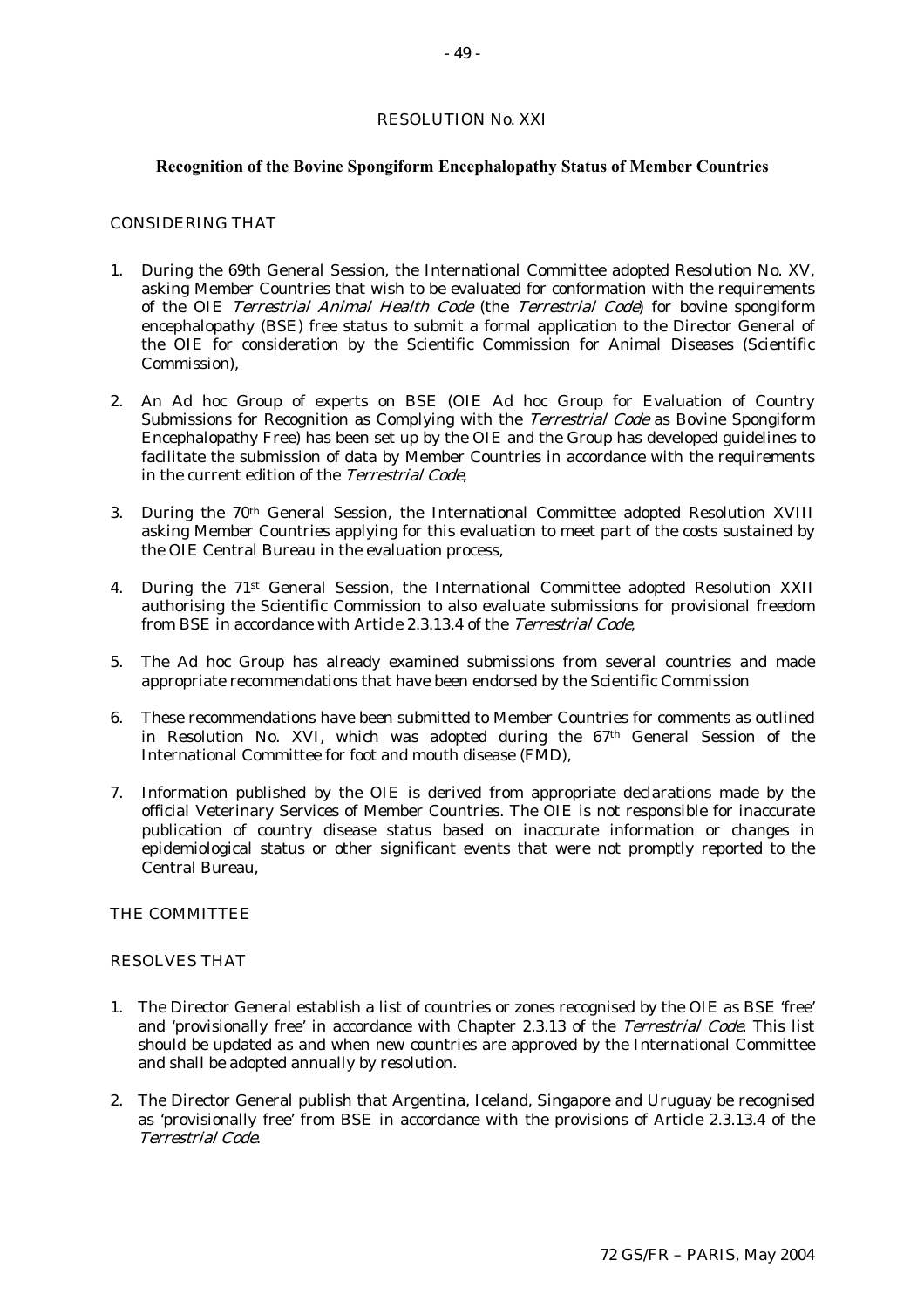#### RESOLUTION No. XXI

#### **Recognition of the Bovine Spongiform Encephalopathy Status of Member Countries**

#### CONSIDERING THAT

- 1. During the 69th General Session, the International Committee adopted Resolution No. XV, asking Member Countries that wish to be evaluated for conformation with the requirements of the OIE Terrestrial Animal Health Code (the Terrestrial Code) for bovine spongiform encephalopathy (BSE) free status to submit a formal application to the Director General of the OIE for consideration by the Scientific Commission for Animal Diseases (Scientific Commission),
- 2. An Ad hoc Group of experts on BSE (OIE Ad hoc Group for Evaluation of Country Submissions for Recognition as Complying with the *Terrestrial Code* as Bovine Spongiform Encephalopathy Free) has been set up by the OIE and the Group has developed guidelines to facilitate the submission of data by Member Countries in accordance with the requirements in the current edition of the Terrestrial Code,
- 3. During the 70th General Session, the International Committee adopted Resolution XVIII asking Member Countries applying for this evaluation to meet part of the costs sustained by the OIE Central Bureau in the evaluation process,
- 4. During the 71st General Session, the International Committee adopted Resolution XXII authorising the Scientific Commission to also evaluate submissions for provisional freedom from BSE in accordance with Article 2.3.13.4 of the Terrestrial Code,
- 5. The Ad hoc Group has already examined submissions from several countries and made appropriate recommendations that have been endorsed by the Scientific Commission
- 6. These recommendations have been submitted to Member Countries for comments as outlined in Resolution No. XVI, which was adopted during the 67th General Session of the International Committee for foot and mouth disease (FMD),
- 7. Information published by the OIE is derived from appropriate declarations made by the official Veterinary Services of Member Countries. The OIE is not responsible for inaccurate publication of country disease status based on inaccurate information or changes in epidemiological status or other significant events that were not promptly reported to the Central Bureau,

#### THE COMMITTEE

#### RESOLVES THAT

- 1. The Director General establish a list of countries or zones recognised by the OIE as BSE 'free' and 'provisionally free' in accordance with Chapter 2.3.13 of the Terrestrial Code. This list should be updated as and when new countries are approved by the International Committee and shall be adopted annually by resolution.
- 2. The Director General publish that Argentina, Iceland, Singapore and Uruguay be recognised as 'provisionally free' from BSE in accordance with the provisions of Article 2.3.13.4 of the Terrestrial Code.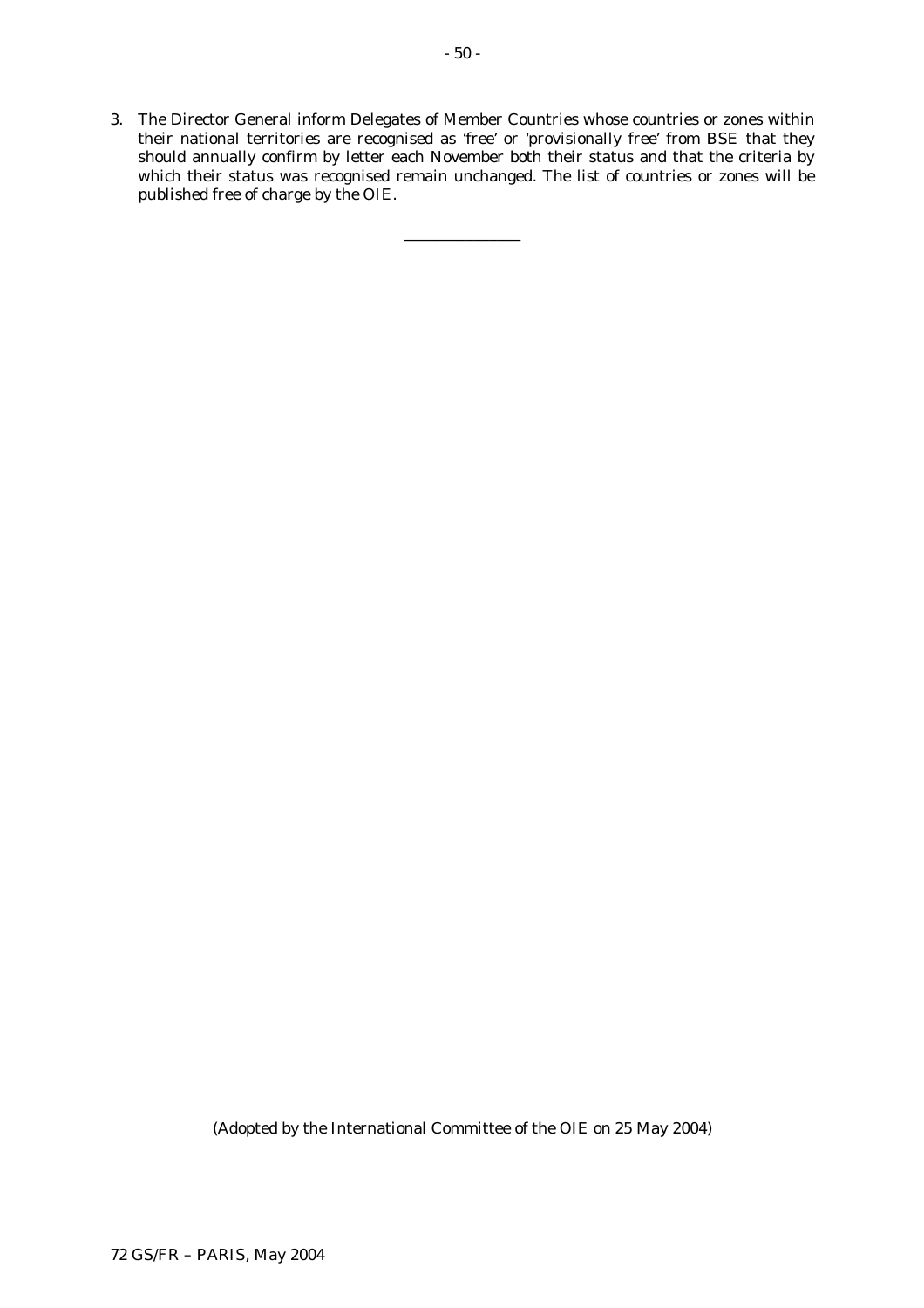3. The Director General inform Delegates of Member Countries whose countries or zones within their national territories are recognised as 'free' or 'provisionally free' from BSE that they should annually confirm by letter each November both their status and that the criteria by which their status was recognised remain unchanged. The list of countries or zones will be published free of charge by the OIE.

\_\_\_\_\_\_\_\_\_\_\_\_\_\_\_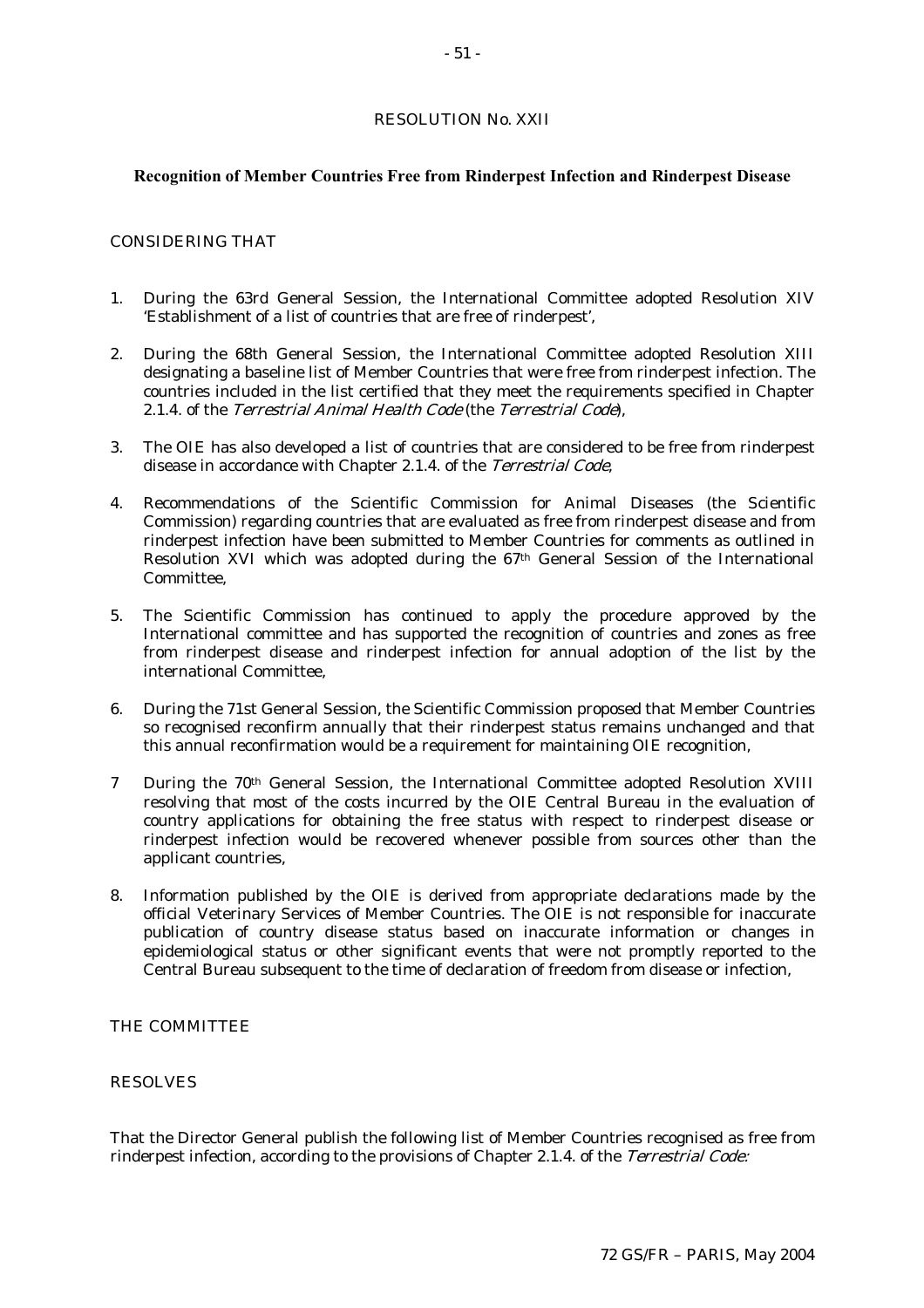# RESOLUTION No. XXII

# **Recognition of Member Countries Free from Rinderpest Infection and Rinderpest Disease**

# CONSIDERING THAT

- 1. During the 63rd General Session, the International Committee adopted Resolution XIV 'Establishment of a list of countries that are free of rinderpest',
- 2. During the 68th General Session, the International Committee adopted Resolution XIII designating a baseline list of Member Countries that were free from rinderpest infection. The countries included in the list certified that they meet the requirements specified in Chapter 2.1.4. of the Terrestrial Animal Health Code (the Terrestrial Code),
- 3. The OIE has also developed a list of countries that are considered to be free from rinderpest disease in accordance with Chapter 2.1.4. of the Terrestrial Code,
- 4. Recommendations of the Scientific Commission for Animal Diseases (the Scientific Commission) regarding countries that are evaluated as free from rinderpest disease and from rinderpest infection have been submitted to Member Countries for comments as outlined in Resolution XVI which was adopted during the 67th General Session of the International Committee,
- 5. The Scientific Commission has continued to apply the procedure approved by the International committee and has supported the recognition of countries and zones as free from rinderpest disease and rinderpest infection for annual adoption of the list by the international Committee,
- 6. During the 71st General Session, the Scientific Commission proposed that Member Countries so recognised reconfirm annually that their rinderpest status remains unchanged and that this annual reconfirmation would be a requirement for maintaining OIE recognition,
- 7 During the 70th General Session, the International Committee adopted Resolution XVIII resolving that most of the costs incurred by the OIE Central Bureau in the evaluation of country applications for obtaining the free status with respect to rinderpest disease or rinderpest infection would be recovered whenever possible from sources other than the applicant countries,
- 8. Information published by the OIE is derived from appropriate declarations made by the official Veterinary Services of Member Countries. The OIE is not responsible for inaccurate publication of country disease status based on inaccurate information or changes in epidemiological status or other significant events that were not promptly reported to the Central Bureau subsequent to the time of declaration of freedom from disease or infection,

#### THE COMMITTEE

# RESOLVES

That the Director General publish the following list of Member Countries recognised as free from rinderpest infection, according to the provisions of Chapter 2.1.4. of the Terrestrial Code: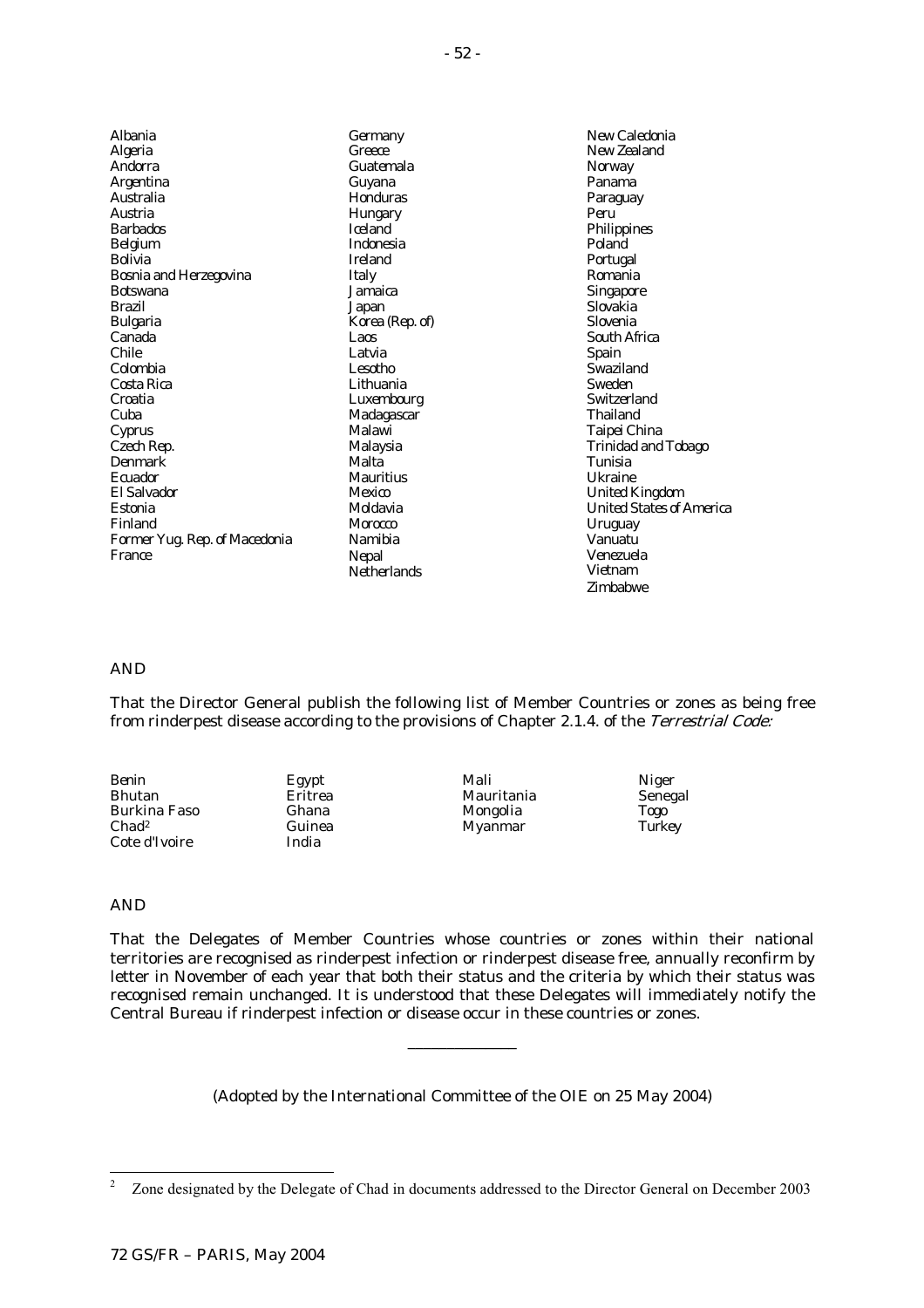| Albania                       | Germany          |
|-------------------------------|------------------|
| Algeria                       | Greece           |
| Andorra                       | Guatemala        |
| Argentina                     | Guyana           |
| Australia                     | Honduras         |
| Austria                       | Hungary          |
| <b>Barbados</b>               | <b>Iceland</b>   |
| Belgium                       | <b>Indonesia</b> |
| Bolivia                       | <b>Ireland</b>   |
| Bosnia and Herzegovina        | Italy            |
| <b>Botswana</b>               | Jamaica          |
| <b>Brazil</b>                 | Japan            |
| Bulgaria                      | Korea (Rep. of)  |
| Canada                        | Laos             |
| Chile                         | Latvia           |
| Colombia                      | Lesotho          |
| Costa Rica                    | Lithuania        |
| Croatia                       | Luxembourg       |
| Cuba                          | Madagascar       |
| Cyprus                        | Malawi           |
| Czech Rep.                    | Malaysia         |
| Denmark                       | Malta            |
| Ecuador                       | <b>Mauritius</b> |
| <b>El Salvador</b>            | Mexico           |
| Estonia                       | Moldavia         |
| Finland                       | Morocco          |
| Former Yug. Rep. of Macedonia | Namibia          |
| France                        | Nepal            |
|                               | Netherlands      |

New Caledonia New Zealand **Norway** Panama Paraguay Peru Philippines Poland Portugal Romania Singapore Slovakia Slovenia South Africa Spain Swaziland Sweden **Switzerland** Thailand Taipei China Trinidad and Tobago Tunisia Ukraine United Kingdom United States of America Uruguay Vanuatu Venezuela Vietnam Zimbabwe

#### AND

That the Director General publish the following list of Member Countries or zones as being free from rinderpest disease according to the provisions of Chapter 2.1.4. of the Terrestrial Code:

Benin Bhutan Burkina Faso Chad2 Cote d'Ivoire

Egypt Eritrea Ghana Guinea India

Mali Mauritania Mongolia Myanmar

Niger Senegal Togo **Turkey** 

# AND

That the Delegates of Member Countries whose countries or zones within their national territories are recognised as rinderpest infection or rinderpest disease free, annually reconfirm by letter in November of each year that both their status and the criteria by which their status was recognised remain unchanged. It is understood that these Delegates will immediately notify the Central Bureau if rinderpest infection or disease occur in these countries or zones.

(Adopted by the International Committee of the OIE on 25 May 2004)

\_\_\_\_\_\_\_\_\_\_\_\_\_\_

 $\frac{1}{2}$ Zone designated by the Delegate of Chad in documents addressed to the Director General on December 2003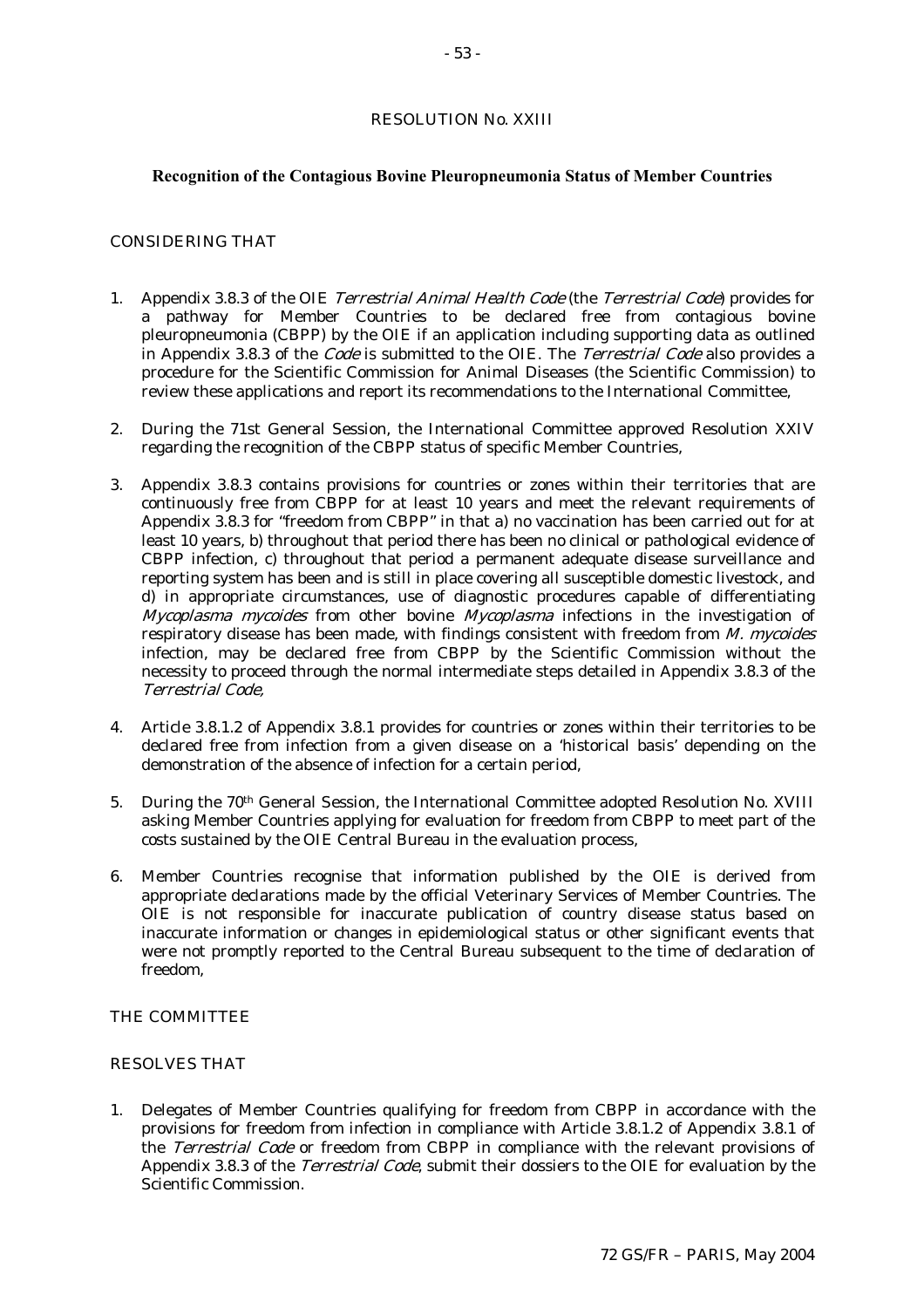#### RESOLUTION No. XXIII

#### **Recognition of the Contagious Bovine Pleuropneumonia Status of Member Countries**

# CONSIDERING THAT

- 1. Appendix 3.8.3 of the OIE Terrestrial Animal Health Code (the Terrestrial Code) provides for a pathway for Member Countries to be declared free from contagious bovine pleuropneumonia (CBPP) by the OIE if an application including supporting data as outlined in Appendix 3.8.3 of the *Code* is submitted to the OIE. The *Terrestrial Code* also provides a procedure for the Scientific Commission for Animal Diseases (the Scientific Commission) to review these applications and report its recommendations to the International Committee,
- 2. During the 71st General Session, the International Committee approved Resolution XXIV regarding the recognition of the CBPP status of specific Member Countries,
- 3. Appendix 3.8.3 contains provisions for countries or zones within their territories that are continuously free from CBPP for at least 10 years and meet the relevant requirements of Appendix 3.8.3 for "freedom from CBPP" in that a) no vaccination has been carried out for at least 10 years, b) throughout that period there has been no clinical or pathological evidence of CBPP infection, c) throughout that period a permanent adequate disease surveillance and reporting system has been and is still in place covering all susceptible domestic livestock, and d) in appropriate circumstances, use of diagnostic procedures capable of differentiating  $Mycoplasma$  mycoides from other bovine  $Mycoplasma$  infections in the investigation of respiratory disease has been made, with findings consistent with freedom from M. mycoides infection, may be declared free from CBPP by the Scientific Commission without the necessity to proceed through the normal intermediate steps detailed in Appendix 3.8.3 of the Terrestrial Code,
- 4. Article 3.8.1.2 of Appendix 3.8.1 provides for countries or zones within their territories to be declared free from infection from a given disease on a 'historical basis' depending on the demonstration of the absence of infection for a certain period,
- 5. During the 70th General Session, the International Committee adopted Resolution No. XVIII asking Member Countries applying for evaluation for freedom from CBPP to meet part of the costs sustained by the OIE Central Bureau in the evaluation process,
- 6. Member Countries recognise that information published by the OIE is derived from appropriate declarations made by the official Veterinary Services of Member Countries. The OIE is not responsible for inaccurate publication of country disease status based on inaccurate information or changes in epidemiological status or other significant events that were not promptly reported to the Central Bureau subsequent to the time of declaration of freedom,

### THE COMMITTEE

### RESOLVES THAT

1. Delegates of Member Countries qualifying for freedom from CBPP in accordance with the provisions for freedom from infection in compliance with Article 3.8.1.2 of Appendix 3.8.1 of the Terrestrial Code or freedom from CBPP in compliance with the relevant provisions of Appendix 3.8.3 of the *Terrestrial Code*, submit their dossiers to the OIE for evaluation by the Scientific Commission.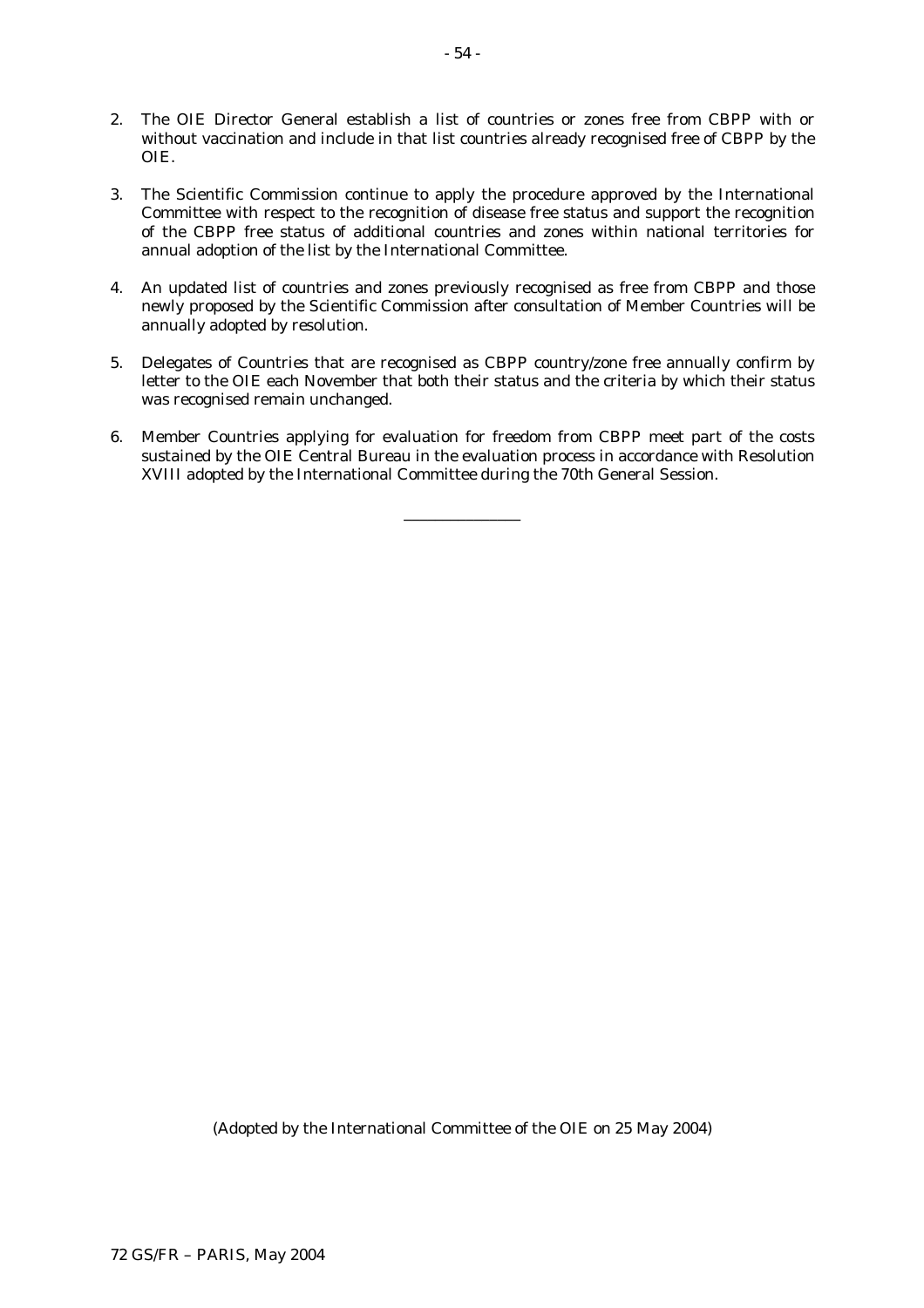- 2. The OIE Director General establish a list of countries or zones free from CBPP with or without vaccination and include in that list countries already recognised free of CBPP by the OIE.
- 3. The Scientific Commission continue to apply the procedure approved by the International Committee with respect to the recognition of disease free status and support the recognition of the CBPP free status of additional countries and zones within national territories for annual adoption of the list by the International Committee.
- 4. An updated list of countries and zones previously recognised as free from CBPP and those newly proposed by the Scientific Commission after consultation of Member Countries will be annually adopted by resolution.
- 5. Delegates of Countries that are recognised as CBPP country/zone free annually confirm by letter to the OIE each November that both their status and the criteria by which their status was recognised remain unchanged.
- 6. Member Countries applying for evaluation for freedom from CBPP meet part of the costs sustained by the OIE Central Bureau in the evaluation process in accordance with Resolution XVIII adopted by the International Committee during the 70th General Session.

\_\_\_\_\_\_\_\_\_\_\_\_\_\_\_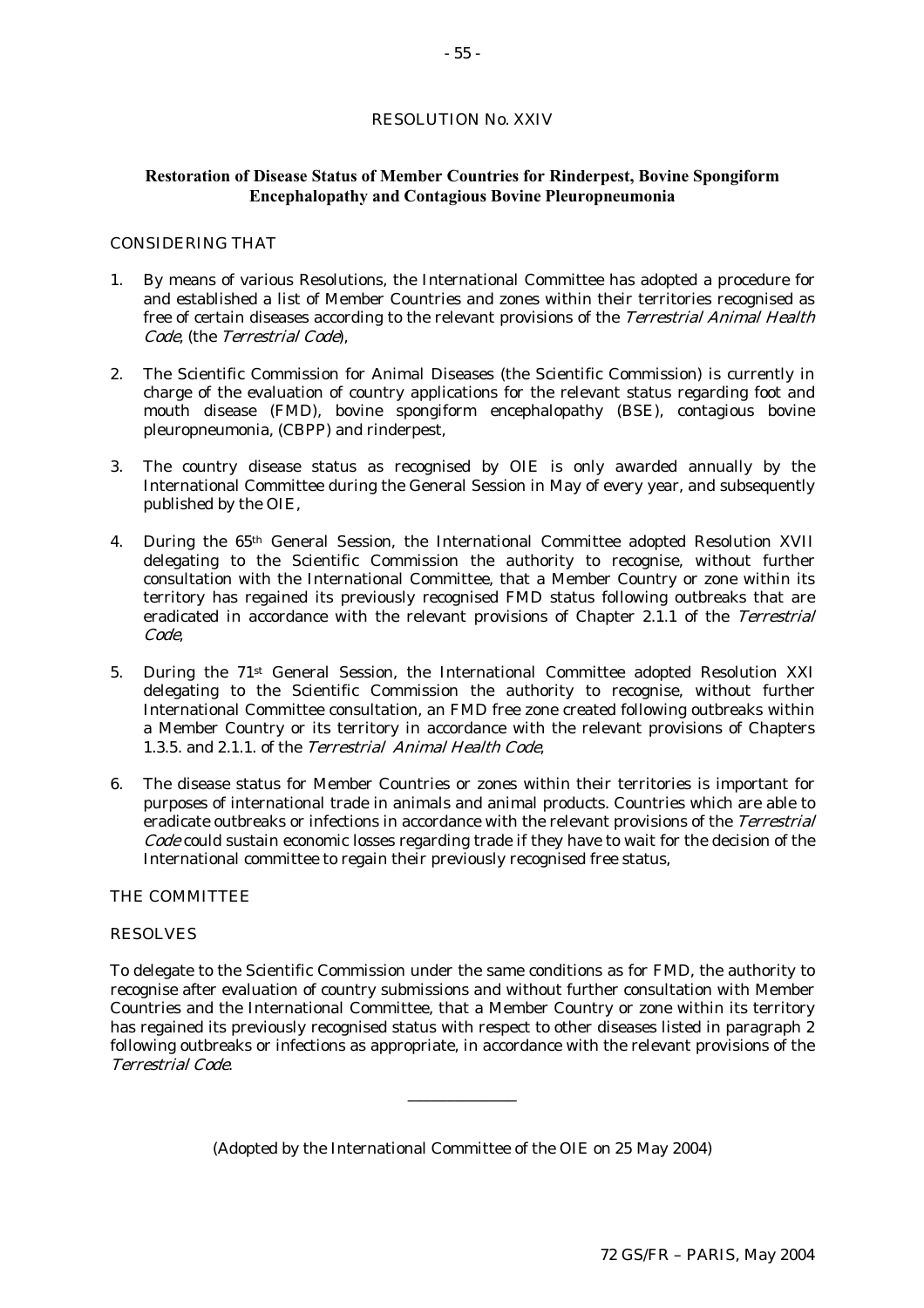# RESOLUTION No. XXIV

# **Restoration of Disease Status of Member Countries for Rinderpest, Bovine Spongiform Encephalopathy and Contagious Bovine Pleuropneumonia**

#### CONSIDERING THAT

- 1. By means of various Resolutions, the International Committee has adopted a procedure for and established a list of Member Countries and zones within their territories recognised as free of certain diseases according to the relevant provisions of the Terrestrial Animal Health Code, (the Terrestrial Code),
- 2. The Scientific Commission for Animal Diseases (the Scientific Commission) is currently in charge of the evaluation of country applications for the relevant status regarding foot and mouth disease (FMD), bovine spongiform encephalopathy (BSE), contagious bovine pleuropneumonia, (CBPP) and rinderpest,
- 3. The country disease status as recognised by OIE is only awarded annually by the International Committee during the General Session in May of every year, and subsequently published by the OIE,
- 4. During the 65th General Session, the International Committee adopted Resolution XVII delegating to the Scientific Commission the authority to recognise, without further consultation with the International Committee, that a Member Country or zone within its territory has regained its previously recognised FMD status following outbreaks that are eradicated in accordance with the relevant provisions of Chapter 2.1.1 of the Terrestrial Code,
- 5. During the 71st General Session, the International Committee adopted Resolution XXI delegating to the Scientific Commission the authority to recognise, without further International Committee consultation, an FMD free zone created following outbreaks within a Member Country or its territory in accordance with the relevant provisions of Chapters 1.3.5. and 2.1.1. of the Terrestrial Animal Health Code,
- 6. The disease status for Member Countries or zones within their territories is important for purposes of international trade in animals and animal products. Countries which are able to eradicate outbreaks or infections in accordance with the relevant provisions of the Terrestrial Code could sustain economic losses regarding trade if they have to wait for the decision of the International committee to regain their previously recognised free status,

# THE COMMITTEE

#### RESOLVES

To delegate to the Scientific Commission under the same conditions as for FMD, the authority to recognise after evaluation of country submissions and without further consultation with Member Countries and the International Committee, that a Member Country or zone within its territory has regained its previously recognised status with respect to other diseases listed in paragraph 2 following outbreaks or infections as appropriate, in accordance with the relevant provisions of the Terrestrial Code.

(Adopted by the International Committee of the OIE on 25 May 2004)

\_\_\_\_\_\_\_\_\_\_\_\_\_\_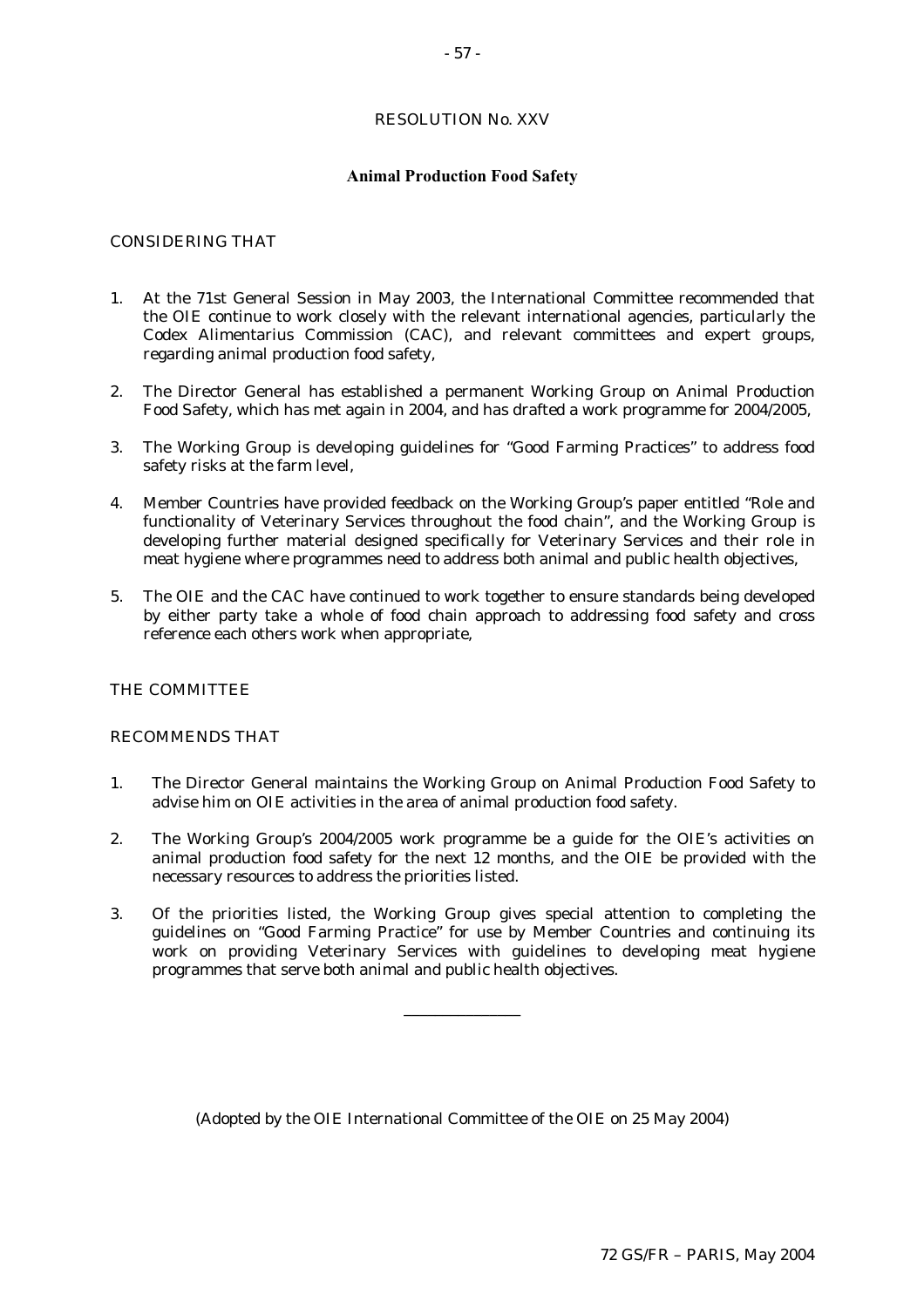# RESOLUTION No. XXV

### **Animal Production Food Safety**

# CONSIDERING THAT

- 1. At the 71st General Session in May 2003, the International Committee recommended that the OIE continue to work closely with the relevant international agencies, particularly the Codex Alimentarius Commission (CAC), and relevant committees and expert groups, regarding animal production food safety,
- 2. The Director General has established a permanent Working Group on Animal Production Food Safety, which has met again in 2004, and has drafted a work programme for 2004/2005,
- 3. The Working Group is developing guidelines for "Good Farming Practices" to address food safety risks at the farm level,
- 4. Member Countries have provided feedback on the Working Group's paper entitled "Role and functionality of Veterinary Services throughout the food chain", and the Working Group is developing further material designed specifically for Veterinary Services and their role in meat hygiene where programmes need to address both animal and public health objectives,
- 5. The OIE and the CAC have continued to work together to ensure standards being developed by either party take a whole of food chain approach to addressing food safety and cross reference each others work when appropriate,

#### THE COMMITTEE

#### RECOMMENDS THAT

- 1. The Director General maintains the Working Group on Animal Production Food Safety to advise him on OIE activities in the area of animal production food safety.
- 2. The Working Group's 2004/2005 work programme be a guide for the OIE's activities on animal production food safety for the next 12 months, and the OIE be provided with the necessary resources to address the priorities listed.
- 3. Of the priorities listed, the Working Group gives special attention to completing the guidelines on "Good Farming Practice" for use by Member Countries and continuing its work on providing Veterinary Services with guidelines to developing meat hygiene programmes that serve both animal and public health objectives.

\_\_\_\_\_\_\_\_\_\_\_\_\_\_\_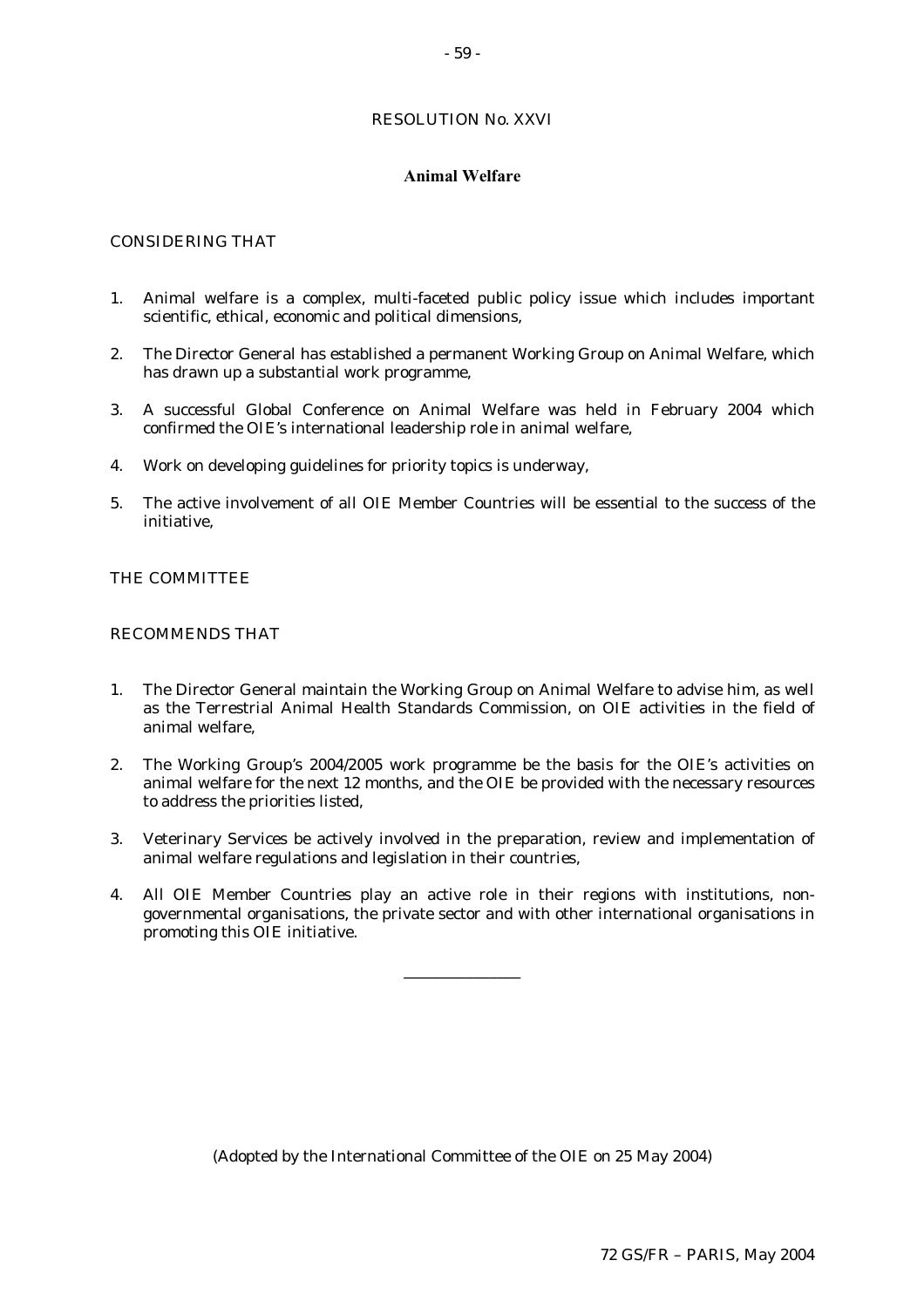# RESOLUTION No. XXVI

### **Animal Welfare**

# CONSIDERING THAT

- 1. Animal welfare is a complex, multi-faceted public policy issue which includes important scientific, ethical, economic and political dimensions,
- 2. The Director General has established a permanent Working Group on Animal Welfare, which has drawn up a substantial work programme,
- 3. A successful Global Conference on Animal Welfare was held in February 2004 which confirmed the OIE's international leadership role in animal welfare,
- 4. Work on developing guidelines for priority topics is underway,
- 5. The active involvement of all OIE Member Countries will be essential to the success of the initiative,

# THE COMMITTEE

#### RECOMMENDS THAT

- 1. The Director General maintain the Working Group on Animal Welfare to advise him, as well as the Terrestrial Animal Health Standards Commission, on OIE activities in the field of animal welfare,
- 2. The Working Group's 2004/2005 work programme be the basis for the OIE's activities on animal welfare for the next 12 months, and the OIE be provided with the necessary resources to address the priorities listed,
- 3. Veterinary Services be actively involved in the preparation, review and implementation of animal welfare regulations and legislation in their countries,
- 4. All OIE Member Countries play an active role in their regions with institutions, nongovernmental organisations, the private sector and with other international organisations in promoting this OIE initiative.

\_\_\_\_\_\_\_\_\_\_\_\_\_\_\_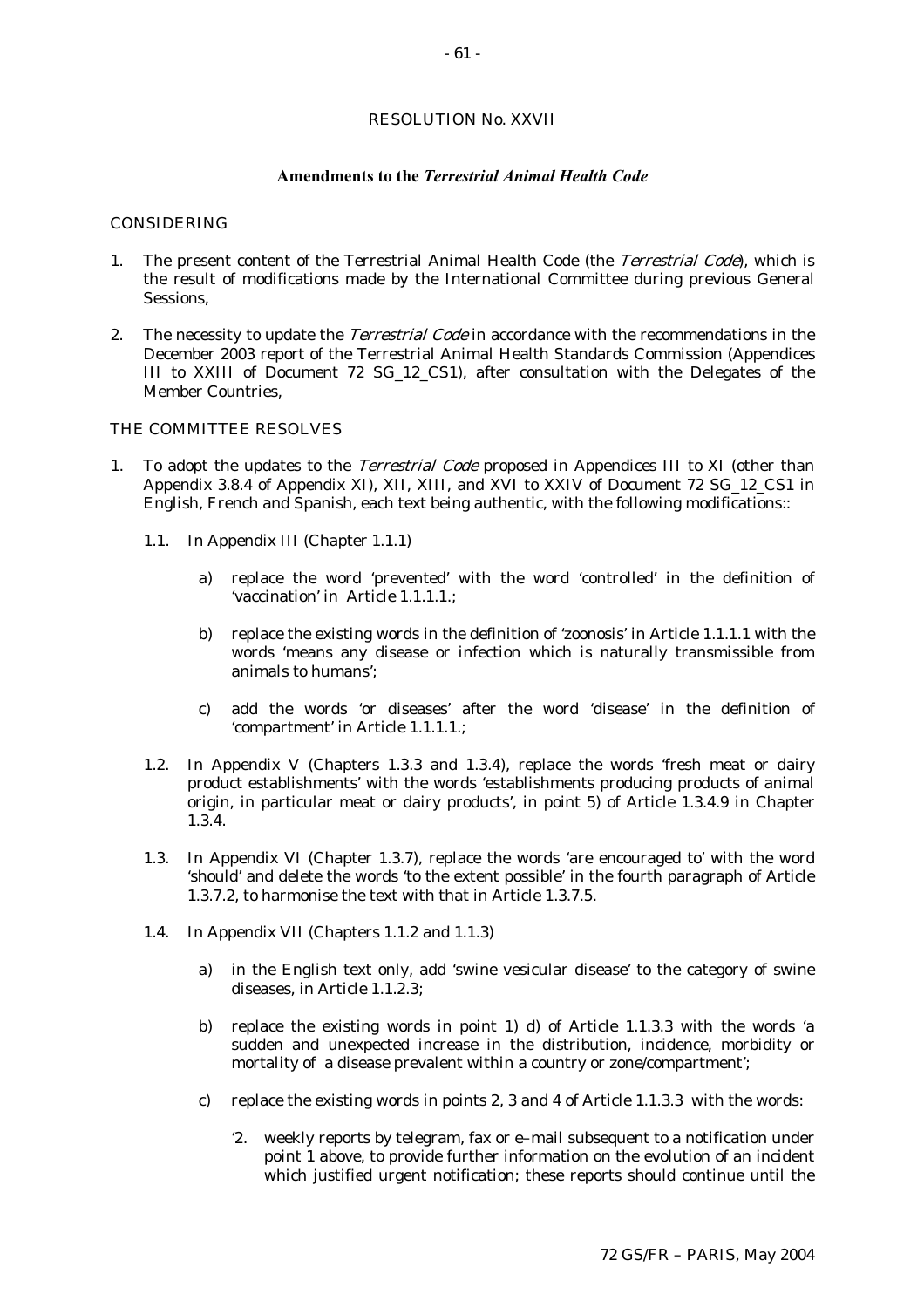### RESOLUTION No. XXVII

#### **Amendments to the** *Terrestrial Animal Health Code*

#### CONSIDERING

- 1. The present content of the Terrestrial Animal Health Code (the Terrestrial Code), which is the result of modifications made by the International Committee during previous General Sessions,
- 2. The necessity to update the *Terrestrial Code* in accordance with the recommendations in the December 2003 report of the Terrestrial Animal Health Standards Commission (Appendices III to XXIII of Document 72 SG\_12\_CS1), after consultation with the Delegates of the Member Countries,

#### THE COMMITTEE RESOLVES

- 1. To adopt the updates to the *Terrestrial Code* proposed in Appendices III to XI (other than Appendix 3.8.4 of Appendix XI), XII, XIII, and XVI to XXIV of Document 72 SG\_12\_CS1 in English, French and Spanish, each text being authentic, with the following modifications::
	- 1.1. In Appendix III (Chapter 1.1.1)
		- a) replace the word 'prevented' with the word 'controlled' in the definition of 'vaccination' in Article 1.1.1.1.;
		- b) replace the existing words in the definition of 'zoonosis' in Article 1.1.1.1 with the words 'means any disease or infection which is naturally transmissible from animals to humans';
		- c) add the words 'or diseases' after the word 'disease' in the definition of 'compartment' in Article 1.1.1.1.;
	- 1.2. In Appendix V (Chapters 1.3.3 and 1.3.4), replace the words 'fresh meat or dairy product establishments' with the words 'establishments producing products of animal origin, in particular meat or dairy products', in point 5) of Article 1.3.4.9 in Chapter 1.3.4.
	- 1.3. In Appendix VI (Chapter 1.3.7), replace the words 'are encouraged to' with the word 'should' and delete the words 'to the extent possible' in the fourth paragraph of Article 1.3.7.2, to harmonise the text with that in Article 1.3.7.5.
	- 1.4. In Appendix VII (Chapters 1.1.2 and 1.1.3)
		- a) in the English text only, add 'swine vesicular disease' to the category of swine diseases, in Article 1.1.2.3;
		- b) replace the existing words in point 1) d) of Article 1.1.3.3 with the words 'a sudden and unexpected increase in the distribution, incidence, morbidity or mortality of a disease prevalent within a country or zone/compartment';
		- c) replace the existing words in points 2, 3 and 4 of Article 1.1.3.3 with the words:
			- '2. weekly reports by telegram, fax or e–mail subsequent to a notification under point 1 above, to provide further information on the evolution of an incident which justified urgent notification; these reports should continue until the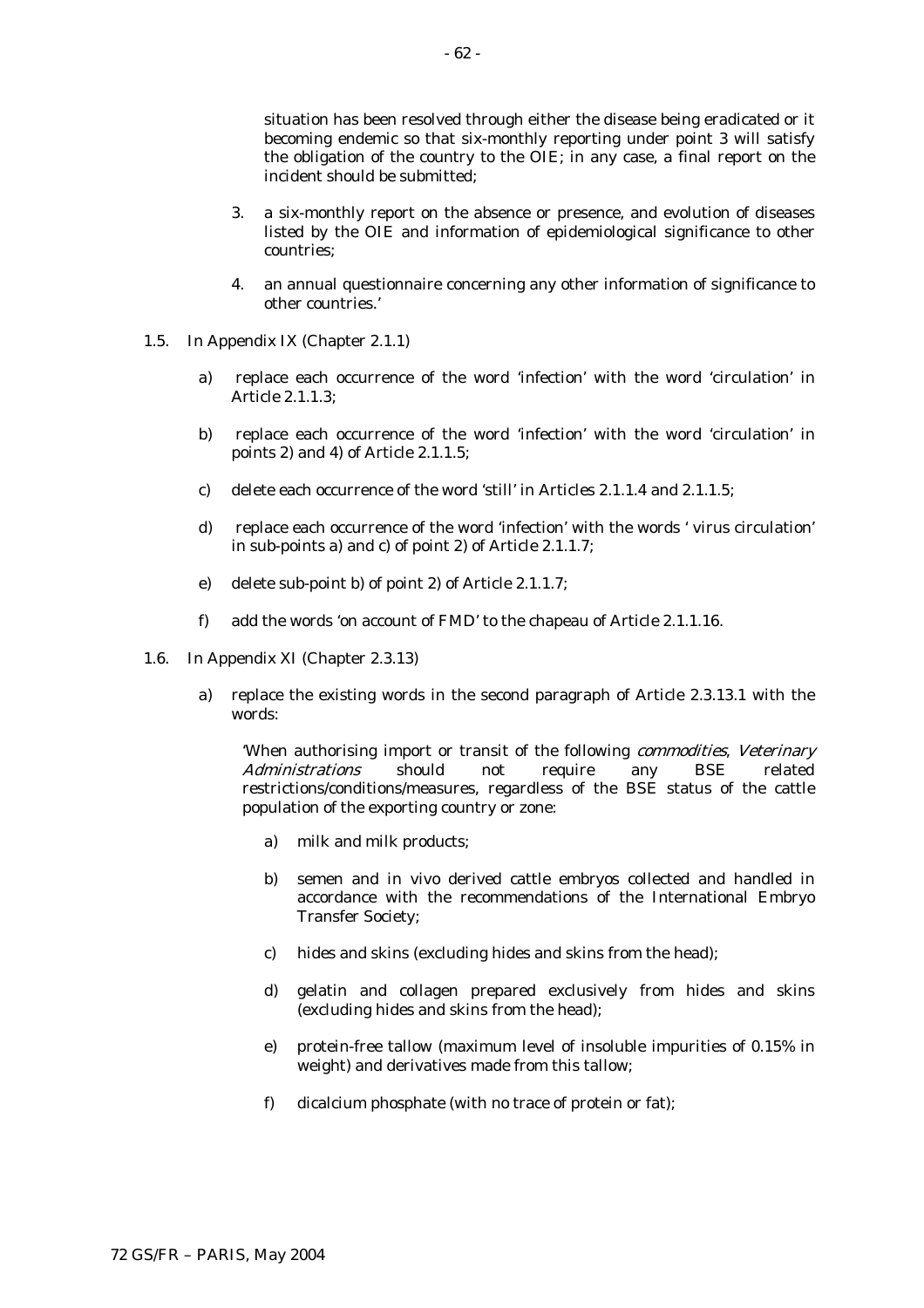situation has been resolved through either the disease being eradicated or it becoming endemic so that six-monthly reporting under point 3 will satisfy the obligation of the country to the OIE; in any case, a final report on the incident should be submitted;

- 3. a six-monthly report on the absence or presence, and evolution of diseases listed by the OIE and information of epidemiological significance to other countries;
- 4. an annual questionnaire concerning any other information of significance to other countries.'
- 1.5. In Appendix IX (Chapter 2.1.1)
	- a) replace each occurrence of the word 'infection' with the word 'circulation' in Article 2.1.1.3;
	- b) replace each occurrence of the word 'infection' with the word 'circulation' in points 2) and 4) of Article 2.1.1.5;
	- c) delete each occurrence of the word 'still' in Articles 2.1.1.4 and 2.1.1.5;
	- d) replace each occurrence of the word 'infection' with the words ' virus circulation' in sub-points a) and c) of point 2) of Article 2.1.1.7;
	- e) delete sub-point b) of point 2) of Article 2.1.1.7;
	- f) add the words 'on account of FMD' to the chapeau of Article 2.1.1.16.
- 1.6. In Appendix XI (Chapter 2.3.13)
	- a) replace the existing words in the second paragraph of Article 2.3.13.1 with the words:

When authorising import or transit of the following *commodities*, *Veterinary*<br>Administrations should not require any BSE related Administrations should not require any BSE related restrictions/conditions/measures, regardless of the BSE status of the cattle population of the exporting country or zone:

- a) milk and milk products;
- b) semen and in vivo derived cattle embryos collected and handled in accordance with the recommendations of the International Embryo Transfer Society;
- c) hides and skins (excluding hides and skins from the head);
- d) gelatin and collagen prepared exclusively from hides and skins (excluding hides and skins from the head);
- e) protein-free tallow (maximum level of insoluble impurities of 0.15% in weight) and derivatives made from this tallow;
- f) dicalcium phosphate (with no trace of protein or fat);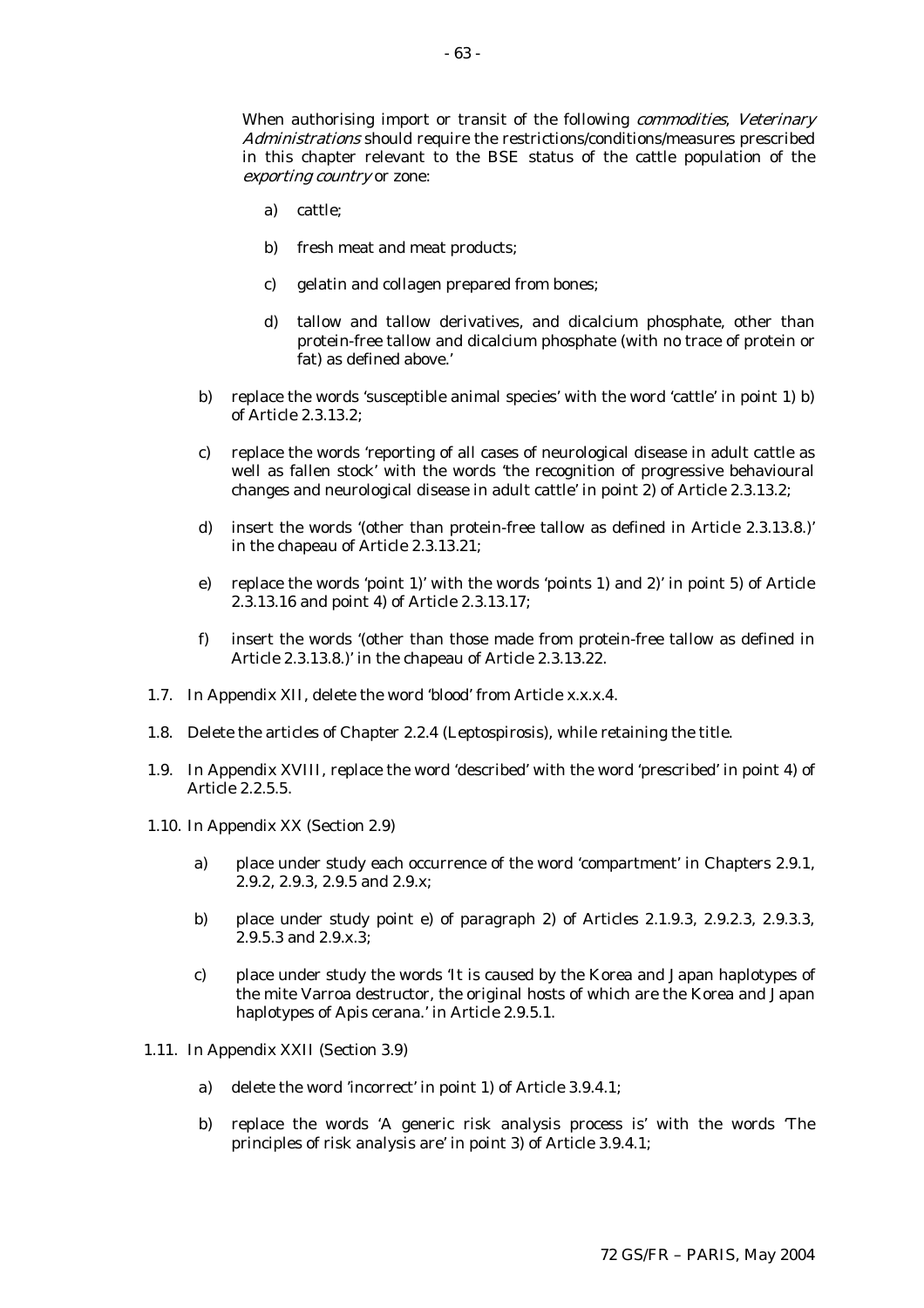When authorising import or transit of the following *commodities*, Veterinary Administrations should require the restrictions/conditions/measures prescribed in this chapter relevant to the BSE status of the cattle population of the exporting country or zone:

- a) cattle;
- b) fresh meat and meat products;
- c) gelatin and collagen prepared from bones;
- d) tallow and tallow derivatives, and dicalcium phosphate, other than protein-free tallow and dicalcium phosphate (with no trace of protein or fat) as defined above.'
- b) replace the words 'susceptible animal species' with the word 'cattle' in point 1) b) of Article 2.3.13.2;
- c) replace the words 'reporting of all cases of neurological disease in adult cattle as well as fallen stock' with the words 'the recognition of progressive behavioural changes and neurological disease in adult cattle' in point 2) of Article 2.3.13.2;
- d) insert the words '(other than protein-free tallow as defined in Article 2.3.13.8.)' in the chapeau of Article 2.3.13.21;
- e) replace the words 'point 1)' with the words 'points 1) and 2)' in point 5) of Article 2.3.13.16 and point 4) of Article 2.3.13.17;
- f) insert the words '(other than those made from protein-free tallow as defined in Article 2.3.13.8.)' in the chapeau of Article 2.3.13.22.
- 1.7. In Appendix XII, delete the word 'blood' from Article x.x.x.4.
- 1.8. Delete the articles of Chapter 2.2.4 (Leptospirosis), while retaining the title.
- 1.9. In Appendix XVIII, replace the word 'described' with the word 'prescribed' in point 4) of Article 2.2.5.5.
- 1.10. In Appendix XX (Section 2.9)
	- a) place under study each occurrence of the word 'compartment' in Chapters 2.9.1, 2.9.2, 2.9.3, 2.9.5 and 2.9.x;
	- b) place under study point e) of paragraph 2) of Articles 2.1.9.3, 2.9.2.3, 2.9.3.3, 2.9.5.3 and 2.9.x.3;
	- c) place under study the words 'It is caused by the Korea and Japan haplotypes of the mite Varroa destructor, the original hosts of which are the Korea and Japan haplotypes of Apis cerana.' in Article 2.9.5.1.
- 1.11. In Appendix XXII (Section 3.9)
	- a) delete the word 'incorrect' in point 1) of Article 3.9.4.1;
	- b) replace the words 'A generic risk analysis process is' with the words 'The principles of risk analysis are' in point 3) of Article 3.9.4.1;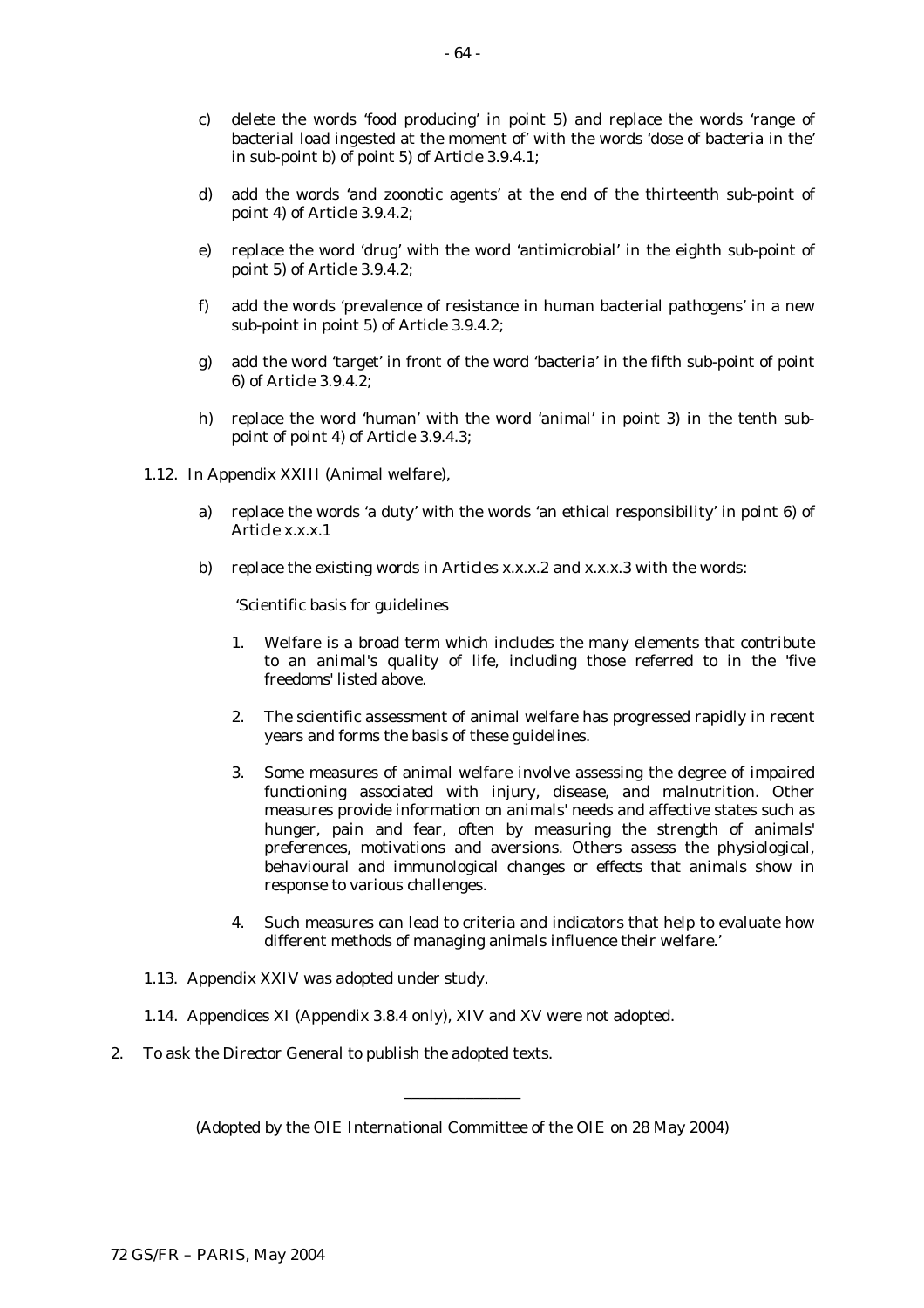- c) delete the words 'food producing' in point 5) and replace the words 'range of bacterial load ingested at the moment of' with the words 'dose of bacteria in the' in sub-point b) of point 5) of Article 3.9.4.1;
- d) add the words 'and zoonotic agents' at the end of the thirteenth sub-point of point 4) of Article 3.9.4.2;
- e) replace the word 'drug' with the word 'antimicrobial' in the eighth sub-point of point 5) of Article 3.9.4.2;
- f) add the words 'prevalence of resistance in human bacterial pathogens' in a new sub-point in point 5) of Article 3.9.4.2;
- g) add the word 'target' in front of the word 'bacteria' in the fifth sub-point of point 6) of Article 3.9.4.2;
- h) replace the word 'human' with the word 'animal' in point 3) in the tenth subpoint of point 4) of Article 3.9.4.3;
- 1.12. In Appendix XXIII (Animal welfare),
	- a) replace the words 'a duty' with the words 'an ethical responsibility' in point 6) of Article x.x.x.1
	- b) replace the existing words in Articles x.x.x.2 and x.x.x.3 with the words:

'Scientific basis for guidelines

- 1. Welfare is a broad term which includes the many elements that contribute to an animal's quality of life, including those referred to in the 'five freedoms' listed above.
- 2. The scientific assessment of animal welfare has progressed rapidly in recent years and forms the basis of these guidelines.
- 3. Some measures of animal welfare involve assessing the degree of impaired functioning associated with injury, disease, and malnutrition. Other measures provide information on animals' needs and affective states such as hunger, pain and fear, often by measuring the strength of animals' preferences, motivations and aversions. Others assess the physiological, behavioural and immunological changes or effects that animals show in response to various challenges.
- 4. Such measures can lead to criteria and indicators that help to evaluate how different methods of managing animals influence their welfare.'
- 1.13. Appendix XXIV was adopted under study.
- 1.14. Appendices XI (Appendix 3.8.4 only), XIV and XV were not adopted.
- 2. To ask the Director General to publish the adopted texts.

(Adopted by the OIE International Committee of the OIE on 28 May 2004)

\_\_\_\_\_\_\_\_\_\_\_\_\_\_\_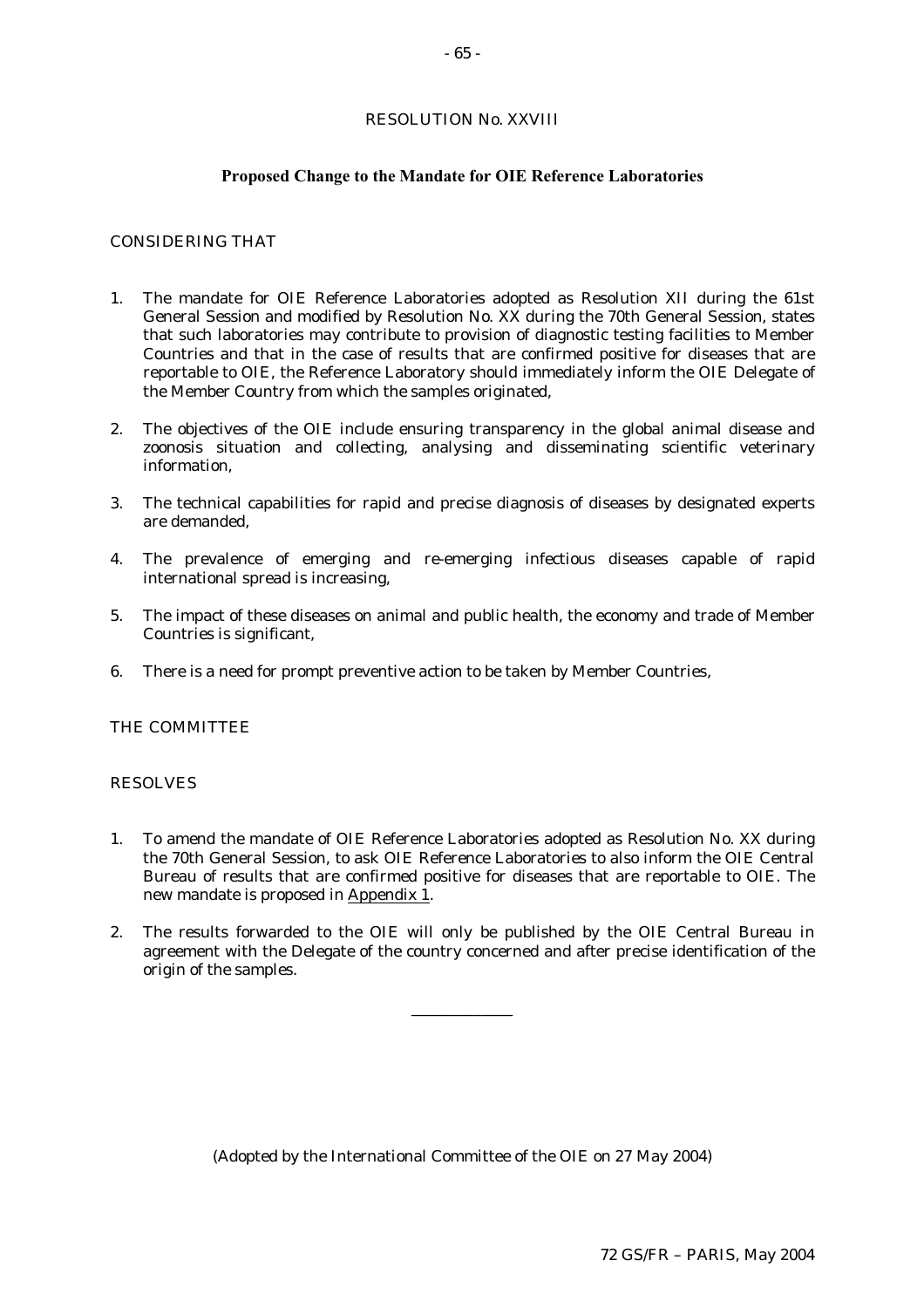# RESOLUTION No. XXVIII

### **Proposed Change to the Mandate for OIE Reference Laboratories**

# CONSIDERING THAT

- 1. The mandate for OIE Reference Laboratories adopted as Resolution XII during the 61st General Session and modified by Resolution No. XX during the 70th General Session, states that such laboratories may contribute to provision of diagnostic testing facilities to Member Countries and that in the case of results that are confirmed positive for diseases that are reportable to OIE, the Reference Laboratory should immediately inform the OIE Delegate of the Member Country from which the samples originated,
- 2. The objectives of the OIE include ensuring transparency in the global animal disease and zoonosis situation and collecting, analysing and disseminating scientific veterinary information,
- 3. The technical capabilities for rapid and precise diagnosis of diseases by designated experts are demanded,
- 4. The prevalence of emerging and re-emerging infectious diseases capable of rapid international spread is increasing,
- 5. The impact of these diseases on animal and public health, the economy and trade of Member Countries is significant,
- 6. There is a need for prompt preventive action to be taken by Member Countries,

#### THE COMMITTEE

#### RESOLVES

- 1. To amend the mandate of OIE Reference Laboratories adopted as Resolution No. XX during the 70th General Session, to ask OIE Reference Laboratories to also inform the OIE Central Bureau of results that are confirmed positive for diseases that are reportable to OIE. The new mandate is proposed in Appendix 1.
- 2. The results forwarded to the OIE will only be published by the OIE Central Bureau in agreement with the Delegate of the country concerned and after precise identification of the origin of the samples.

\_\_\_\_\_\_\_\_\_\_\_\_\_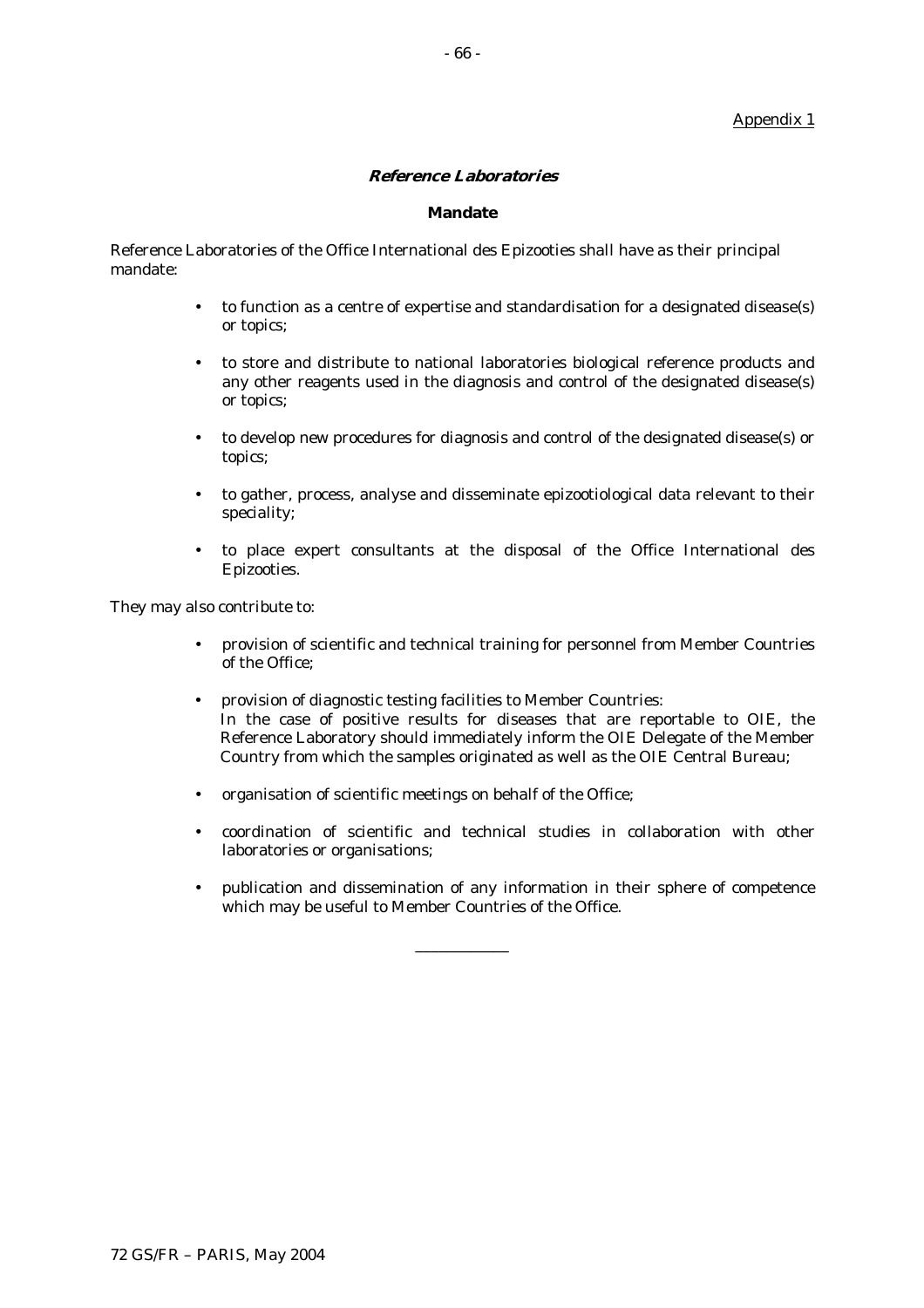# Appendix 1

# **Reference Laboratories**

#### **Mandate**

Reference Laboratories of the Office International des Epizooties shall have as their principal mandate:

- to function as a centre of expertise and standardisation for a designated disease(s) or topics;
- to store and distribute to national laboratories biological reference products and any other reagents used in the diagnosis and control of the designated disease(s) or topics;
- to develop new procedures for diagnosis and control of the designated disease(s) or topics;
- to gather, process, analyse and disseminate epizootiological data relevant to their speciality;
- to place expert consultants at the disposal of the Office International des Epizooties.

They may also contribute to:

- provision of scientific and technical training for personnel from Member Countries of the Office;
- provision of diagnostic testing facilities to Member Countries: In the case of positive results for diseases that are reportable to OIE, the Reference Laboratory should immediately inform the OIE Delegate of the Member Country from which the samples originated as well as the OIE Central Bureau;
- organisation of scientific meetings on behalf of the Office;
- coordination of scientific and technical studies in collaboration with other laboratories or organisations;
- publication and dissemination of any information in their sphere of competence which may be useful to Member Countries of the Office.

\_\_\_\_\_\_\_\_\_\_\_\_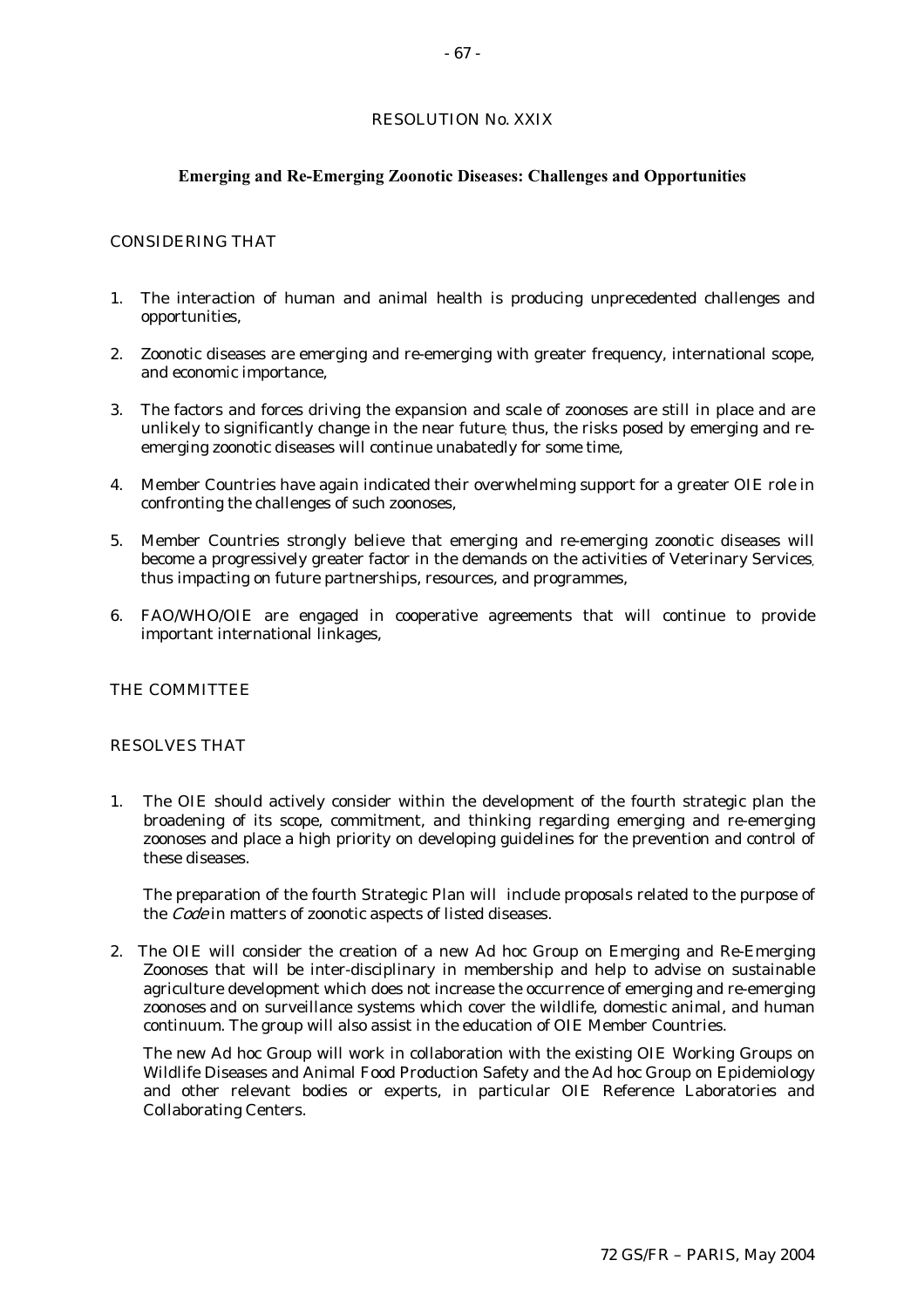# RESOLUTION No. XXIX

# **Emerging and Re-Emerging Zoonotic Diseases: Challenges and Opportunities**

# CONSIDERING THAT

- 1. The interaction of human and animal health is producing unprecedented challenges and opportunities,
- 2. Zoonotic diseases are emerging and re-emerging with greater frequency, international scope, and economic importance,
- 3. The factors and forces driving the expansion and scale of zoonoses are still in place and are unlikely to significantly change in the near future; thus, the risks posed by emerging and reemerging zoonotic diseases will continue unabatedly for some time,
- 4. Member Countries have again indicated their overwhelming support for a greater OIE role in confronting the challenges of such zoonoses,
- 5. Member Countries strongly believe that emerging and re-emerging zoonotic diseases will become a progressively greater factor in the demands on the activities of Veterinary Services, thus impacting on future partnerships, resources, and programmes,
- 6. FAO/WHO/OIE are engaged in cooperative agreements that will continue to provide important international linkages,

# THE COMMITTEE

#### RESOLVES THAT

1. The OIE should actively consider within the development of the fourth strategic plan the broadening of its scope, commitment, and thinking regarding emerging and re-emerging zoonoses and place a high priority on developing guidelines for the prevention and control of these diseases.

The preparation of the fourth Strategic Plan will include proposals related to the purpose of the Code in matters of zoonotic aspects of listed diseases.

2. The OIE will consider the creation of a new Ad hoc Group on Emerging and Re-Emerging Zoonoses that will be inter-disciplinary in membership and help to advise on sustainable agriculture development which does not increase the occurrence of emerging and re-emerging zoonoses and on surveillance systems which cover the wildlife, domestic animal, and human continuum. The group will also assist in the education of OIE Member Countries.

The new Ad hoc Group will work in collaboration with the existing OIE Working Groups on Wildlife Diseases and Animal Food Production Safety and the Ad hoc Group on Epidemiology and other relevant bodies or experts, in particular OIE Reference Laboratories and Collaborating Centers.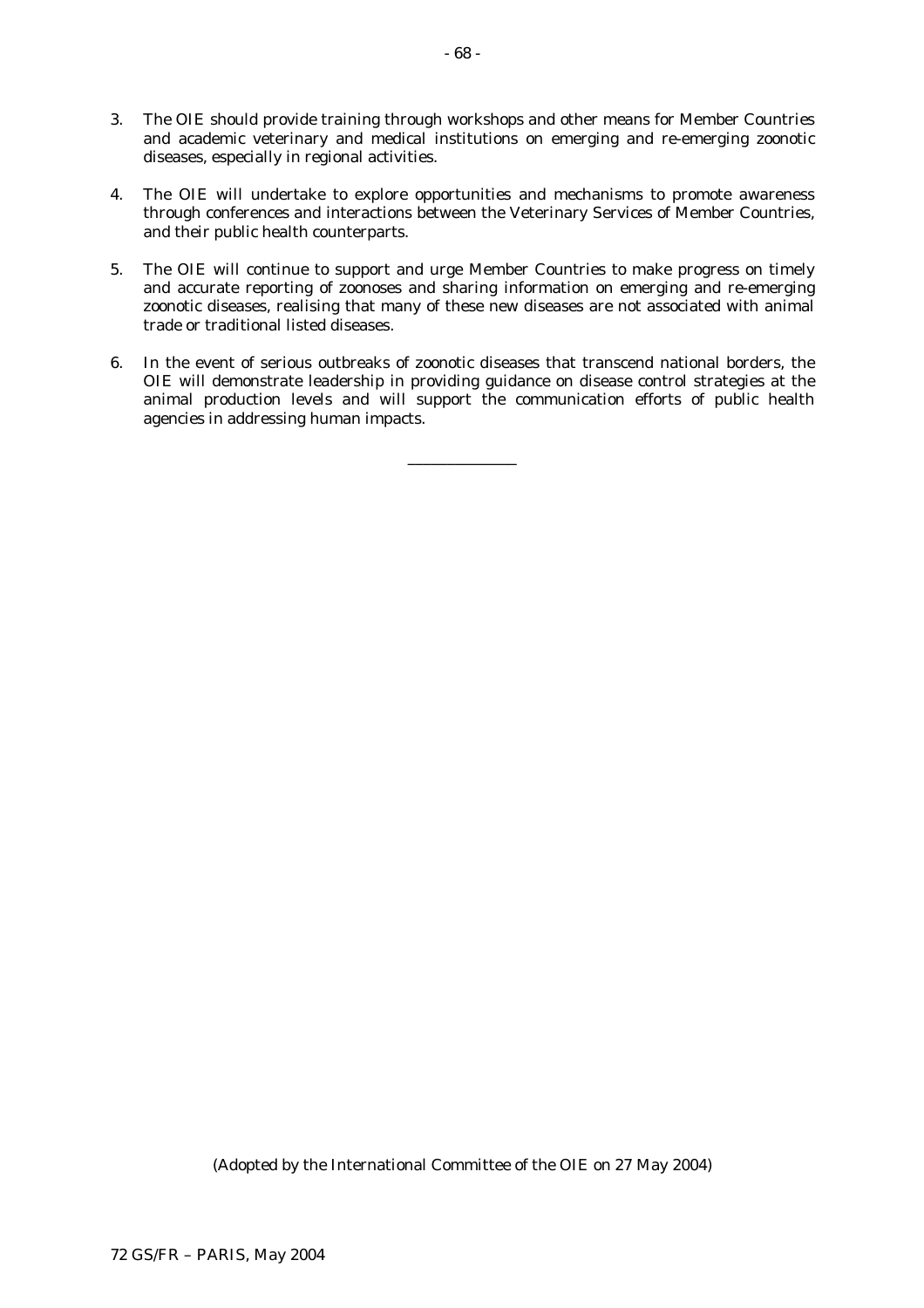- 3. The OIE should provide training through workshops and other means for Member Countries and academic veterinary and medical institutions on emerging and re-emerging zoonotic diseases, especially in regional activities.
- 4. The OIE will undertake to explore opportunities and mechanisms to promote awareness through conferences and interactions between the Veterinary Services of Member Countries, and their public health counterparts.
- 5. The OIE will continue to support and urge Member Countries to make progress on timely and accurate reporting of zoonoses and sharing information on emerging and re-emerging zoonotic diseases, realising that many of these new diseases are not associated with animal trade or traditional listed diseases.
- 6. In the event of serious outbreaks of zoonotic diseases that transcend national borders, the OIE will demonstrate leadership in providing guidance on disease control strategies at the animal production levels and will support the communication efforts of public health agencies in addressing human impacts.

\_\_\_\_\_\_\_\_\_\_\_\_\_\_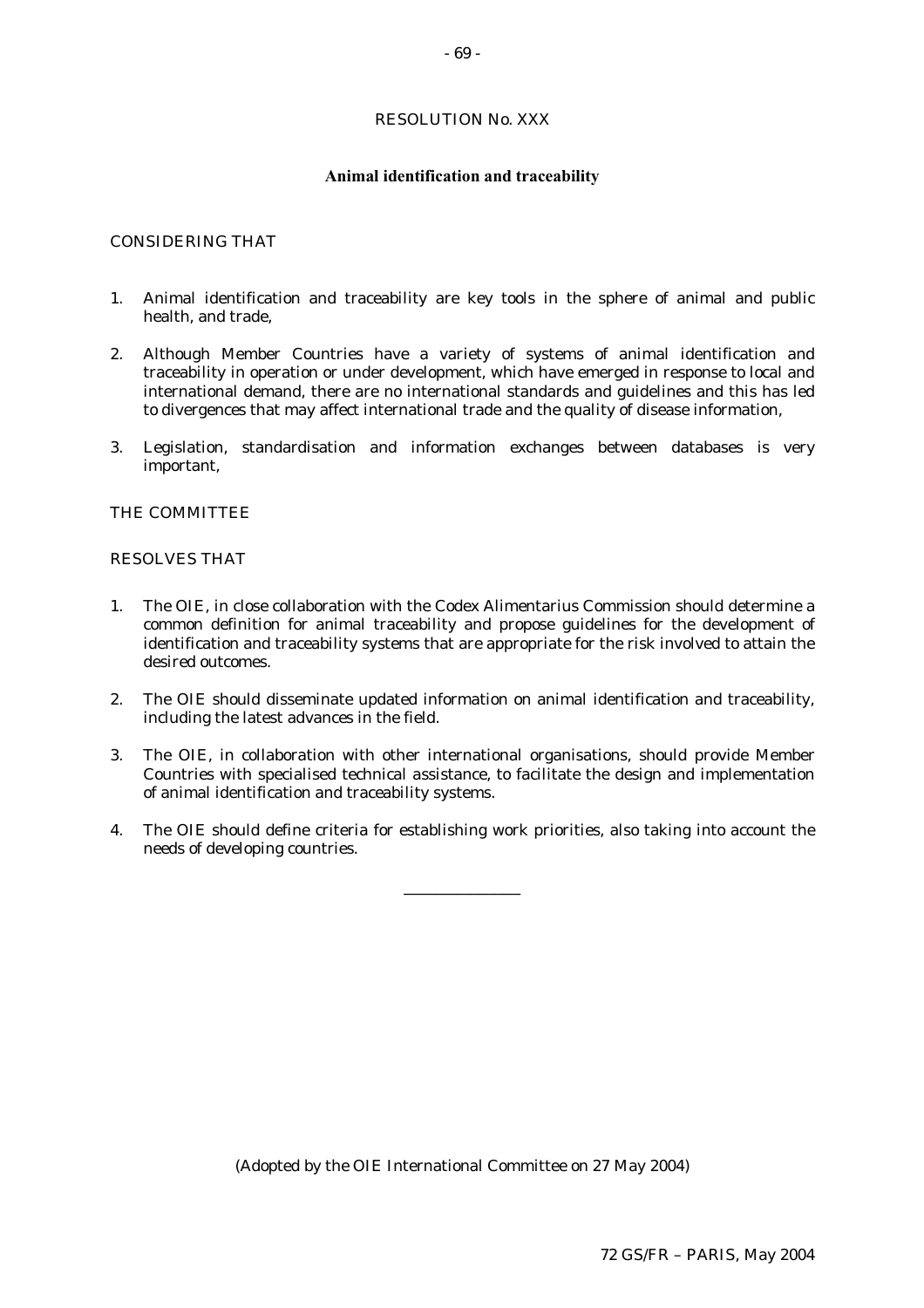# RESOLUTION No. XXX

#### **Animal identification and traceability**

# CONSIDERING THAT

- 1. Animal identification and traceability are key tools in the sphere of animal and public health, and trade,
- 2. Although Member Countries have a variety of systems of animal identification and traceability in operation or under development, which have emerged in response to local and international demand, there are no international standards and guidelines and this has led to divergences that may affect international trade and the quality of disease information,
- 3. Legislation, standardisation and information exchanges between databases is very important,

### THE COMMITTEE

#### RESOLVES THAT

- 1. The OIE, in close collaboration with the Codex Alimentarius Commission should determine a common definition for animal traceability and propose guidelines for the development of identification and traceability systems that are appropriate for the risk involved to attain the desired outcomes.
- 2. The OIE should disseminate updated information on animal identification and traceability, including the latest advances in the field.
- 3. The OIE, in collaboration with other international organisations, should provide Member Countries with specialised technical assistance, to facilitate the design and implementation of animal identification and traceability systems.
- 4. The OIE should define criteria for establishing work priorities, also taking into account the needs of developing countries.

\_\_\_\_\_\_\_\_\_\_\_\_\_\_\_

(Adopted by the OIE International Committee on 27 May 2004)